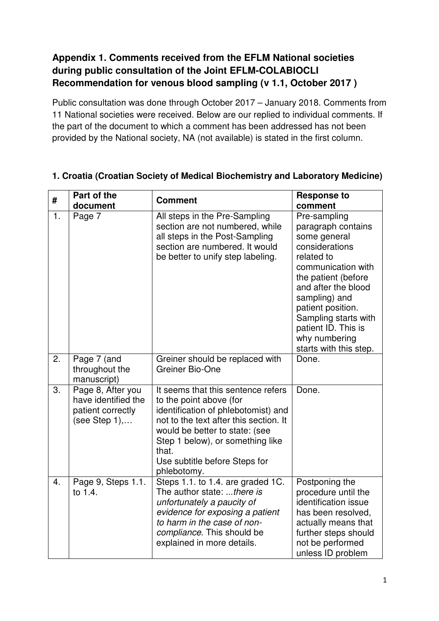### **Appendix 1. Comments received from the EFLM National societies during public consultation of the Joint EFLM-COLABIOCLI Recommendation for venous blood sampling (v 1.1, October 2017 )**

Public consultation was done through October 2017 – January 2018. Comments from 11 National societies were received. Below are our replied to individual comments. If the part of the document to which a comment has been addressed has not been provided by the National society, NA (not available) is stated in the first column.

| #                | Part of the<br>document                                                        | <b>Comment</b>                                                                                                                                                                                                                                                                | <b>Response to</b><br>comment                                                                                                                                                                                                                                                          |
|------------------|--------------------------------------------------------------------------------|-------------------------------------------------------------------------------------------------------------------------------------------------------------------------------------------------------------------------------------------------------------------------------|----------------------------------------------------------------------------------------------------------------------------------------------------------------------------------------------------------------------------------------------------------------------------------------|
| 1.               | Page 7                                                                         | All steps in the Pre-Sampling<br>section are not numbered, while<br>all steps in the Post-Sampling<br>section are numbered. It would<br>be better to unify step labeling.                                                                                                     | Pre-sampling<br>paragraph contains<br>some general<br>considerations<br>related to<br>communication with<br>the patient (before<br>and after the blood<br>sampling) and<br>patient position.<br>Sampling starts with<br>patient ID. This is<br>why numbering<br>starts with this step. |
| 2.               | Page 7 (and<br>throughout the<br>manuscript)                                   | Greiner should be replaced with<br>Greiner Bio-One                                                                                                                                                                                                                            | Done.                                                                                                                                                                                                                                                                                  |
| $\overline{3}$ . | Page 8, After you<br>have identified the<br>patient correctly<br>(see Step 1), | It seems that this sentence refers<br>to the point above (for<br>identification of phlebotomist) and<br>not to the text after this section. It<br>would be better to state: (see<br>Step 1 below), or something like<br>that.<br>Use subtitle before Steps for<br>phlebotomy. | Done.                                                                                                                                                                                                                                                                                  |
| 4.               | Page 9, Steps 1.1.<br>to 1.4.                                                  | Steps 1.1. to 1.4. are graded 1C.<br>The author state: there is<br>unfortunately a paucity of<br>evidence for exposing a patient<br>to harm in the case of non-<br>compliance. This should be<br>explained in more details.                                                   | Postponing the<br>procedure until the<br>identification issue<br>has been resolved,<br>actually means that<br>further steps should<br>not be performed<br>unless ID problem                                                                                                            |

#### **1. Croatia (Croatian Society of Medical Biochemistry and Laboratory Medicine)**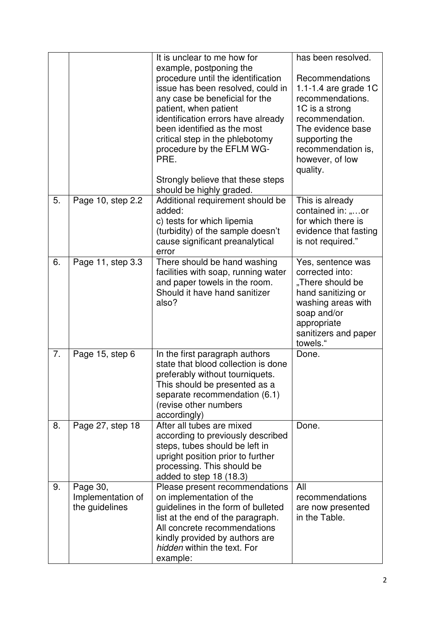|    |                                                 | It is unclear to me how for                                                                                                                                                                                                                                                                                                                     | has been resolved.                                                                                                                                                                                    |
|----|-------------------------------------------------|-------------------------------------------------------------------------------------------------------------------------------------------------------------------------------------------------------------------------------------------------------------------------------------------------------------------------------------------------|-------------------------------------------------------------------------------------------------------------------------------------------------------------------------------------------------------|
|    |                                                 | example, postponing the<br>procedure until the identification<br>issue has been resolved, could in<br>any case be beneficial for the<br>patient, when patient<br>identification errors have already<br>been identified as the most<br>critical step in the phlebotomy<br>procedure by the EFLM WG-<br>PRE.<br>Strongly believe that these steps | <b>Recommendations</b><br>1.1-1.4 are grade $1C$<br>recommendations.<br>1C is a strong<br>recommendation.<br>The evidence base<br>supporting the<br>recommendation is,<br>however, of low<br>quality. |
| 5. | Page 10, step 2.2                               | should be highly graded.<br>Additional requirement should be<br>added:<br>c) tests for which lipemia<br>(turbidity) of the sample doesn't<br>cause significant preanalytical<br>error                                                                                                                                                           | This is already<br>contained in: or<br>for which there is<br>evidence that fasting<br>is not required."                                                                                               |
| 6. | Page 11, step 3.3                               | There should be hand washing<br>facilities with soap, running water<br>and paper towels in the room.<br>Should it have hand sanitizer<br>also?                                                                                                                                                                                                  | Yes, sentence was<br>corrected into:<br>"There should be<br>hand sanitizing or<br>washing areas with<br>soap and/or<br>appropriate<br>sanitizers and paper<br>towels."                                |
| 7. | Page 15, step 6                                 | In the first paragraph authors<br>state that blood collection is done<br>preferably without tourniquets.<br>This should be presented as a<br>separate recommendation (6.1)<br>(revise other numbers<br>accordingly)                                                                                                                             | Done.                                                                                                                                                                                                 |
| 8. | Page 27, step 18                                | After all tubes are mixed<br>according to previously described<br>steps, tubes should be left in<br>upright position prior to further<br>processing. This should be<br>added to step $18(18.3)$                                                                                                                                                 | Done.                                                                                                                                                                                                 |
| 9. | Page 30,<br>Implementation of<br>the guidelines | Please present recommendations<br>on implementation of the<br>guidelines in the form of bulleted<br>list at the end of the paragraph.<br>All concrete recommendations<br>kindly provided by authors are<br>hidden within the text. For<br>example:                                                                                              | All<br>recommendations<br>are now presented<br>in the Table.                                                                                                                                          |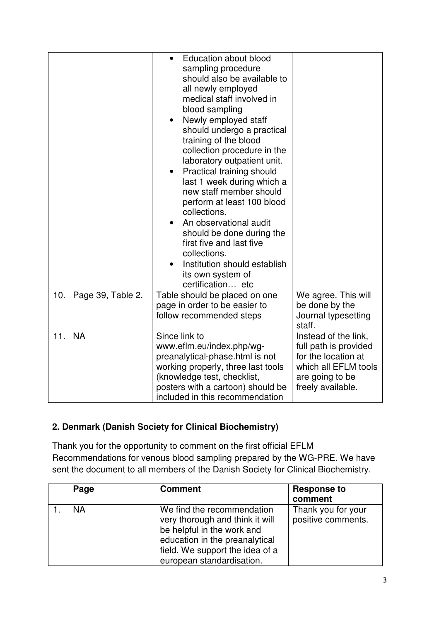|     |                   | <b>Education about blood</b><br>$\bullet$<br>sampling procedure<br>should also be available to<br>all newly employed<br>medical staff involved in<br>blood sampling<br>Newly employed staff<br>$\bullet$<br>should undergo a practical<br>training of the blood<br>collection procedure in the<br>laboratory outpatient unit.<br>Practical training should<br>$\bullet$<br>last 1 week during which a<br>new staff member should<br>perform at least 100 blood<br>collections.<br>An observational audit<br>should be done during the<br>first five and last five<br>collections.<br>Institution should establish<br>its own system of<br>certification etc |                                             |
|-----|-------------------|-------------------------------------------------------------------------------------------------------------------------------------------------------------------------------------------------------------------------------------------------------------------------------------------------------------------------------------------------------------------------------------------------------------------------------------------------------------------------------------------------------------------------------------------------------------------------------------------------------------------------------------------------------------|---------------------------------------------|
| 10. | Page 39, Table 2. | Table should be placed on one                                                                                                                                                                                                                                                                                                                                                                                                                                                                                                                                                                                                                               | We agree. This will                         |
|     |                   | page in order to be easier to                                                                                                                                                                                                                                                                                                                                                                                                                                                                                                                                                                                                                               | be done by the                              |
|     |                   | follow recommended steps                                                                                                                                                                                                                                                                                                                                                                                                                                                                                                                                                                                                                                    | Journal typesetting<br>staff.               |
| 11. | <b>NA</b>         | Since link to                                                                                                                                                                                                                                                                                                                                                                                                                                                                                                                                                                                                                                               | Instead of the link,                        |
|     |                   | www.eflm.eu/index.php/wg-                                                                                                                                                                                                                                                                                                                                                                                                                                                                                                                                                                                                                                   | full path is provided                       |
|     |                   | preanalytical-phase.html is not<br>working properly, three last tools                                                                                                                                                                                                                                                                                                                                                                                                                                                                                                                                                                                       | for the location at<br>which all EFLM tools |
|     |                   | (knowledge test, checklist,                                                                                                                                                                                                                                                                                                                                                                                                                                                                                                                                                                                                                                 | are going to be                             |
|     |                   | posters with a cartoon) should be                                                                                                                                                                                                                                                                                                                                                                                                                                                                                                                                                                                                                           | freely available.                           |
|     |                   | included in this recommendation                                                                                                                                                                                                                                                                                                                                                                                                                                                                                                                                                                                                                             |                                             |

### **2. Denmark (Danish Society for Clinical Biochemistry)**

Thank you for the opportunity to comment on the first official EFLM Recommendations for venous blood sampling prepared by the WG-PRE. We have sent the document to all members of the Danish Society for Clinical Biochemistry.

| Page      | <b>Comment</b>                                                                                                                                                                                | <b>Response to</b><br>comment            |
|-----------|-----------------------------------------------------------------------------------------------------------------------------------------------------------------------------------------------|------------------------------------------|
| <b>NA</b> | We find the recommendation<br>very thorough and think it will<br>be helpful in the work and<br>education in the preanalytical<br>field. We support the idea of a<br>european standardisation. | Thank you for your<br>positive comments. |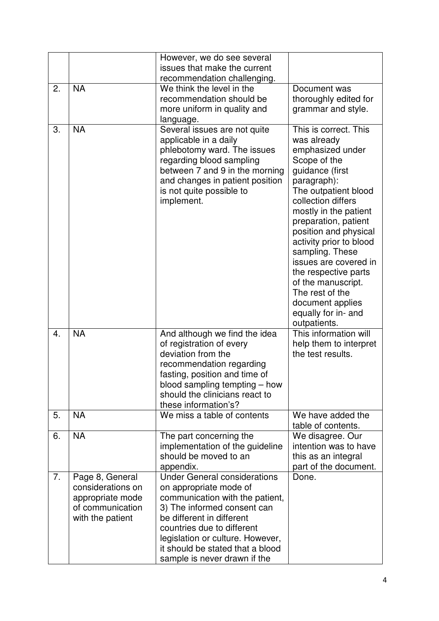|    |                                                                                                  | However, we do see several<br>issues that make the current<br>recommendation challenging.                                                                                                                                                                                                          |                                                                                                                                                                                                                                                                                                                                                                                                                                       |
|----|--------------------------------------------------------------------------------------------------|----------------------------------------------------------------------------------------------------------------------------------------------------------------------------------------------------------------------------------------------------------------------------------------------------|---------------------------------------------------------------------------------------------------------------------------------------------------------------------------------------------------------------------------------------------------------------------------------------------------------------------------------------------------------------------------------------------------------------------------------------|
| 2. | <b>NA</b>                                                                                        | We think the level in the<br>recommendation should be<br>more uniform in quality and<br>language.                                                                                                                                                                                                  | Document was<br>thoroughly edited for<br>grammar and style.                                                                                                                                                                                                                                                                                                                                                                           |
| 3. | <b>NA</b>                                                                                        | Several issues are not quite<br>applicable in a daily<br>phlebotomy ward. The issues<br>regarding blood sampling<br>between 7 and 9 in the morning<br>and changes in patient position<br>is not quite possible to<br>implement.                                                                    | This is correct. This<br>was already<br>emphasized under<br>Scope of the<br>guidance (first<br>paragraph):<br>The outpatient blood<br>collection differs<br>mostly in the patient<br>preparation, patient<br>position and physical<br>activity prior to blood<br>sampling. These<br>issues are covered in<br>the respective parts<br>of the manuscript.<br>The rest of the<br>document applies<br>equally for in- and<br>outpatients. |
| 4. | <b>NA</b>                                                                                        | And although we find the idea<br>of registration of every<br>deviation from the<br>recommendation regarding<br>fasting, position and time of<br>blood sampling tempting – how<br>should the clinicians react to<br>these information's?                                                            | This information will<br>help them to interpret<br>the test results.                                                                                                                                                                                                                                                                                                                                                                  |
| 5. | <b>NA</b>                                                                                        | We miss a table of contents                                                                                                                                                                                                                                                                        | We have added the<br>table of contents.                                                                                                                                                                                                                                                                                                                                                                                               |
| 6. | <b>NA</b>                                                                                        | The part concerning the<br>implementation of the guideline<br>should be moved to an<br>appendix.                                                                                                                                                                                                   | We disagree. Our<br>intention was to have<br>this as an integral<br>part of the document.                                                                                                                                                                                                                                                                                                                                             |
| 7. | Page 8, General<br>considerations on<br>appropriate mode<br>of communication<br>with the patient | <b>Under General considerations</b><br>on appropriate mode of<br>communication with the patient,<br>3) The informed consent can<br>be different in different<br>countries due to different<br>legislation or culture. However,<br>it should be stated that a blood<br>sample is never drawn if the | Done.                                                                                                                                                                                                                                                                                                                                                                                                                                 |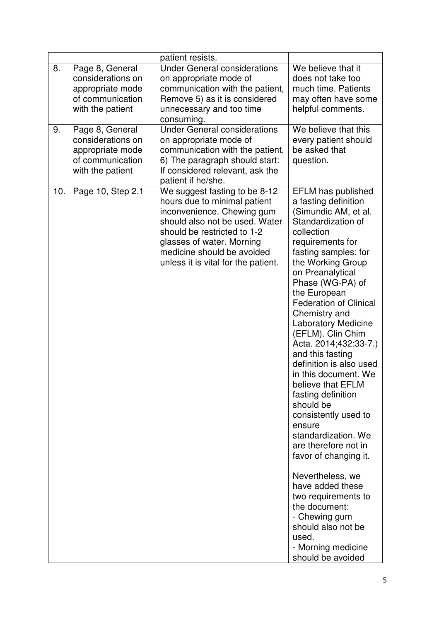|     |                                                                                                  | patient resists.                                                                                                                                                                                                                                               |                                                                                                                                                                                                                                                                                                                                                                                                                                                                                                                                                                                                                                                                                                                                                                                   |
|-----|--------------------------------------------------------------------------------------------------|----------------------------------------------------------------------------------------------------------------------------------------------------------------------------------------------------------------------------------------------------------------|-----------------------------------------------------------------------------------------------------------------------------------------------------------------------------------------------------------------------------------------------------------------------------------------------------------------------------------------------------------------------------------------------------------------------------------------------------------------------------------------------------------------------------------------------------------------------------------------------------------------------------------------------------------------------------------------------------------------------------------------------------------------------------------|
| 8.  | Page 8, General<br>considerations on<br>appropriate mode<br>of communication<br>with the patient | <b>Under General considerations</b><br>on appropriate mode of<br>communication with the patient,<br>Remove 5) as it is considered<br>unnecessary and too time<br>consuming.                                                                                    | We believe that it<br>does not take too<br>much time. Patients<br>may often have some<br>helpful comments.                                                                                                                                                                                                                                                                                                                                                                                                                                                                                                                                                                                                                                                                        |
| 9.  | Page 8, General<br>considerations on<br>appropriate mode<br>of communication<br>with the patient | <b>Under General considerations</b><br>on appropriate mode of<br>communication with the patient,<br>6) The paragraph should start:<br>If considered relevant, ask the<br>patient if he/she.                                                                    | We believe that this<br>every patient should<br>be asked that<br>question.                                                                                                                                                                                                                                                                                                                                                                                                                                                                                                                                                                                                                                                                                                        |
| 10. | Page 10, Step 2.1                                                                                | We suggest fasting to be 8-12<br>hours due to minimal patient<br>inconvenience. Chewing gum<br>should also not be used. Water<br>should be restricted to 1-2<br>glasses of water. Morning<br>medicine should be avoided<br>unless it is vital for the patient. | EFLM has published<br>a fasting definition<br>(Simundic AM, et al.<br>Standardization of<br>collection<br>requirements for<br>fasting samples: for<br>the Working Group<br>on Preanalytical<br>Phase (WG-PA) of<br>the European<br><b>Federation of Clinical</b><br>Chemistry and<br><b>Laboratory Medicine</b><br>(EFLM). Clin Chim<br>Acta. 2014;432:33-7.)<br>and this fasting<br>definition is also used<br>in this document. We<br>believe that EFLM<br>fasting definition<br>should be<br>consistently used to<br>ensure<br>standardization. We<br>are therefore not in<br>favor of changing it.<br>Nevertheless, we<br>have added these<br>two requirements to<br>the document:<br>- Chewing gum<br>should also not be<br>used.<br>- Morning medicine<br>should be avoided |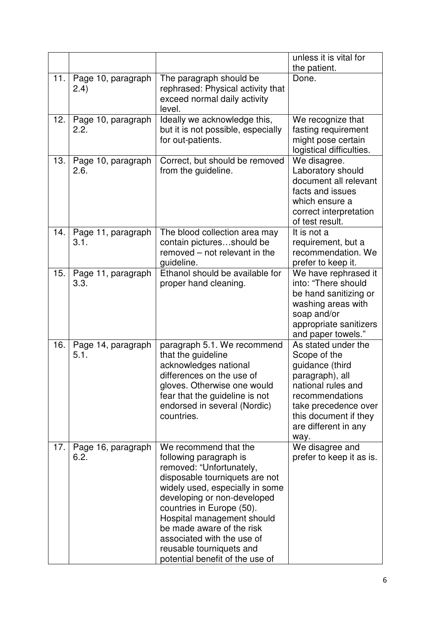|     |                             |                                                                                                                                                                                                                                                                                                                                                                      | unless it is vital for<br>the patient.                                                                                                                                                              |
|-----|-----------------------------|----------------------------------------------------------------------------------------------------------------------------------------------------------------------------------------------------------------------------------------------------------------------------------------------------------------------------------------------------------------------|-----------------------------------------------------------------------------------------------------------------------------------------------------------------------------------------------------|
| 11. | Page 10, paragraph<br>(2.4) | The paragraph should be<br>rephrased: Physical activity that<br>exceed normal daily activity<br>level.                                                                                                                                                                                                                                                               | Done.                                                                                                                                                                                               |
| 12. | Page 10, paragraph<br>2.2.  | Ideally we acknowledge this,<br>but it is not possible, especially<br>for out-patients.                                                                                                                                                                                                                                                                              | We recognize that<br>fasting requirement<br>might pose certain<br>logistical difficulties.                                                                                                          |
| 13. | Page 10, paragraph<br>2.6.  | Correct, but should be removed<br>from the guideline.                                                                                                                                                                                                                                                                                                                | We disagree.<br>Laboratory should<br>document all relevant<br>facts and issues<br>which ensure a<br>correct interpretation<br>of test result.                                                       |
| 14. | Page 11, paragraph<br>3.1.  | The blood collection area may<br>contain picturesshould be<br>removed – not relevant in the<br>quideline.                                                                                                                                                                                                                                                            | It is not a<br>requirement, but a<br>recommendation. We<br>prefer to keep it.                                                                                                                       |
| 15. | Page 11, paragraph<br>3.3.  | Ethanol should be available for<br>proper hand cleaning.                                                                                                                                                                                                                                                                                                             | We have rephrased it<br>into: "There should<br>be hand sanitizing or<br>washing areas with<br>soap and/or<br>appropriate sanitizers<br>and paper towels."                                           |
| 16. | Page 14, paragraph<br>5.1.  | paragraph 5.1. We recommend<br>that the guideline<br>acknowledges national<br>differences on the use of<br>gloves. Otherwise one would<br>fear that the guideline is not<br>endorsed in several (Nordic)<br>countries.                                                                                                                                               | As stated under the<br>Scope of the<br>guidance (third<br>paragraph), all<br>national rules and<br>recommendations<br>take precedence over<br>this document if they<br>are different in any<br>way. |
| 17. | Page 16, paragraph<br>6.2.  | We recommend that the<br>following paragraph is<br>removed: "Unfortunately,<br>disposable tourniquets are not<br>widely used, especially in some<br>developing or non-developed<br>countries in Europe (50).<br>Hospital management should<br>be made aware of the risk<br>associated with the use of<br>reusable tourniquets and<br>potential benefit of the use of | We disagree and<br>prefer to keep it as is.                                                                                                                                                         |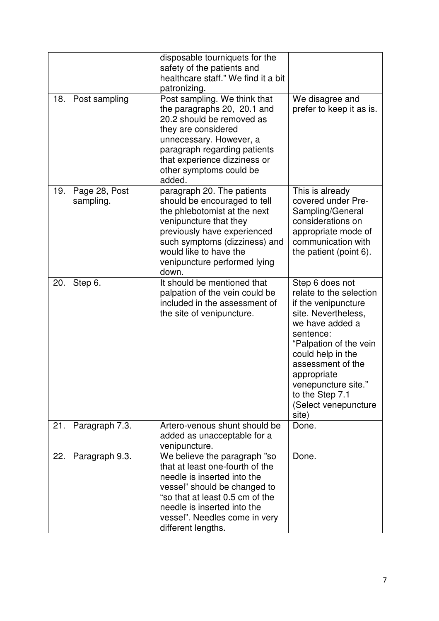| 18. | Post sampling              | disposable tourniquets for the<br>safety of the patients and<br>healthcare staff." We find it a bit<br>patronizing.<br>Post sampling. We think that<br>the paragraphs 20, 20.1 and<br>20.2 should be removed as<br>they are considered<br>unnecessary. However, a<br>paragraph regarding patients<br>that experience dizziness or | We disagree and<br>prefer to keep it as is.                                                                                                                                                                                                                                            |
|-----|----------------------------|-----------------------------------------------------------------------------------------------------------------------------------------------------------------------------------------------------------------------------------------------------------------------------------------------------------------------------------|----------------------------------------------------------------------------------------------------------------------------------------------------------------------------------------------------------------------------------------------------------------------------------------|
|     |                            | other symptoms could be<br>added.                                                                                                                                                                                                                                                                                                 |                                                                                                                                                                                                                                                                                        |
| 19. | Page 28, Post<br>sampling. | paragraph 20. The patients<br>should be encouraged to tell<br>the phlebotomist at the next<br>venipuncture that they<br>previously have experienced<br>such symptoms (dizziness) and<br>would like to have the<br>venipuncture performed lying<br>down.                                                                           | This is already<br>covered under Pre-<br>Sampling/General<br>considerations on<br>appropriate mode of<br>communication with<br>the patient (point 6).                                                                                                                                  |
| 20. | Step 6.                    | It should be mentioned that<br>palpation of the vein could be<br>included in the assessment of<br>the site of venipuncture.                                                                                                                                                                                                       | Step 6 does not<br>relate to the selection<br>if the venipuncture<br>site. Nevertheless,<br>we have added a<br>sentence:<br>"Palpation of the vein<br>could help in the<br>assessment of the<br>appropriate<br>venepuncture site."<br>to the Step 7.1<br>(Select venepuncture<br>site) |
| 21. | Paragraph 7.3.             | Artero-venous shunt should be<br>added as unacceptable for a<br>venipuncture.                                                                                                                                                                                                                                                     | Done.                                                                                                                                                                                                                                                                                  |
| 22. | Paragraph 9.3.             | We believe the paragraph "so<br>that at least one-fourth of the<br>needle is inserted into the<br>vessel" should be changed to<br>"so that at least 0.5 cm of the<br>needle is inserted into the<br>vessel". Needles come in very<br>different lengths.                                                                           | Done.                                                                                                                                                                                                                                                                                  |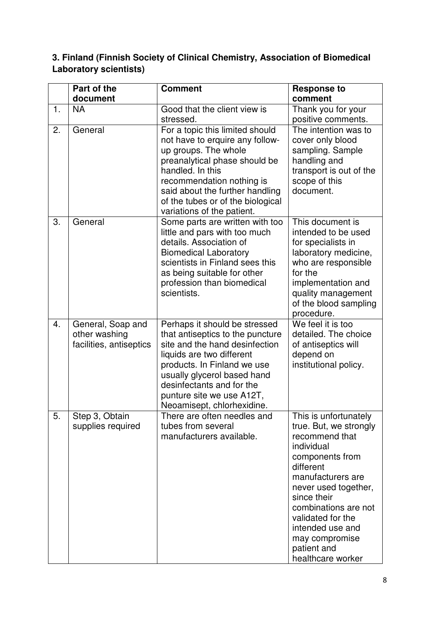### **3. Finland (Finnish Society of Clinical Chemistry, Association of Biomedical Laboratory scientists)**

|    | Part of the                                                   | <b>Comment</b>                                                                                                                                                                                                                                                                         | <b>Response to</b>                                                                                                                                                                                                                                                                                 |
|----|---------------------------------------------------------------|----------------------------------------------------------------------------------------------------------------------------------------------------------------------------------------------------------------------------------------------------------------------------------------|----------------------------------------------------------------------------------------------------------------------------------------------------------------------------------------------------------------------------------------------------------------------------------------------------|
|    | document                                                      |                                                                                                                                                                                                                                                                                        | comment                                                                                                                                                                                                                                                                                            |
| 1. | <b>NA</b>                                                     | Good that the client view is<br>stressed.                                                                                                                                                                                                                                              | Thank you for your<br>positive comments.                                                                                                                                                                                                                                                           |
| 2. | General                                                       | For a topic this limited should<br>not have to erquire any follow-<br>up groups. The whole<br>preanalytical phase should be<br>handled. In this<br>recommendation nothing is<br>said about the further handling<br>of the tubes or of the biological<br>variations of the patient.     | The intention was to<br>cover only blood<br>sampling. Sample<br>handling and<br>transport is out of the<br>scope of this<br>document.                                                                                                                                                              |
| 3. | General                                                       | Some parts are written with too<br>little and pars with too much<br>details. Association of<br><b>Biomedical Laboratory</b><br>scientists in Finland sees this<br>as being suitable for other<br>profession than biomedical<br>scientists.                                             | This document is<br>intended to be used<br>for specialists in<br>laboratory medicine,<br>who are responsible<br>for the<br>implementation and<br>quality management<br>of the blood sampling<br>procedure.                                                                                         |
| 4. | General, Soap and<br>other washing<br>facilities, antiseptics | Perhaps it should be stressed<br>that antiseptics to the puncture<br>site and the hand desinfection<br>liquids are two different<br>products. In Finland we use<br>usually glycerol based hand<br>desinfectants and for the<br>punture site we use A12T,<br>Neoamisept, chlorhexidine. | We feel it is too<br>detailed. The choice<br>of antiseptics will<br>depend on<br>institutional policy.                                                                                                                                                                                             |
| 5. | Step 3, Obtain<br>supplies required                           | There are often needles and<br>tubes from several<br>manufacturers available.                                                                                                                                                                                                          | This is unfortunately<br>true. But, we strongly<br>recommend that<br>individual<br>components from<br>different<br>manufacturers are<br>never used together,<br>since their<br>combinations are not<br>validated for the<br>intended use and<br>may compromise<br>patient and<br>healthcare worker |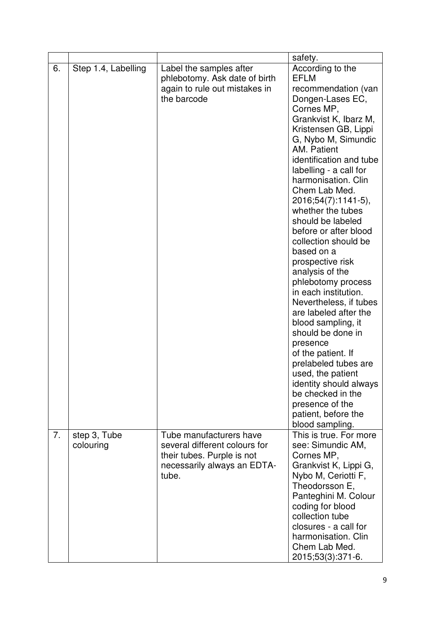|    |                           |                                                                                                                                | safety.                                                                                                                                                                                                                                                                                                                                                                                                                                                                                                                                                                                                                                                                                                                                                                                    |
|----|---------------------------|--------------------------------------------------------------------------------------------------------------------------------|--------------------------------------------------------------------------------------------------------------------------------------------------------------------------------------------------------------------------------------------------------------------------------------------------------------------------------------------------------------------------------------------------------------------------------------------------------------------------------------------------------------------------------------------------------------------------------------------------------------------------------------------------------------------------------------------------------------------------------------------------------------------------------------------|
| 6. | Step 1.4, Labelling       | Label the samples after<br>phlebotomy. Ask date of birth<br>again to rule out mistakes in<br>the barcode                       | According to the<br><b>EFLM</b><br>recommendation (van<br>Dongen-Lases EC,<br>Cornes MP,<br>Grankvist K, Ibarz M,<br>Kristensen GB, Lippi<br>G, Nybo M, Simundic<br>AM. Patient<br>identification and tube<br>labelling - a call for<br>harmonisation. Clin<br>Chem Lab Med.<br>2016;54(7):1141-5),<br>whether the tubes<br>should be labeled<br>before or after blood<br>collection should be<br>based on a<br>prospective risk<br>analysis of the<br>phlebotomy process<br>in each institution.<br>Nevertheless, if tubes<br>are labeled after the<br>blood sampling, it<br>should be done in<br>presence<br>of the patient. If<br>prelabeled tubes are<br>used, the patient<br>identity should always<br>be checked in the<br>presence of the<br>patient, before the<br>blood sampling. |
| 7. | step 3, Tube<br>colouring | Tube manufacturers have<br>several different colours for<br>their tubes. Purple is not<br>necessarily always an EDTA-<br>tube. | This is true. For more<br>see: Simundic AM,<br>Cornes MP,<br>Grankvist K, Lippi G,<br>Nybo M, Ceriotti F,<br>Theodorsson E,<br>Panteghini M. Colour<br>coding for blood<br>collection tube<br>closures - a call for<br>harmonisation. Clin<br>Chem Lab Med.<br>2015;53(3):371-6.                                                                                                                                                                                                                                                                                                                                                                                                                                                                                                           |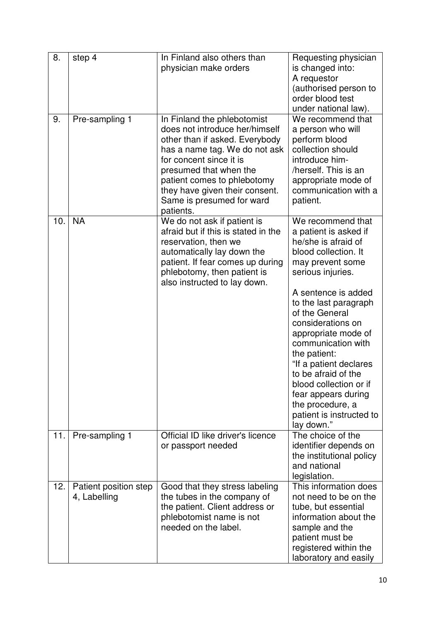| 8.  | step 4                                | In Finland also others than<br>physician make orders                                                                                                                                                                                                                                             | Requesting physician<br>is changed into:<br>A requestor<br>(authorised person to<br>order blood test<br>under national law).                                                                                                                                                                                                                                                                                                                           |
|-----|---------------------------------------|--------------------------------------------------------------------------------------------------------------------------------------------------------------------------------------------------------------------------------------------------------------------------------------------------|--------------------------------------------------------------------------------------------------------------------------------------------------------------------------------------------------------------------------------------------------------------------------------------------------------------------------------------------------------------------------------------------------------------------------------------------------------|
| 9.  | Pre-sampling 1                        | In Finland the phlebotomist<br>does not introduce her/himself<br>other than if asked. Everybody<br>has a name tag. We do not ask<br>for concent since it is<br>presumed that when the<br>patient comes to phlebotomy<br>they have given their consent.<br>Same is presumed for ward<br>patients. | We recommend that<br>a person who will<br>perform blood<br>collection should<br>introduce him-<br>/herself. This is an<br>appropriate mode of<br>communication with a<br>patient.                                                                                                                                                                                                                                                                      |
| 10. | <b>NA</b>                             | We do not ask if patient is<br>afraid but if this is stated in the<br>reservation, then we<br>automatically lay down the<br>patient. If fear comes up during<br>phlebotomy, then patient is<br>also instructed to lay down.                                                                      | We recommend that<br>a patient is asked if<br>he/she is afraid of<br>blood collection. It<br>may prevent some<br>serious injuries.<br>A sentence is added<br>to the last paragraph<br>of the General<br>considerations on<br>appropriate mode of<br>communication with<br>the patient:<br>"If a patient declares<br>to be afraid of the<br>blood collection or if<br>fear appears during<br>the procedure, a<br>patient is instructed to<br>lay down." |
| 11. | Pre-sampling 1                        | Official ID like driver's licence<br>or passport needed                                                                                                                                                                                                                                          | The choice of the<br>identifier depends on<br>the institutional policy<br>and national<br>legislation.                                                                                                                                                                                                                                                                                                                                                 |
| 12. | Patient position step<br>4, Labelling | Good that they stress labeling<br>the tubes in the company of<br>the patient. Client address or<br>phlebotomist name is not<br>needed on the label.                                                                                                                                              | This information does<br>not need to be on the<br>tube, but essential<br>information about the<br>sample and the<br>patient must be<br>registered within the<br>laboratory and easily                                                                                                                                                                                                                                                                  |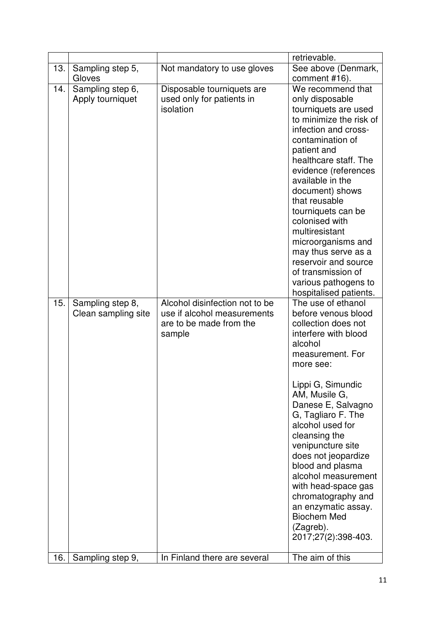|     |                                         |                                                                                                    | retrievable.                                                                                                                                                                                                                                                                                                                                                                                                                                                                     |
|-----|-----------------------------------------|----------------------------------------------------------------------------------------------------|----------------------------------------------------------------------------------------------------------------------------------------------------------------------------------------------------------------------------------------------------------------------------------------------------------------------------------------------------------------------------------------------------------------------------------------------------------------------------------|
| 13. | Sampling step 5,<br>Gloves              | Not mandatory to use gloves                                                                        | See above (Denmark,<br>comment #16).                                                                                                                                                                                                                                                                                                                                                                                                                                             |
| 14. | Sampling step 6,<br>Apply tourniquet    | Disposable tourniquets are<br>used only for patients in<br>isolation                               | We recommend that<br>only disposable<br>tourniquets are used<br>to minimize the risk of<br>infection and cross-<br>contamination of<br>patient and<br>healthcare staff. The<br>evidence (references<br>available in the<br>document) shows<br>that reusable<br>tourniquets can be<br>colonised with<br>multiresistant<br>microorganisms and<br>may thus serve as a<br>reservoir and source<br>of transmission of<br>various pathogens to<br>hospitalised patients.               |
| 15. | Sampling step 8,<br>Clean sampling site | Alcohol disinfection not to be<br>use if alcohol measurements<br>are to be made from the<br>sample | The use of ethanol<br>before venous blood<br>collection does not<br>interfere with blood<br>alcohol<br>measurement. For<br>more see:<br>Lippi G, Simundic<br>AM, Musile G,<br>Danese E, Salvagno<br>G, Tagliaro F. The<br>alcohol used for<br>cleansing the<br>venipuncture site<br>does not jeopardize<br>blood and plasma<br>alcohol measurement<br>with head-space gas<br>chromatography and<br>an enzymatic assay.<br><b>Biochem Med</b><br>(Zagreb).<br>2017;27(2):398-403. |
| 16. | Sampling step 9,                        | In Finland there are several                                                                       | The aim of this                                                                                                                                                                                                                                                                                                                                                                                                                                                                  |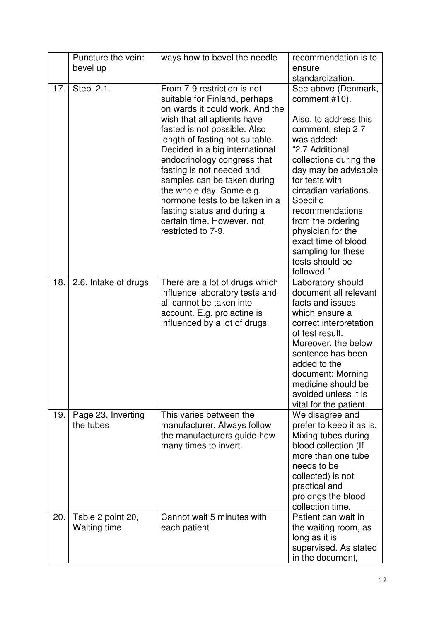|     | Puncture the vein:<br>bevel up           | ways how to bevel the needle                                                                                                                                                                                                                                                                                                                                                                                                                                                    | recommendation is to<br>ensure                                                                                                                                                                                                                                                                                                                                          |
|-----|------------------------------------------|---------------------------------------------------------------------------------------------------------------------------------------------------------------------------------------------------------------------------------------------------------------------------------------------------------------------------------------------------------------------------------------------------------------------------------------------------------------------------------|-------------------------------------------------------------------------------------------------------------------------------------------------------------------------------------------------------------------------------------------------------------------------------------------------------------------------------------------------------------------------|
|     |                                          |                                                                                                                                                                                                                                                                                                                                                                                                                                                                                 | standardization.                                                                                                                                                                                                                                                                                                                                                        |
| 17. | Step 2.1.                                | From 7-9 restriction is not<br>suitable for Finland, perhaps<br>on wards it could work. And the<br>wish that all aptients have<br>fasted is not possible. Also<br>length of fasting not suitable.<br>Decided in a big international<br>endocrinology congress that<br>fasting is not needed and<br>samples can be taken during<br>the whole day. Some e.g.<br>hormone tests to be taken in a<br>fasting status and during a<br>certain time. However, not<br>restricted to 7-9. | See above (Denmark,<br>comment #10).<br>Also, to address this<br>comment, step 2.7<br>was added:<br>"2.7 Additional<br>collections during the<br>day may be advisable<br>for tests with<br>circadian variations.<br>Specific<br>recommendations<br>from the ordering<br>physician for the<br>exact time of blood<br>sampling for these<br>tests should be<br>followed." |
| 18. | 2.6. Intake of drugs                     | There are a lot of drugs which<br>influence laboratory tests and<br>all cannot be taken into<br>account. E.g. prolactine is<br>influenced by a lot of drugs.                                                                                                                                                                                                                                                                                                                    | Laboratory should<br>document all relevant<br>facts and issues<br>which ensure a<br>correct interpretation<br>of test result.<br>Moreover, the below<br>sentence has been<br>added to the<br>document: Morning<br>medicine should be<br>avoided unless it is<br>vital for the patient.                                                                                  |
| 19. | Page 23, Inverting<br>the tubes          | This varies between the<br>manufacturer. Always follow<br>the manufacturers guide how<br>many times to invert.                                                                                                                                                                                                                                                                                                                                                                  | We disagree and<br>prefer to keep it as is.<br>Mixing tubes during<br>blood collection (If<br>more than one tube<br>needs to be<br>collected) is not<br>practical and<br>prolongs the blood<br>collection time.                                                                                                                                                         |
| 20. | Table 2 point 20,<br><b>Waiting time</b> | Cannot wait 5 minutes with<br>each patient                                                                                                                                                                                                                                                                                                                                                                                                                                      | Patient can wait in<br>the waiting room, as<br>long as it is<br>supervised. As stated<br>in the document,                                                                                                                                                                                                                                                               |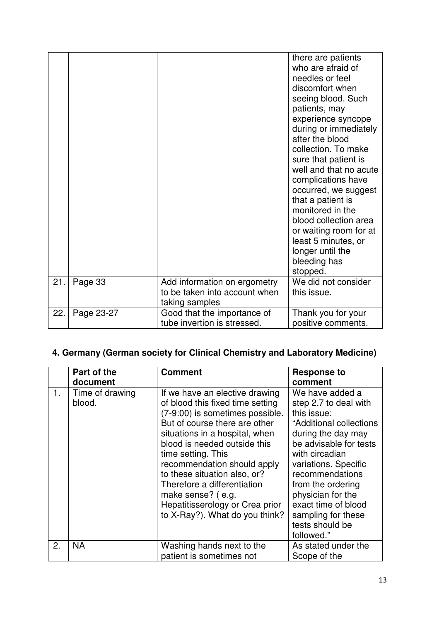|     |            |                                                                                 | there are patients<br>who are afraid of<br>needles or feel<br>discomfort when<br>seeing blood. Such<br>patients, may<br>experience syncope<br>during or immediately<br>after the blood<br>collection. To make<br>sure that patient is<br>well and that no acute<br>complications have<br>occurred, we suggest<br>that a patient is<br>monitored in the<br>blood collection area<br>or waiting room for at<br>least 5 minutes, or<br>longer until the<br>bleeding has<br>stopped. |
|-----|------------|---------------------------------------------------------------------------------|----------------------------------------------------------------------------------------------------------------------------------------------------------------------------------------------------------------------------------------------------------------------------------------------------------------------------------------------------------------------------------------------------------------------------------------------------------------------------------|
| 21. | Page 33    | Add information on ergometry<br>to be taken into account when<br>taking samples | We did not consider<br>this issue.                                                                                                                                                                                                                                                                                                                                                                                                                                               |
| 22. | Page 23-27 | Good that the importance of<br>tube invertion is stressed.                      | Thank you for your<br>positive comments.                                                                                                                                                                                                                                                                                                                                                                                                                                         |

## **4. Germany (German society for Clinical Chemistry and Laboratory Medicine)**

|    | Part of the<br>document   | <b>Comment</b>                                                                                                                                                                                                                                                                                                                                                                                                         | <b>Response to</b><br>comment                                                                                                                                                                                                                                                                                           |
|----|---------------------------|------------------------------------------------------------------------------------------------------------------------------------------------------------------------------------------------------------------------------------------------------------------------------------------------------------------------------------------------------------------------------------------------------------------------|-------------------------------------------------------------------------------------------------------------------------------------------------------------------------------------------------------------------------------------------------------------------------------------------------------------------------|
| 1. | Time of drawing<br>blood. | If we have an elective drawing<br>of blood this fixed time setting<br>(7-9:00) is sometimes possible.<br>But of course there are other<br>situations in a hospital, when<br>blood is needed outside this<br>time setting. This<br>recommendation should apply<br>to these situation also, or?<br>Therefore a differentiation<br>make sense? (e.g.<br>Hepatitisserology or Crea prior<br>to X-Ray?). What do you think? | We have added a<br>step 2.7 to deal with<br>this issue:<br>"Additional collections<br>during the day may<br>be advisable for tests<br>with circadian<br>variations. Specific<br>recommendations<br>from the ordering<br>physician for the<br>exact time of blood<br>sampling for these<br>tests should be<br>followed." |
| 2. | <b>NA</b>                 | Washing hands next to the<br>patient is sometimes not                                                                                                                                                                                                                                                                                                                                                                  | As stated under the<br>Scope of the                                                                                                                                                                                                                                                                                     |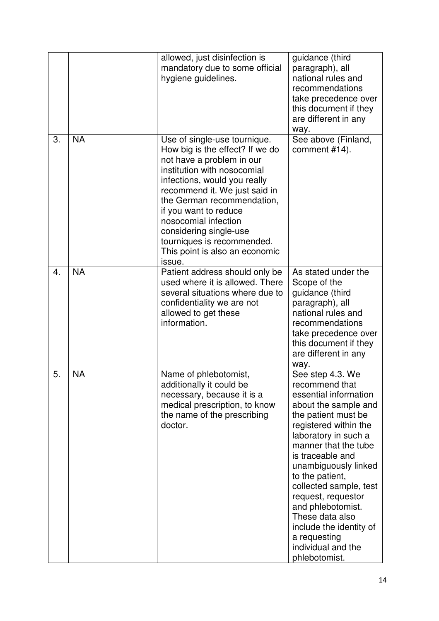|    |           | allowed, just disinfection is<br>mandatory due to some official<br>hygiene guidelines.                                                                                                                                                                                                                                                                                          | guidance (third<br>paragraph), all<br>national rules and<br>recommendations<br>take precedence over<br>this document if they<br>are different in any<br>way.                                                                                                                                                                                                                                                                 |
|----|-----------|---------------------------------------------------------------------------------------------------------------------------------------------------------------------------------------------------------------------------------------------------------------------------------------------------------------------------------------------------------------------------------|------------------------------------------------------------------------------------------------------------------------------------------------------------------------------------------------------------------------------------------------------------------------------------------------------------------------------------------------------------------------------------------------------------------------------|
| 3. | <b>NA</b> | Use of single-use tournique.<br>How big is the effect? If we do<br>not have a problem in our<br>institution with nosocomial<br>infections, would you really<br>recommend it. We just said in<br>the German recommendation,<br>if you want to reduce<br>nosocomial infection<br>considering single-use<br>tourniques is recommended.<br>This point is also an economic<br>issue. | See above (Finland,<br>comment #14).                                                                                                                                                                                                                                                                                                                                                                                         |
| 4. | <b>NA</b> | Patient address should only be<br>used where it is allowed. There<br>several situations where due to<br>confidentiality we are not<br>allowed to get these<br>information.                                                                                                                                                                                                      | As stated under the<br>Scope of the<br>guidance (third<br>paragraph), all<br>national rules and<br>recommendations<br>take precedence over<br>this document if they<br>are different in any<br>way.                                                                                                                                                                                                                          |
| 5. | <b>NA</b> | Name of phlebotomist,<br>additionally it could be<br>necessary, because it is a<br>medical prescription, to know<br>the name of the prescribing<br>doctor.                                                                                                                                                                                                                      | See step 4.3. We<br>recommend that<br>essential information<br>about the sample and<br>the patient must be<br>registered within the<br>laboratory in such a<br>manner that the tube<br>is traceable and<br>unambiguously linked<br>to the patient,<br>collected sample, test<br>request, requestor<br>and phlebotomist.<br>These data also<br>include the identity of<br>a requesting<br>individual and the<br>phlebotomist. |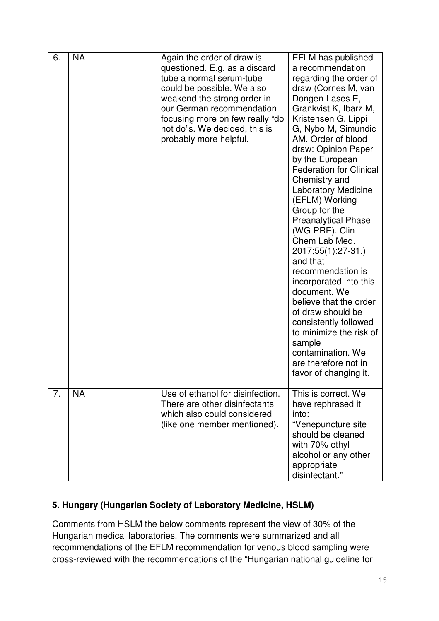| 6. | <b>NA</b> | Again the order of draw is<br>questioned. E.g. as a discard<br>tube a normal serum-tube<br>could be possible. We also<br>weakend the strong order in<br>our German recommendation<br>focusing more on few really "do<br>not do"s. We decided, this is<br>probably more helpful. | <b>EFLM</b> has published<br>a recommendation<br>regarding the order of<br>draw (Cornes M, van<br>Dongen-Lases E,<br>Grankvist K, Ibarz M,<br>Kristensen G, Lippi<br>G, Nybo M, Simundic<br>AM. Order of blood<br>draw: Opinion Paper<br>by the European<br><b>Federation for Clinical</b><br>Chemistry and<br><b>Laboratory Medicine</b><br>(EFLM) Working<br>Group for the<br><b>Preanalytical Phase</b><br>(WG-PRE). Clin<br>Chem Lab Med.<br>2017;55(1):27-31.)<br>and that<br>recommendation is<br>incorporated into this<br>document. We<br>believe that the order<br>of draw should be<br>consistently followed<br>to minimize the risk of<br>sample<br>contamination. We<br>are therefore not in<br>favor of changing it. |
|----|-----------|---------------------------------------------------------------------------------------------------------------------------------------------------------------------------------------------------------------------------------------------------------------------------------|-----------------------------------------------------------------------------------------------------------------------------------------------------------------------------------------------------------------------------------------------------------------------------------------------------------------------------------------------------------------------------------------------------------------------------------------------------------------------------------------------------------------------------------------------------------------------------------------------------------------------------------------------------------------------------------------------------------------------------------|
| 7. | <b>NA</b> | Use of ethanol for disinfection.<br>There are other disinfectants<br>which also could considered<br>(like one member mentioned).                                                                                                                                                | This is correct. We<br>have rephrased it<br>into:<br>"Venepuncture site<br>should be cleaned<br>with 70% ethyl<br>alcohol or any other<br>appropriate<br>disinfectant."                                                                                                                                                                                                                                                                                                                                                                                                                                                                                                                                                           |

### **5. Hungary (Hungarian Society of Laboratory Medicine, HSLM)**

Comments from HSLM the below comments represent the view of 30% of the Hungarian medical laboratories. The comments were summarized and all recommendations of the EFLM recommendation for venous blood sampling were cross-reviewed with the recommendations of the "Hungarian national guideline for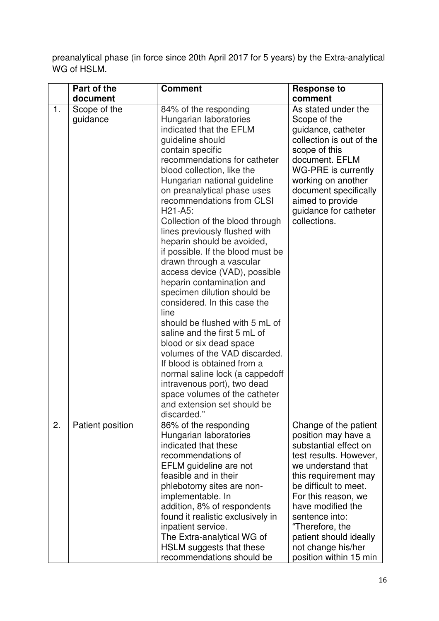preanalytical phase (in force since 20th April 2017 for 5 years) by the Extra-analytical WG of HSLM.

|    | Part of the              | <b>Comment</b>                                                                                                                                                                                                                                                                                                                                                                                                                                                                                                                                                                                                                                                                                                                                                                                                                                                                                                   | <b>Response to</b>                                                                                                                                                                                                                                                                                                                |
|----|--------------------------|------------------------------------------------------------------------------------------------------------------------------------------------------------------------------------------------------------------------------------------------------------------------------------------------------------------------------------------------------------------------------------------------------------------------------------------------------------------------------------------------------------------------------------------------------------------------------------------------------------------------------------------------------------------------------------------------------------------------------------------------------------------------------------------------------------------------------------------------------------------------------------------------------------------|-----------------------------------------------------------------------------------------------------------------------------------------------------------------------------------------------------------------------------------------------------------------------------------------------------------------------------------|
|    | document                 |                                                                                                                                                                                                                                                                                                                                                                                                                                                                                                                                                                                                                                                                                                                                                                                                                                                                                                                  | comment                                                                                                                                                                                                                                                                                                                           |
| 1. | Scope of the<br>guidance | 84% of the responding<br>Hungarian laboratories<br>indicated that the EFLM<br>guideline should<br>contain specific<br>recommendations for catheter<br>blood collection, like the<br>Hungarian national guideline<br>on preanalytical phase uses<br>recommendations from CLSI<br>$H21-A5$ :<br>Collection of the blood through<br>lines previously flushed with<br>heparin should be avoided,<br>if possible. If the blood must be<br>drawn through a vascular<br>access device (VAD), possible<br>heparin contamination and<br>specimen dilution should be<br>considered. In this case the<br>line<br>should be flushed with 5 mL of<br>saline and the first 5 mL of<br>blood or six dead space<br>volumes of the VAD discarded.<br>If blood is obtained from a<br>normal saline lock (a cappedoff<br>intravenous port), two dead<br>space volumes of the catheter<br>and extension set should be<br>discarded." | As stated under the<br>Scope of the<br>guidance, catheter<br>collection is out of the<br>scope of this<br>document. EFLM<br>WG-PRE is currently<br>working on another<br>document specifically<br>aimed to provide<br>guidance for catheter<br>collections.                                                                       |
| 2. | Patient position         | 86% of the responding<br>Hungarian laboratories<br>indicated that these<br>recommendations of<br>EFLM guideline are not<br>feasible and in their<br>phlebotomy sites are non-<br>implementable. In<br>addition, 8% of respondents<br>found it realistic exclusively in<br>inpatient service.<br>The Extra-analytical WG of<br>HSLM suggests that these<br>recommendations should be                                                                                                                                                                                                                                                                                                                                                                                                                                                                                                                              | Change of the patient<br>position may have a<br>substantial effect on<br>test results. However,<br>we understand that<br>this requirement may<br>be difficult to meet.<br>For this reason, we<br>have modified the<br>sentence into:<br>"Therefore, the<br>patient should ideally<br>not change his/her<br>position within 15 min |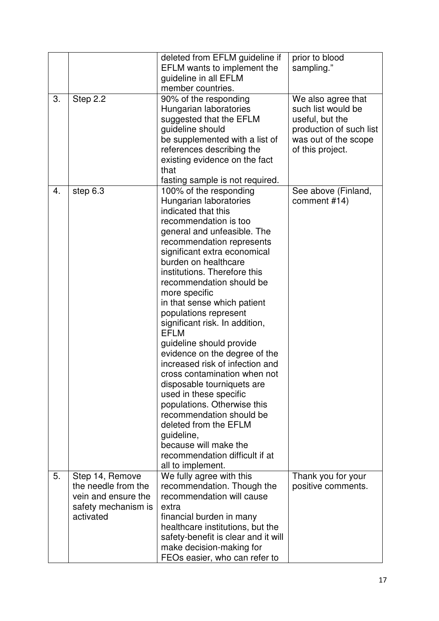|    |                                                                                | deleted from EFLM guideline if<br>EFLM wants to implement the<br>guideline in all EFLM                                                                                                                                                                                                                                                                                                                                                                                                                                                                                                                                                                                                                                                                          | prior to blood<br>sampling."                                                                                                       |
|----|--------------------------------------------------------------------------------|-----------------------------------------------------------------------------------------------------------------------------------------------------------------------------------------------------------------------------------------------------------------------------------------------------------------------------------------------------------------------------------------------------------------------------------------------------------------------------------------------------------------------------------------------------------------------------------------------------------------------------------------------------------------------------------------------------------------------------------------------------------------|------------------------------------------------------------------------------------------------------------------------------------|
|    |                                                                                | member countries.                                                                                                                                                                                                                                                                                                                                                                                                                                                                                                                                                                                                                                                                                                                                               |                                                                                                                                    |
| 3. | Step 2.2                                                                       | 90% of the responding<br>Hungarian laboratories<br>suggested that the EFLM<br>guideline should<br>be supplemented with a list of<br>references describing the<br>existing evidence on the fact<br>that<br>fasting sample is not required.                                                                                                                                                                                                                                                                                                                                                                                                                                                                                                                       | We also agree that<br>such list would be<br>useful, but the<br>production of such list<br>was out of the scope<br>of this project. |
| 4. | step 6.3                                                                       | 100% of the responding<br>Hungarian laboratories<br>indicated that this<br>recommendation is too<br>general and unfeasible. The<br>recommendation represents<br>significant extra economical<br>burden on healthcare<br>institutions. Therefore this<br>recommendation should be<br>more specific<br>in that sense which patient<br>populations represent<br>significant risk. In addition,<br><b>EFLM</b><br>guideline should provide<br>evidence on the degree of the<br>increased risk of infection and<br>cross contamination when not<br>disposable tourniquets are<br>used in these specific<br>populations. Otherwise this<br>recommendation should be<br>deleted from the EFLM<br>guideline,<br>because will make the<br>recommendation difficult if at | See above (Finland,<br>comment #14)                                                                                                |
| 5. | Step 14, Remove                                                                | all to implement.<br>We fully agree with this                                                                                                                                                                                                                                                                                                                                                                                                                                                                                                                                                                                                                                                                                                                   | Thank you for your                                                                                                                 |
|    | the needle from the<br>vein and ensure the<br>safety mechanism is<br>activated | recommendation. Though the<br>recommendation will cause<br>extra<br>financial burden in many<br>healthcare institutions, but the<br>safety-benefit is clear and it will<br>make decision-making for<br>FEOs easier, who can refer to                                                                                                                                                                                                                                                                                                                                                                                                                                                                                                                            | positive comments.                                                                                                                 |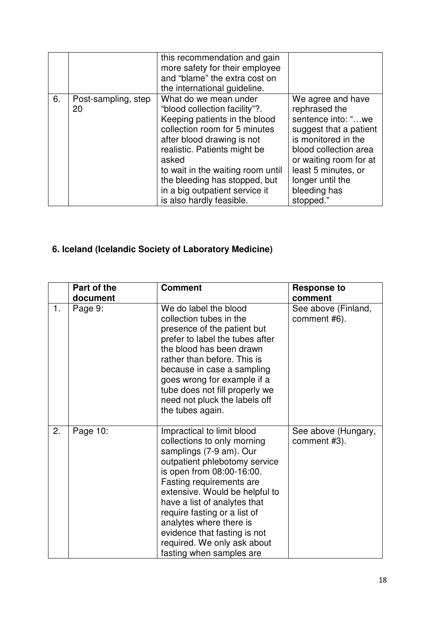|    |                           | this recommendation and gain<br>more safety for their employee<br>and "blame" the extra cost on<br>the international guideline.                                                                                                                                                                                                     |                                                                                                                                                                                                                                      |
|----|---------------------------|-------------------------------------------------------------------------------------------------------------------------------------------------------------------------------------------------------------------------------------------------------------------------------------------------------------------------------------|--------------------------------------------------------------------------------------------------------------------------------------------------------------------------------------------------------------------------------------|
| 6. | Post-sampling, step<br>20 | What do we mean under<br>"blood collection facility"?.<br>Keeping patients in the blood<br>collection room for 5 minutes<br>after blood drawing is not<br>realistic. Patients might be<br>asked<br>to wait in the waiting room until<br>the bleeding has stopped, but<br>in a big outpatient service it<br>is also hardly feasible. | We agree and have<br>rephrased the<br>sentence into: "we<br>suggest that a patient<br>is monitored in the<br>blood collection area<br>or waiting room for at<br>least 5 minutes, or<br>longer until the<br>bleeding has<br>stopped." |

# **6. Iceland (Icelandic Society of Laboratory Medicine)**

|    | Part of the | <b>Comment</b>                                                                                                                                                                                                                                                                                                                                                                                         | <b>Response to</b>                  |
|----|-------------|--------------------------------------------------------------------------------------------------------------------------------------------------------------------------------------------------------------------------------------------------------------------------------------------------------------------------------------------------------------------------------------------------------|-------------------------------------|
|    | document    |                                                                                                                                                                                                                                                                                                                                                                                                        | comment                             |
| 1. | Page 9:     | We do label the blood<br>collection tubes in the<br>presence of the patient but<br>prefer to label the tubes after<br>the blood has been drawn<br>rather than before. This is<br>because in case a sampling<br>goes wrong for example if a<br>tube does not fill properly we<br>need not pluck the labels off<br>the tubes again.                                                                      | See above (Finland,<br>comment #6). |
| 2. | Page 10:    | Impractical to limit blood<br>collections to only morning<br>samplings (7-9 am). Our<br>outpatient phlebotomy service<br>is open from 08:00-16:00.<br>Fasting requirements are<br>extensive. Would be helpful to<br>have a list of analytes that<br>require fasting or a list of<br>analytes where there is<br>evidence that fasting is not<br>required. We only ask about<br>fasting when samples are | See above (Hungary,<br>comment #3). |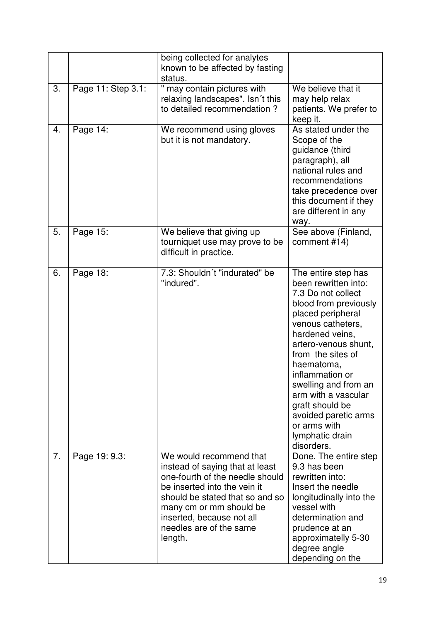|    |                    | being collected for analytes<br>known to be affected by fasting<br>status.                                                                                                                                                                                     |                                                                                                                                                                                                                                                                                                                                                                                  |
|----|--------------------|----------------------------------------------------------------------------------------------------------------------------------------------------------------------------------------------------------------------------------------------------------------|----------------------------------------------------------------------------------------------------------------------------------------------------------------------------------------------------------------------------------------------------------------------------------------------------------------------------------------------------------------------------------|
| 3. | Page 11: Step 3.1: | " may contain pictures with<br>relaxing landscapes". Isn't this<br>to detailed recommendation?                                                                                                                                                                 | We believe that it<br>may help relax<br>patients. We prefer to<br>keep it.                                                                                                                                                                                                                                                                                                       |
| 4. | Page 14:           | We recommend using gloves<br>but it is not mandatory.                                                                                                                                                                                                          | As stated under the<br>Scope of the<br>guidance (third<br>paragraph), all<br>national rules and<br>recommendations<br>take precedence over<br>this document if they<br>are different in any<br>way.                                                                                                                                                                              |
| 5. | Page 15:           | We believe that giving up<br>tourniquet use may prove to be<br>difficult in practice.                                                                                                                                                                          | See above (Finland,<br>comment #14)                                                                                                                                                                                                                                                                                                                                              |
| 6. | Page 18:           | 7.3: Shouldn't "indurated" be<br>"indured".                                                                                                                                                                                                                    | The entire step has<br>been rewritten into:<br>7.3 Do not collect<br>blood from previously<br>placed peripheral<br>venous catheters,<br>hardened veins,<br>artero-venous shunt,<br>from the sites of<br>haematoma,<br>inflammation or<br>swelling and from an<br>arm with a vascular<br>graft should be<br>avoided paretic arms<br>or arms with<br>lymphatic drain<br>disorders. |
| 7. | Page 19: 9.3:      | We would recommend that<br>instead of saying that at least<br>one-fourth of the needle should<br>be inserted into the vein it<br>should be stated that so and so<br>many cm or mm should be<br>inserted, because not all<br>needles are of the same<br>length. | Done. The entire step<br>9.3 has been<br>rewritten into:<br>Insert the needle<br>longitudinally into the<br>vessel with<br>determination and<br>prudence at an<br>approximatelly 5-30<br>degree angle<br>depending on the                                                                                                                                                        |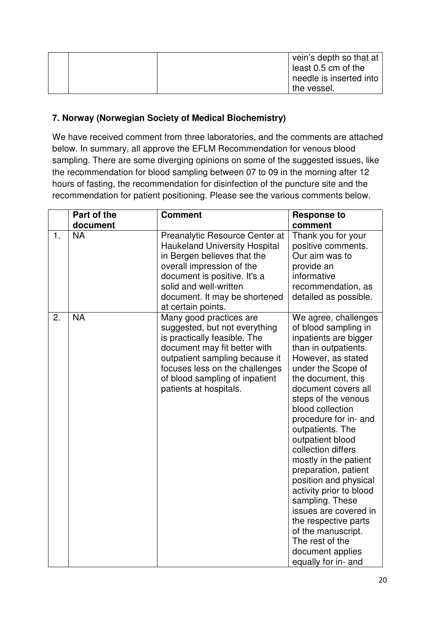|  | vein's depth so that at |
|--|-------------------------|
|  | least 0.5 cm of the     |
|  | needle is inserted into |
|  | the vessel.             |

#### **7. Norway (Norwegian Society of Medical Biochemistry)**

We have received comment from three laboratories, and the comments are attached below. In summary, all approve the EFLM Recommendation for venous blood sampling. There are some diverging opinions on some of the suggested issues, like the recommendation for blood sampling between 07 to 09 in the morning after 12 hours of fasting, the recommendation for disinfection of the puncture site and the recommendation for patient positioning. Please see the various comments below.

|                | Part of the | <b>Comment</b>                                                                                                                                                                                                                                           | <b>Response to</b>                                                                                                                                                                                                                                                                                                                                                                                                                                                                                                                                                                    |
|----------------|-------------|----------------------------------------------------------------------------------------------------------------------------------------------------------------------------------------------------------------------------------------------------------|---------------------------------------------------------------------------------------------------------------------------------------------------------------------------------------------------------------------------------------------------------------------------------------------------------------------------------------------------------------------------------------------------------------------------------------------------------------------------------------------------------------------------------------------------------------------------------------|
|                | document    |                                                                                                                                                                                                                                                          | comment                                                                                                                                                                                                                                                                                                                                                                                                                                                                                                                                                                               |
| $\mathbf{1}$ . | <b>NA</b>   | Preanalytic Resource Center at<br><b>Haukeland University Hospital</b><br>in Bergen believes that the<br>overall impression of the<br>document is positive. It's a<br>solid and well-written<br>document. It may be shortened<br>at certain points.      | Thank you for your<br>positive comments.<br>Our aim was to<br>provide an<br>informative<br>recommendation, as<br>detailed as possible.                                                                                                                                                                                                                                                                                                                                                                                                                                                |
| 2.             | <b>NA</b>   | Many good practices are<br>suggested, but not everything<br>is practically feasible. The<br>document may fit better with<br>outpatient sampling because it<br>focuses less on the challenges<br>of blood sampling of inpatient<br>patients at hospitals. | We agree, challenges<br>of blood sampling in<br>inpatients are bigger<br>than in outpatients.<br>However, as stated<br>under the Scope of<br>the document, this<br>document covers all<br>steps of the venous<br>blood collection<br>procedure for in- and<br>outpatients. The<br>outpatient blood<br>collection differs<br>mostly in the patient<br>preparation, patient<br>position and physical<br>activity prior to blood<br>sampling. These<br>issues are covered in<br>the respective parts<br>of the manuscript.<br>The rest of the<br>document applies<br>equally for in- and |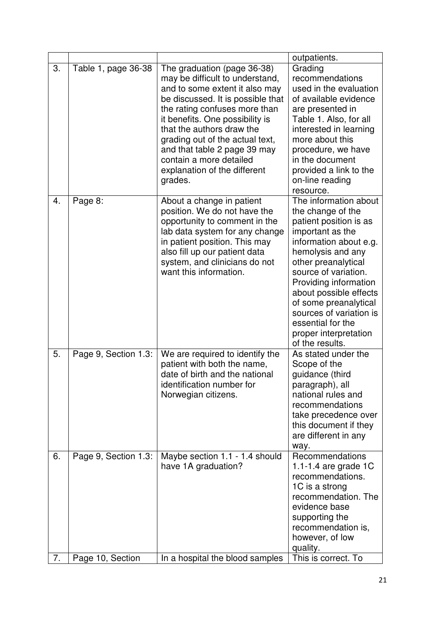|    |                      |                                                                                                                                                                                                                                                                                                                                                                                 | outpatients.                                                                                                                                                                                                                                                                                                                                                   |
|----|----------------------|---------------------------------------------------------------------------------------------------------------------------------------------------------------------------------------------------------------------------------------------------------------------------------------------------------------------------------------------------------------------------------|----------------------------------------------------------------------------------------------------------------------------------------------------------------------------------------------------------------------------------------------------------------------------------------------------------------------------------------------------------------|
| 3. | Table 1, page 36-38  | The graduation (page 36-38)<br>may be difficult to understand,<br>and to some extent it also may<br>be discussed. It is possible that<br>the rating confuses more than<br>it benefits. One possibility is<br>that the authors draw the<br>grading out of the actual text,<br>and that table 2 page 39 may<br>contain a more detailed<br>explanation of the different<br>grades. | Grading<br>recommendations<br>used in the evaluation<br>of available evidence<br>are presented in<br>Table 1. Also, for all<br>interested in learning<br>more about this<br>procedure, we have<br>in the document<br>provided a link to the<br>on-line reading<br>resource.                                                                                    |
| 4. | Page 8:              | About a change in patient<br>position. We do not have the<br>opportunity to comment in the<br>lab data system for any change<br>in patient position. This may<br>also fill up our patient data<br>system, and clinicians do not<br>want this information.                                                                                                                       | The information about<br>the change of the<br>patient position is as<br>important as the<br>information about e.g.<br>hemolysis and any<br>other preanalytical<br>source of variation.<br>Providing information<br>about possible effects<br>of some preanalytical<br>sources of variation is<br>essential for the<br>proper interpretation<br>of the results. |
| 5. | Page 9, Section 1.3: | We are required to identify the<br>patient with both the name,<br>date of birth and the national<br>identification number for<br>Norwegian citizens.                                                                                                                                                                                                                            | As stated under the<br>Scope of the<br>guidance (third<br>paragraph), all<br>national rules and<br>recommendations<br>take precedence over<br>this document if they<br>are different in any<br>way.                                                                                                                                                            |
| 6. | Page 9, Section 1.3: | Maybe section 1.1 - 1.4 should<br>have 1A graduation?                                                                                                                                                                                                                                                                                                                           | Recommendations<br>1.1-1.4 are grade $1C$<br>recommendations.<br>1C is a strong<br>recommendation. The<br>evidence base<br>supporting the<br>recommendation is,<br>however, of low<br>quality.                                                                                                                                                                 |
| 7. | Page 10, Section     | In a hospital the blood samples                                                                                                                                                                                                                                                                                                                                                 | This is correct. To                                                                                                                                                                                                                                                                                                                                            |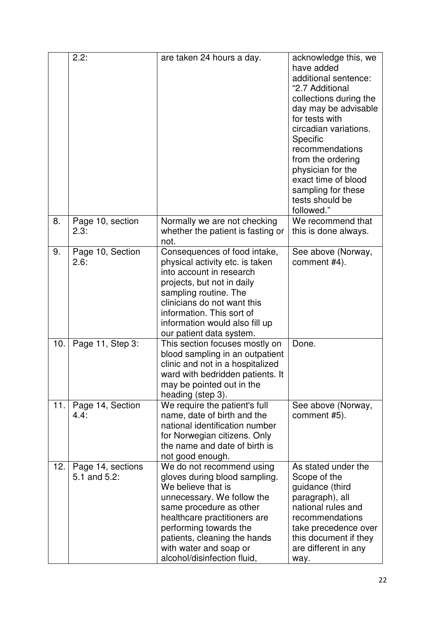|     | 2.2:                              | are taken 24 hours a day.                                                                                                                                                                                                                                                                    | acknowledge this, we<br>have added<br>additional sentence:<br>"2.7 Additional<br>collections during the<br>day may be advisable<br>for tests with<br>circadian variations.<br>Specific<br>recommendations<br>from the ordering<br>physician for the<br>exact time of blood<br>sampling for these<br>tests should be<br>followed." |
|-----|-----------------------------------|----------------------------------------------------------------------------------------------------------------------------------------------------------------------------------------------------------------------------------------------------------------------------------------------|-----------------------------------------------------------------------------------------------------------------------------------------------------------------------------------------------------------------------------------------------------------------------------------------------------------------------------------|
| 8.  | Page 10, section<br>2.3:          | Normally we are not checking<br>whether the patient is fasting or<br>not.                                                                                                                                                                                                                    | We recommend that<br>this is done always.                                                                                                                                                                                                                                                                                         |
| 9.  | Page 10, Section<br>2.6:          | Consequences of food intake,<br>physical activity etc. is taken<br>into account in research<br>projects, but not in daily<br>sampling routine. The<br>clinicians do not want this<br>information. This sort of<br>information would also fill up<br>our patient data system.                 | See above (Norway,<br>comment #4).                                                                                                                                                                                                                                                                                                |
| 10. | Page 11, Step 3:                  | This section focuses mostly on<br>blood sampling in an outpatient<br>clinic and not in a hospitalized<br>ward with bedridden patients. It<br>may be pointed out in the<br>heading (step 3).                                                                                                  | Done.                                                                                                                                                                                                                                                                                                                             |
| 11. | Page 14, Section<br>4.4:          | We require the patient's full<br>name, date of birth and the<br>national identification number<br>for Norwegian citizens. Only<br>the name and date of birth is<br>not good enough.                                                                                                          | See above (Norway,<br>comment #5).                                                                                                                                                                                                                                                                                                |
| 12. | Page 14, sections<br>5.1 and 5.2: | We do not recommend using<br>gloves during blood sampling.<br>We believe that is<br>unnecessary. We follow the<br>same procedure as other<br>healthcare practitioners are<br>performing towards the<br>patients, cleaning the hands<br>with water and soap or<br>alcohol/disinfection fluid, | As stated under the<br>Scope of the<br>guidance (third<br>paragraph), all<br>national rules and<br>recommendations<br>take precedence over<br>this document if they<br>are different in any<br>way.                                                                                                                               |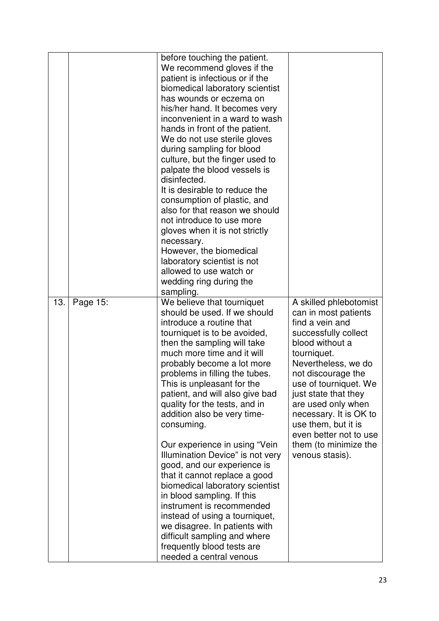|     |          | before touching the patient.<br>We recommend gloves if the<br>patient is infectious or if the<br>biomedical laboratory scientist<br>has wounds or eczema on<br>his/her hand. It becomes very<br>inconvenient in a ward to wash<br>hands in front of the patient.<br>We do not use sterile gloves<br>during sampling for blood<br>culture, but the finger used to<br>palpate the blood vessels is<br>disinfected.<br>It is desirable to reduce the<br>consumption of plastic, and<br>also for that reason we should<br>not introduce to use more<br>gloves when it is not strictly<br>necessary.<br>However, the biomedical<br>laboratory scientist is not<br>allowed to use watch or<br>wedding ring during the<br>sampling.                                                                      |                                                                                                                                                                                                                                                                                                                                                                        |
|-----|----------|---------------------------------------------------------------------------------------------------------------------------------------------------------------------------------------------------------------------------------------------------------------------------------------------------------------------------------------------------------------------------------------------------------------------------------------------------------------------------------------------------------------------------------------------------------------------------------------------------------------------------------------------------------------------------------------------------------------------------------------------------------------------------------------------------|------------------------------------------------------------------------------------------------------------------------------------------------------------------------------------------------------------------------------------------------------------------------------------------------------------------------------------------------------------------------|
| 13. | Page 15: | We believe that tourniquet<br>should be used. If we should<br>introduce a routine that<br>tourniquet is to be avoided,<br>then the sampling will take<br>much more time and it will<br>probably become a lot more<br>problems in filling the tubes.<br>This is unpleasant for the<br>patient, and will also give bad<br>quality for the tests, and in<br>addition also be very time-<br>consuming.<br>Our experience in using "Vein<br>Illumination Device" is not very<br>good, and our experience is<br>that it cannot replace a good<br>biomedical laboratory scientist<br>in blood sampling. If this<br>instrument is recommended<br>instead of using a tourniquet,<br>we disagree. In patients with<br>difficult sampling and where<br>frequently blood tests are<br>needed a central venous | A skilled phlebotomist<br>can in most patients<br>find a vein and<br>successfully collect<br>blood without a<br>tourniquet.<br>Nevertheless, we do<br>not discourage the<br>use of tourniquet. We<br>just state that they<br>are used only when<br>necessary. It is OK to<br>use them, but it is<br>even better not to use<br>them (to minimize the<br>venous stasis). |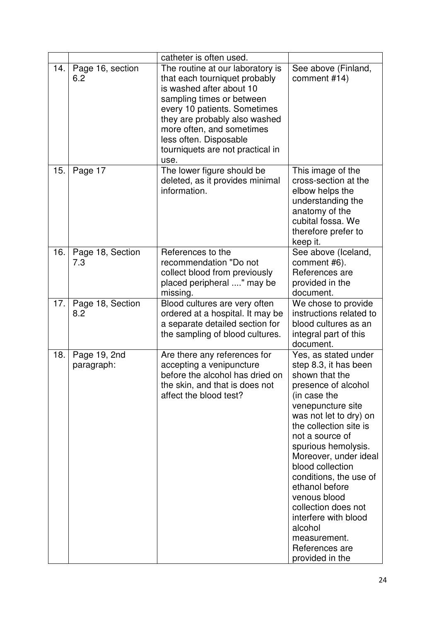|     |                            | catheter is often used.                                                                                                                                                                                                                                                                        |                                                                                                                                                                                                                                                                                                                                                                                                                                                   |
|-----|----------------------------|------------------------------------------------------------------------------------------------------------------------------------------------------------------------------------------------------------------------------------------------------------------------------------------------|---------------------------------------------------------------------------------------------------------------------------------------------------------------------------------------------------------------------------------------------------------------------------------------------------------------------------------------------------------------------------------------------------------------------------------------------------|
| 14. | Page 16, section<br>6.2    | The routine at our laboratory is<br>that each tourniquet probably<br>is washed after about 10<br>sampling times or between<br>every 10 patients. Sometimes<br>they are probably also washed<br>more often, and sometimes<br>less often. Disposable<br>tourniquets are not practical in<br>use. | See above (Finland,<br>comment #14)                                                                                                                                                                                                                                                                                                                                                                                                               |
| 15. | Page 17                    | The lower figure should be<br>deleted, as it provides minimal<br>information.                                                                                                                                                                                                                  | This image of the<br>cross-section at the<br>elbow helps the<br>understanding the<br>anatomy of the<br>cubital fossa. We<br>therefore prefer to<br>keep it.                                                                                                                                                                                                                                                                                       |
| 16. | Page 18, Section<br>7.3    | References to the<br>recommendation "Do not<br>collect blood from previously<br>placed peripheral " may be<br>missing.                                                                                                                                                                         | See above (Iceland,<br>comment #6).<br>References are<br>provided in the<br>document.                                                                                                                                                                                                                                                                                                                                                             |
| 17. | Page 18, Section<br>8.2    | Blood cultures are very often<br>ordered at a hospital. It may be<br>a separate detailed section for<br>the sampling of blood cultures.                                                                                                                                                        | We chose to provide<br>instructions related to<br>blood cultures as an<br>integral part of this<br>document.                                                                                                                                                                                                                                                                                                                                      |
| 18. | Page 19, 2nd<br>paragraph: | Are there any references for<br>accepting a venipuncture<br>before the alcohol has dried on<br>the skin, and that is does not<br>affect the blood test?                                                                                                                                        | Yes, as stated under<br>step 8.3, it has been<br>shown that the<br>presence of alcohol<br>(in case the<br>venepuncture site<br>was not let to dry) on<br>the collection site is<br>not a source of<br>spurious hemolysis.<br>Moreover, under ideal<br>blood collection<br>conditions, the use of<br>ethanol before<br>venous blood<br>collection does not<br>interfere with blood<br>alcohol<br>measurement.<br>References are<br>provided in the |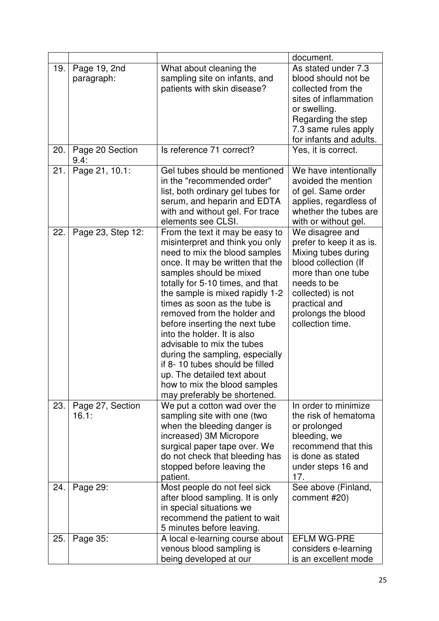|     |                            |                                                                                                                                                                                                                                                                                                                                                                                                                                                                                                                                                                             | document.                                                                                                                                                                                                       |
|-----|----------------------------|-----------------------------------------------------------------------------------------------------------------------------------------------------------------------------------------------------------------------------------------------------------------------------------------------------------------------------------------------------------------------------------------------------------------------------------------------------------------------------------------------------------------------------------------------------------------------------|-----------------------------------------------------------------------------------------------------------------------------------------------------------------------------------------------------------------|
| 19. | Page 19, 2nd<br>paragraph: | What about cleaning the<br>sampling site on infants, and<br>patients with skin disease?                                                                                                                                                                                                                                                                                                                                                                                                                                                                                     | As stated under 7.3<br>blood should not be<br>collected from the<br>sites of inflammation<br>or swelling.<br>Regarding the step<br>7.3 same rules apply<br>for infants and adults.                              |
| 20. | Page 20 Section<br>9.4:    | Is reference 71 correct?                                                                                                                                                                                                                                                                                                                                                                                                                                                                                                                                                    | Yes, it is correct.                                                                                                                                                                                             |
| 21. | Page 21, 10.1:             | Gel tubes should be mentioned<br>in the "recommended order"<br>list, both ordinary gel tubes for<br>serum, and heparin and EDTA<br>with and without gel. For trace<br>elements see CLSI.                                                                                                                                                                                                                                                                                                                                                                                    | We have intentionally<br>avoided the mention<br>of gel. Same order<br>applies, regardless of<br>whether the tubes are<br>with or without gel.                                                                   |
| 22. | Page 23, Step 12:          | From the text it may be easy to<br>misinterpret and think you only<br>need to mix the blood samples<br>once. It may be written that the<br>samples should be mixed<br>totally for 5-10 times, and that<br>the sample is mixed rapidly 1-2<br>times as soon as the tube is<br>removed from the holder and<br>before inserting the next tube<br>into the holder. It is also<br>advisable to mix the tubes<br>during the sampling, especially<br>if 8-10 tubes should be filled<br>up. The detailed text about<br>how to mix the blood samples<br>may preferably be shortened. | We disagree and<br>prefer to keep it as is.<br>Mixing tubes during<br>blood collection (If<br>more than one tube<br>needs to be<br>collected) is not<br>practical and<br>prolongs the blood<br>collection time. |
| 23. | Page 27, Section<br>16.1:  | We put a cotton wad over the<br>sampling site with one (two<br>when the bleeding danger is<br>increased) 3M Micropore<br>surgical paper tape over. We<br>do not check that bleeding has<br>stopped before leaving the<br>patient.                                                                                                                                                                                                                                                                                                                                           | In order to minimize<br>the risk of hematoma<br>or prolonged<br>bleeding, we<br>recommend that this<br>is done as stated<br>under steps 16 and<br>17.                                                           |
| 24. | Page 29:                   | Most people do not feel sick<br>after blood sampling. It is only<br>in special situations we<br>recommend the patient to wait<br>5 minutes before leaving.                                                                                                                                                                                                                                                                                                                                                                                                                  | See above (Finland,<br>comment #20)                                                                                                                                                                             |
| 25. | Page 35:                   | A local e-learning course about<br>venous blood sampling is<br>being developed at our                                                                                                                                                                                                                                                                                                                                                                                                                                                                                       | <b>EFLM WG-PRE</b><br>considers e-learning<br>is an excellent mode                                                                                                                                              |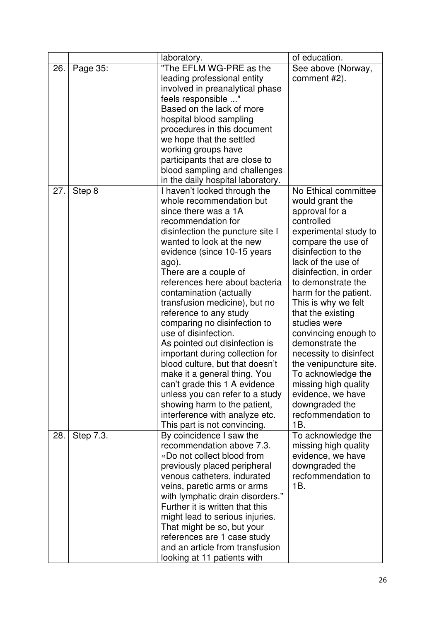|     |           | laboratory.                                          | of education.                     |
|-----|-----------|------------------------------------------------------|-----------------------------------|
| 26. | Page 35:  | "The EFLM WG-PRE as the                              | See above (Norway,                |
|     |           | leading professional entity                          | comment #2).                      |
|     |           | involved in preanalytical phase                      |                                   |
|     |           | feels responsible "                                  |                                   |
|     |           | Based on the lack of more                            |                                   |
|     |           | hospital blood sampling                              |                                   |
|     |           | procedures in this document                          |                                   |
|     |           | we hope that the settled                             |                                   |
|     |           | working groups have                                  |                                   |
|     |           | participants that are close to                       |                                   |
|     |           | blood sampling and challenges                        |                                   |
|     |           | in the daily hospital laboratory.                    |                                   |
| 27. | Step 8    | I haven't looked through the                         | No Ethical committee              |
|     |           | whole recommendation but                             | would grant the                   |
|     |           | since there was a 1A                                 | approval for a                    |
|     |           | recommendation for                                   | controlled                        |
|     |           | disinfection the puncture site I                     | experimental study to             |
|     |           | wanted to look at the new                            | compare the use of                |
|     |           | evidence (since 10-15 years                          | disinfection to the               |
|     |           | ago).                                                | lack of the use of                |
|     |           | There are a couple of                                | disinfection, in order            |
|     |           | references here about bacteria                       | to demonstrate the                |
|     |           | contamination (actually                              | harm for the patient.             |
|     |           | transfusion medicine), but no                        | This is why we felt               |
|     |           | reference to any study                               | that the existing<br>studies were |
|     |           | comparing no disinfection to<br>use of disinfection. | convincing enough to              |
|     |           | As pointed out disinfection is                       | demonstrate the                   |
|     |           | important during collection for                      | necessity to disinfect            |
|     |           | blood culture, but that doesn't                      | the venipuncture site.            |
|     |           | make it a general thing. You                         | To acknowledge the                |
|     |           | can't grade this 1 A evidence                        | missing high quality              |
|     |           | unless you can refer to a study                      | evidence, we have                 |
|     |           | showing harm to the patient,                         | downgraded the                    |
|     |           | interference with analyze etc.                       | recfommendation to                |
|     |           | This part is not convincing.                         | 1B.                               |
| 28. | Step 7.3. | By coincidence I saw the                             | To acknowledge the                |
|     |           | recommendation above 7.3.                            | missing high quality              |
|     |           | «Do not collect blood from                           | evidence, we have                 |
|     |           | previously placed peripheral                         | downgraded the                    |
|     |           | venous catheters, indurated                          | recfommendation to                |
|     |           | veins, paretic arms or arms                          | 1B.                               |
|     |           | with lymphatic drain disorders."                     |                                   |
|     |           | Further it is written that this                      |                                   |
|     |           | might lead to serious injuries.                      |                                   |
|     |           | That might be so, but your                           |                                   |
|     |           | references are 1 case study                          |                                   |
|     |           | and an article from transfusion                      |                                   |
|     |           | looking at 11 patients with                          |                                   |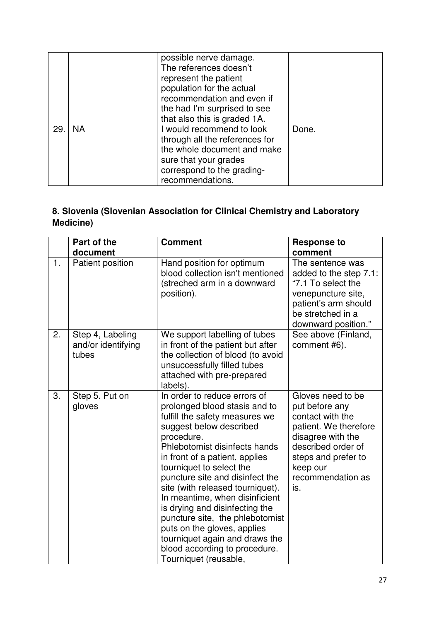|     |           | possible nerve damage.<br>The references doesn't<br>represent the patient<br>population for the actual<br>recommendation and even if<br>the had I'm surprised to see<br>that also this is graded 1A. |       |
|-----|-----------|------------------------------------------------------------------------------------------------------------------------------------------------------------------------------------------------------|-------|
| 29. | <b>NA</b> | I would recommend to look<br>through all the references for<br>the whole document and make<br>sure that your grades<br>correspond to the grading-<br>recommendations.                                | Done. |

## **8. Slovenia (Slovenian Association for Clinical Chemistry and Laboratory Medicine)**

|    | Part of the<br>document                         | <b>Comment</b>                                                                                                                                                                                                                                                                                                                                                                                                                                                                                                                                   | <b>Response to</b><br>comment                                                                                                                                                              |
|----|-------------------------------------------------|--------------------------------------------------------------------------------------------------------------------------------------------------------------------------------------------------------------------------------------------------------------------------------------------------------------------------------------------------------------------------------------------------------------------------------------------------------------------------------------------------------------------------------------------------|--------------------------------------------------------------------------------------------------------------------------------------------------------------------------------------------|
| 1. | Patient position                                | Hand position for optimum<br>blood collection isn't mentioned<br>(streched arm in a downward<br>position).                                                                                                                                                                                                                                                                                                                                                                                                                                       | The sentence was<br>added to the step 7.1:<br>"7.1 To select the<br>venepuncture site,<br>patient's arm should<br>be stretched in a<br>downward position."                                 |
| 2. | Step 4, Labeling<br>and/or identifying<br>tubes | We support labelling of tubes<br>in front of the patient but after<br>the collection of blood (to avoid<br>unsuccessfully filled tubes<br>attached with pre-prepared<br>labels).                                                                                                                                                                                                                                                                                                                                                                 | See above (Finland,<br>comment #6).                                                                                                                                                        |
| 3. | Step 5. Put on<br>gloves                        | In order to reduce errors of<br>prolonged blood stasis and to<br>fulfill the safety measures we<br>suggest below described<br>procedure.<br>Phlebotomist disinfects hands<br>in front of a patient, applies<br>tourniquet to select the<br>puncture site and disinfect the<br>site (with released tourniquet).<br>In meantime, when disinficient<br>is drying and disinfecting the<br>puncture site, the phlebotomist<br>puts on the gloves, applies<br>tourniquet again and draws the<br>blood according to procedure.<br>Tourniquet (reusable, | Gloves need to be<br>put before any<br>contact with the<br>patient. We therefore<br>disagree with the<br>described order of<br>steps and prefer to<br>keep our<br>recommendation as<br>is. |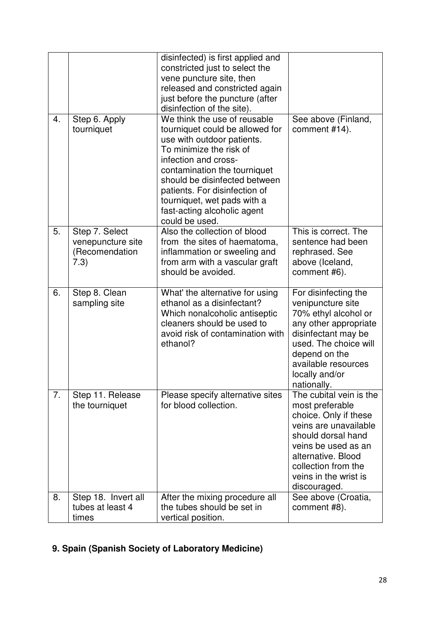|    |                                                               | disinfected) is first applied and<br>constricted just to select the<br>vene puncture site, then<br>released and constricted again<br>just before the puncture (after<br>disinfection of the site).                                                                                                                                 |                                                                                                                                                                                                                                 |
|----|---------------------------------------------------------------|------------------------------------------------------------------------------------------------------------------------------------------------------------------------------------------------------------------------------------------------------------------------------------------------------------------------------------|---------------------------------------------------------------------------------------------------------------------------------------------------------------------------------------------------------------------------------|
| 4. | Step 6. Apply<br>tourniquet                                   | We think the use of reusable<br>tourniquet could be allowed for<br>use with outdoor patients.<br>To minimize the risk of<br>infection and cross-<br>contamination the tourniquet<br>should be disinfected between<br>patients. For disinfection of<br>tourniquet, wet pads with a<br>fast-acting alcoholic agent<br>could be used. | See above (Finland,<br>comment #14).                                                                                                                                                                                            |
| 5. | Step 7. Select<br>venepuncture site<br>(Recomendation<br>7.3) | Also the collection of blood<br>from the sites of haematoma,<br>inflammation or sweeling and<br>from arm with a vascular graft<br>should be avoided.                                                                                                                                                                               | This is correct. The<br>sentence had been<br>rephrased. See<br>above (Iceland,<br>comment #6).                                                                                                                                  |
| 6. | Step 8. Clean<br>sampling site                                | What' the alternative for using<br>ethanol as a disinfectant?<br>Which nonalcoholic antiseptic<br>cleaners should be used to<br>avoid risk of contamination with<br>ethanol?                                                                                                                                                       | For disinfecting the<br>venipuncture site<br>70% ethyl alcohol or<br>any other appropriate<br>disinfectant may be<br>used. The choice will<br>depend on the<br>available resources<br>locally and/or<br>nationally.             |
| 7. | Step 11. Release<br>the tourniquet                            | Please specify alternative sites<br>for blood collection.                                                                                                                                                                                                                                                                          | The cubital vein is the<br>most preferable<br>choice. Only if these<br>veins are unavailable<br>should dorsal hand<br>veins be used as an<br>alternative. Blood<br>collection from the<br>veins in the wrist is<br>discouraged. |
| 8. | Step 18. Invert all<br>tubes at least 4<br>times              | After the mixing procedure all<br>the tubes should be set in<br>vertical position.                                                                                                                                                                                                                                                 | See above (Croatia,<br>comment #8).                                                                                                                                                                                             |

# **9. Spain (Spanish Society of Laboratory Medicine)**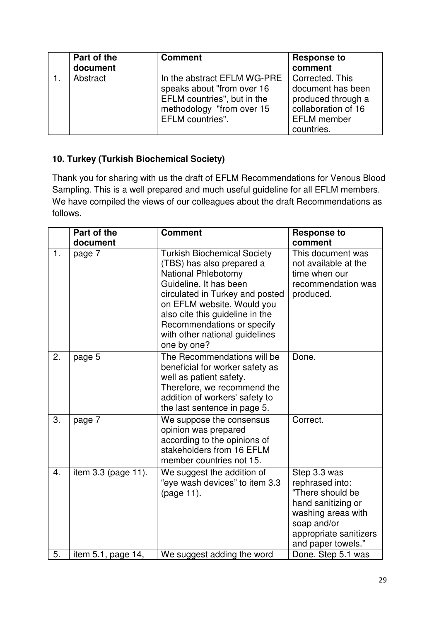| Part of the<br>document | <b>Comment</b>                                                                                                                            | <b>Response to</b><br>comment                                                                                         |
|-------------------------|-------------------------------------------------------------------------------------------------------------------------------------------|-----------------------------------------------------------------------------------------------------------------------|
| Abstract                | In the abstract EFLM WG-PRE<br>speaks about "from over 16<br>EFLM countries", but in the<br>methodology "from over 15<br>EFLM countries". | Corrected. This<br>document has been<br>produced through a<br>collaboration of 16<br><b>EFLM</b> member<br>countries. |

### **10. Turkey (Turkish Biochemical Society)**

Thank you for sharing with us the draft of EFLM Recommendations for Venous Blood Sampling. This is a well prepared and much useful guideline for all EFLM members. We have compiled the views of our colleagues about the draft Recommendations as follows.

|                  | Part of the         | <b>Comment</b>                                                                                                                                                                                                                                                                                             | <b>Response to</b>                                                                                                                                             |
|------------------|---------------------|------------------------------------------------------------------------------------------------------------------------------------------------------------------------------------------------------------------------------------------------------------------------------------------------------------|----------------------------------------------------------------------------------------------------------------------------------------------------------------|
|                  | document            |                                                                                                                                                                                                                                                                                                            | comment                                                                                                                                                        |
| 1.               | page 7              | <b>Turkish Biochemical Society</b><br>(TBS) has also prepared a<br><b>National Phlebotomy</b><br>Guideline. It has been<br>circulated in Turkey and posted<br>on EFLM website. Would you<br>also cite this guideline in the<br>Recommendations or specify<br>with other national guidelines<br>one by one? | This document was<br>not available at the<br>time when our<br>recommendation was<br>produced.                                                                  |
| 2.               | page 5              | The Recommendations will be<br>beneficial for worker safety as<br>well as patient safety.<br>Therefore, we recommend the<br>addition of workers' safety to<br>the last sentence in page 5.                                                                                                                 | Done.                                                                                                                                                          |
| 3.               | page 7              | We suppose the consensus<br>opinion was prepared<br>according to the opinions of<br>stakeholders from 16 EFLM<br>member countries not 15.                                                                                                                                                                  | Correct.                                                                                                                                                       |
| $\overline{4}$ . | item 3.3 (page 11). | We suggest the addition of<br>"eye wash devices" to item 3.3<br>(page 11).                                                                                                                                                                                                                                 | Step 3.3 was<br>rephrased into:<br>"There should be<br>hand sanitizing or<br>washing areas with<br>soap and/or<br>appropriate sanitizers<br>and paper towels." |
| 5.               | item 5.1, page 14,  | We suggest adding the word                                                                                                                                                                                                                                                                                 | Done. Step 5.1 was                                                                                                                                             |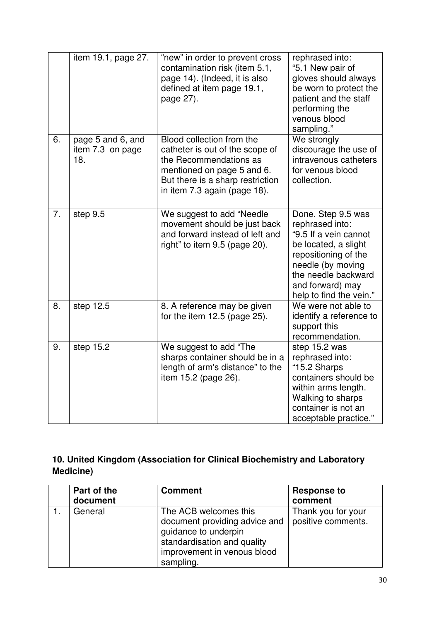|    | item 19.1, page 27.                          | "new" in order to prevent cross<br>contamination risk (item 5.1,<br>page 14). (Indeed, it is also<br>defined at item page 19.1,<br>page 27).                                             | rephrased into:<br>"5.1 New pair of<br>gloves should always<br>be worn to protect the<br>patient and the staff<br>performing the<br>venous blood<br>sampling."                                            |
|----|----------------------------------------------|------------------------------------------------------------------------------------------------------------------------------------------------------------------------------------------|-----------------------------------------------------------------------------------------------------------------------------------------------------------------------------------------------------------|
| 6. | page 5 and 6, and<br>item 7.3 on page<br>18. | Blood collection from the<br>catheter is out of the scope of<br>the Recommendations as<br>mentioned on page 5 and 6.<br>But there is a sharp restriction<br>in item 7.3 again (page 18). | We strongly<br>discourage the use of<br>intravenous catheters<br>for venous blood<br>collection.                                                                                                          |
| 7. | step 9.5                                     | We suggest to add "Needle<br>movement should be just back<br>and forward instead of left and<br>right" to item 9.5 (page 20).                                                            | Done. Step 9.5 was<br>rephrased into:<br>"9.5 If a vein cannot<br>be located, a slight<br>repositioning of the<br>needle (by moving<br>the needle backward<br>and forward) may<br>help to find the vein." |
| 8. | step 12.5                                    | 8. A reference may be given<br>for the item $12.5$ (page $25$ ).                                                                                                                         | We were not able to<br>identify a reference to<br>support this<br>recommendation.                                                                                                                         |
| 9. | step 15.2                                    | We suggest to add "The<br>sharps container should be in a<br>length of arm's distance" to the<br>item 15.2 (page 26).                                                                    | step 15.2 was<br>rephrased into:<br>"15.2 Sharps<br>containers should be<br>within arms length.<br>Walking to sharps<br>container is not an<br>acceptable practice."                                      |

## **10. United Kingdom (Association for Clinical Biochemistry and Laboratory Medicine)**

| Part of the | <b>Comment</b>                                                                                                                   | <b>Response to</b> |
|-------------|----------------------------------------------------------------------------------------------------------------------------------|--------------------|
| document    |                                                                                                                                  | comment            |
| General     | The ACB welcomes this                                                                                                            | Thank you for your |
|             | document providing advice and<br>guidance to underpin<br>standardisation and quality<br>improvement in venous blood<br>sampling. | positive comments. |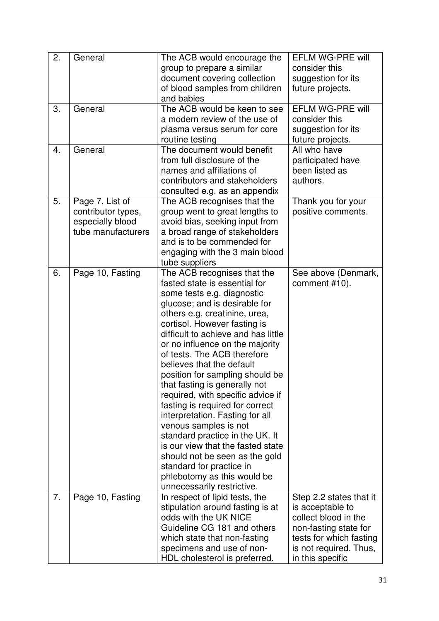| group to prepare a similar<br>consider this                                                                       |  |
|-------------------------------------------------------------------------------------------------------------------|--|
|                                                                                                                   |  |
| document covering collection<br>suggestion for its                                                                |  |
| of blood samples from children<br>future projects.                                                                |  |
| and babies                                                                                                        |  |
| The ACB would be keen to see<br><b>EFLM WG-PRE will</b><br>3.<br>General                                          |  |
| a modern review of the use of<br>consider this                                                                    |  |
| suggestion for its<br>plasma versus serum for core                                                                |  |
| routine testing<br>future projects.                                                                               |  |
| The document would benefit<br>All who have<br>General<br>4.                                                       |  |
| from full disclosure of the<br>participated have                                                                  |  |
| names and affiliations of<br>been listed as                                                                       |  |
| authors.<br>contributors and stakeholders                                                                         |  |
| consulted e.g. as an appendix                                                                                     |  |
| Page 7, List of<br>5.<br>The ACB recognises that the<br>Thank you for your                                        |  |
| positive comments.<br>contributor types,<br>group went to great lengths to                                        |  |
| especially blood<br>avoid bias, seeking input from                                                                |  |
| tube manufacturers<br>a broad range of stakeholders                                                               |  |
| and is to be commended for                                                                                        |  |
| engaging with the 3 main blood                                                                                    |  |
| tube suppliers                                                                                                    |  |
| The ACB recognises that the<br>Page 10, Fasting<br>6.<br>See above (Denmark,                                      |  |
| fasted state is essential for<br>comment #10).                                                                    |  |
| some tests e.g. diagnostic                                                                                        |  |
| glucose; and is desirable for                                                                                     |  |
| others e.g. creatinine, urea,                                                                                     |  |
| cortisol. However fasting is                                                                                      |  |
| difficult to achieve and has little                                                                               |  |
| or no influence on the majority                                                                                   |  |
| of tests. The ACB therefore                                                                                       |  |
| believes that the default                                                                                         |  |
| position for sampling should be                                                                                   |  |
| that fasting is generally not                                                                                     |  |
| required, with specific advice if                                                                                 |  |
| fasting is required for correct                                                                                   |  |
| interpretation. Fasting for all                                                                                   |  |
| venous samples is not                                                                                             |  |
| standard practice in the UK. It                                                                                   |  |
| is our view that the fasted state                                                                                 |  |
| should not be seen as the gold                                                                                    |  |
| standard for practice in                                                                                          |  |
| phlebotomy as this would be                                                                                       |  |
| unnecessarily restrictive.<br>7.<br>Page 10, Fasting<br>In respect of lipid tests, the<br>Step 2.2 states that it |  |
| stipulation around fasting is at<br>is acceptable to                                                              |  |
| odds with the UK NICE<br>collect blood in the                                                                     |  |
| Guideline CG 181 and others<br>non-fasting state for                                                              |  |
| which state that non-fasting<br>tests for which fasting                                                           |  |
| specimens and use of non-<br>is not required. Thus,                                                               |  |
| HDL cholesterol is preferred.<br>in this specific                                                                 |  |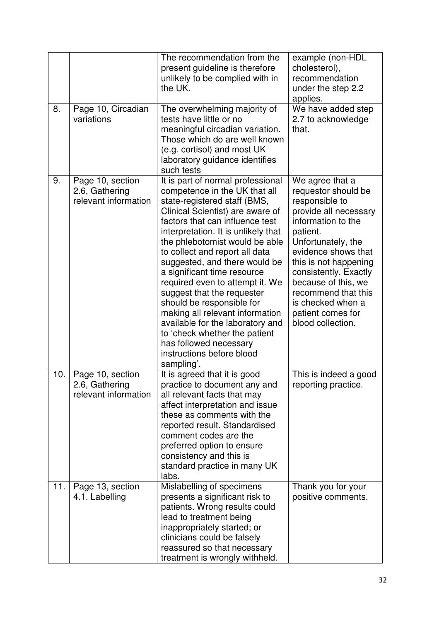|     |                                                            | The recommendation from the<br>present guideline is therefore<br>unlikely to be complied with in<br>the UK.                                                                                                                                                                                                                                                                                                                                                                                                                                                                                                                     | example (non-HDL<br>cholesterol),<br>recommendation<br>under the step 2.2<br>applies.                                                                                                                                                                                                                                           |
|-----|------------------------------------------------------------|---------------------------------------------------------------------------------------------------------------------------------------------------------------------------------------------------------------------------------------------------------------------------------------------------------------------------------------------------------------------------------------------------------------------------------------------------------------------------------------------------------------------------------------------------------------------------------------------------------------------------------|---------------------------------------------------------------------------------------------------------------------------------------------------------------------------------------------------------------------------------------------------------------------------------------------------------------------------------|
| 8.  | Page 10, Circadian<br>variations                           | The overwhelming majority of<br>tests have little or no<br>meaningful circadian variation.<br>Those which do are well known<br>(e.g. cortisol) and most UK<br>laboratory guidance identifies<br>such tests                                                                                                                                                                                                                                                                                                                                                                                                                      | We have added step<br>2.7 to acknowledge<br>that.                                                                                                                                                                                                                                                                               |
| 9.  | Page 10, section<br>2.6, Gathering<br>relevant information | It is part of normal professional<br>competence in the UK that all<br>state-registered staff (BMS,<br>Clinical Scientist) are aware of<br>factors that can influence test<br>interpretation. It is unlikely that<br>the phlebotomist would be able<br>to collect and report all data<br>suggested, and there would be<br>a significant time resource<br>required even to attempt it. We<br>suggest that the requester<br>should be responsible for<br>making all relevant information<br>available for the laboratory and<br>to 'check whether the patient<br>has followed necessary<br>instructions before blood<br>sampling'. | We agree that a<br>requestor should be<br>responsible to<br>provide all necessary<br>information to the<br>patient.<br>Unfortunately, the<br>evidence shows that<br>this is not happening<br>consistently. Exactly<br>because of this, we<br>recommend that this<br>is checked when a<br>patient comes for<br>blood collection. |
| 10. | Page 10, section<br>2.6, Gathering<br>relevant information | It is agreed that it is good<br>practice to document any and<br>all relevant facts that may<br>affect interpretation and issue<br>these as comments with the<br>reported result. Standardised<br>comment codes are the<br>preferred option to ensure<br>consistency and this is<br>standard practice in many UK<br>labs.                                                                                                                                                                                                                                                                                                        | This is indeed a good<br>reporting practice.                                                                                                                                                                                                                                                                                    |
| 11. | Page 13, section<br>4.1. Labelling                         | Mislabelling of specimens<br>presents a significant risk to<br>patients. Wrong results could<br>lead to treatment being<br>inappropriately started; or<br>clinicians could be falsely<br>reassured so that necessary<br>treatment is wrongly withheld.                                                                                                                                                                                                                                                                                                                                                                          | Thank you for your<br>positive comments.                                                                                                                                                                                                                                                                                        |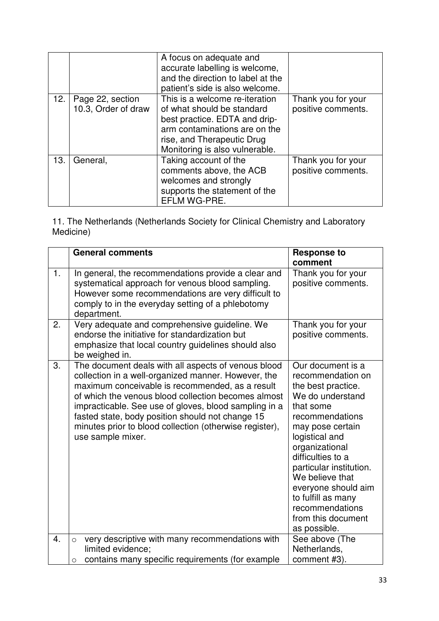|     |                                         | A focus on adequate and<br>accurate labelling is welcome,<br>and the direction to label at the<br>patient's side is also welcome.                                                              |                                          |
|-----|-----------------------------------------|------------------------------------------------------------------------------------------------------------------------------------------------------------------------------------------------|------------------------------------------|
| 12. | Page 22, section<br>10.3, Order of draw | This is a welcome re-iteration<br>of what should be standard<br>best practice. EDTA and drip-<br>arm contaminations are on the<br>rise, and Therapeutic Drug<br>Monitoring is also vulnerable. | Thank you for your<br>positive comments. |
| 13. | General,                                | Taking account of the<br>comments above, the ACB<br>welcomes and strongly<br>supports the statement of the<br>EFLM WG-PRE.                                                                     | Thank you for your<br>positive comments. |

11. The Netherlands (Netherlands Society for Clinical Chemistry and Laboratory Medicine)

|    | <b>General comments</b>                                                                                                                                                                                                                                                                                                                                                                                           | <b>Response to</b><br>comment                                                                                                                                                                                                                                                                                                                     |
|----|-------------------------------------------------------------------------------------------------------------------------------------------------------------------------------------------------------------------------------------------------------------------------------------------------------------------------------------------------------------------------------------------------------------------|---------------------------------------------------------------------------------------------------------------------------------------------------------------------------------------------------------------------------------------------------------------------------------------------------------------------------------------------------|
| 1. | In general, the recommendations provide a clear and<br>systematical approach for venous blood sampling.<br>However some recommendations are very difficult to<br>comply to in the everyday setting of a phlebotomy<br>department.                                                                                                                                                                                 | Thank you for your<br>positive comments.                                                                                                                                                                                                                                                                                                          |
| 2. | Very adequate and comprehensive guideline. We<br>endorse the initiative for standardization but<br>emphasize that local country guidelines should also<br>be weighed in.                                                                                                                                                                                                                                          | Thank you for your<br>positive comments.                                                                                                                                                                                                                                                                                                          |
| 3. | The document deals with all aspects of venous blood<br>collection in a well-organized manner. However, the<br>maximum conceivable is recommended, as a result<br>of which the venous blood collection becomes almost<br>impracticable. See use of gloves, blood sampling in a<br>fasted state, body position should not change 15<br>minutes prior to blood collection (otherwise register),<br>use sample mixer. | Our document is a<br>recommendation on<br>the best practice.<br>We do understand<br>that some<br>recommendations<br>may pose certain<br>logistical and<br>organizational<br>difficulties to a<br>particular institution.<br>We believe that<br>everyone should aim<br>to fulfill as many<br>recommendations<br>from this document<br>as possible. |
| 4. | very descriptive with many recommendations with<br>$\circ$                                                                                                                                                                                                                                                                                                                                                        | See above (The                                                                                                                                                                                                                                                                                                                                    |
|    | limited evidence;<br>contains many specific requirements (for example<br>$\circ$                                                                                                                                                                                                                                                                                                                                  | Netherlands,<br>comment #3).                                                                                                                                                                                                                                                                                                                      |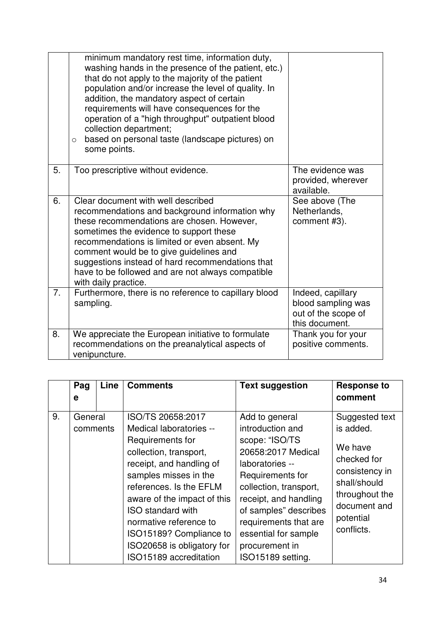|    | minimum mandatory rest time, information duty,<br>washing hands in the presence of the patient, etc.)<br>that do not apply to the majority of the patient<br>population and/or increase the level of quality. In<br>addition, the mandatory aspect of certain<br>requirements will have consequences for the<br>operation of a "high throughput" outpatient blood<br>collection department;<br>based on personal taste (landscape pictures) on<br>$\circ$<br>some points. |                                                                                  |
|----|---------------------------------------------------------------------------------------------------------------------------------------------------------------------------------------------------------------------------------------------------------------------------------------------------------------------------------------------------------------------------------------------------------------------------------------------------------------------------|----------------------------------------------------------------------------------|
| 5. | Too prescriptive without evidence.                                                                                                                                                                                                                                                                                                                                                                                                                                        | The evidence was<br>provided, wherever<br>available.                             |
| 6. | Clear document with well described<br>recommendations and background information why<br>these recommendations are chosen. However,<br>sometimes the evidence to support these<br>recommendations is limited or even absent. My<br>comment would be to give guidelines and<br>suggestions instead of hard recommendations that<br>have to be followed and are not always compatible<br>with daily practice.                                                                | See above (The<br>Netherlands,<br>comment #3).                                   |
| 7. | Furthermore, there is no reference to capillary blood<br>sampling.                                                                                                                                                                                                                                                                                                                                                                                                        | Indeed, capillary<br>blood sampling was<br>out of the scope of<br>this document. |
| 8. | We appreciate the European initiative to formulate<br>recommendations on the preanalytical aspects of<br>venipuncture.                                                                                                                                                                                                                                                                                                                                                    | Thank you for your<br>positive comments.                                         |

|    | Pag                 | Line | <b>Comments</b>                                                                                                                                                                                                                                                                                                                                    | <b>Text suggestion</b>                                                                                                                                                                                                                                                                | <b>Response to</b>                                                                                                                                   |
|----|---------------------|------|----------------------------------------------------------------------------------------------------------------------------------------------------------------------------------------------------------------------------------------------------------------------------------------------------------------------------------------------------|---------------------------------------------------------------------------------------------------------------------------------------------------------------------------------------------------------------------------------------------------------------------------------------|------------------------------------------------------------------------------------------------------------------------------------------------------|
|    | е                   |      |                                                                                                                                                                                                                                                                                                                                                    |                                                                                                                                                                                                                                                                                       | comment                                                                                                                                              |
| 9. | General<br>comments |      | ISO/TS 20658:2017<br>Medical laboratories --<br>Requirements for<br>collection, transport,<br>receipt, and handling of<br>samples misses in the<br>references. Is the EFLM<br>aware of the impact of this<br><b>ISO</b> standard with<br>normative reference to<br>ISO15189? Compliance to<br>ISO20658 is obligatory for<br>ISO15189 accreditation | Add to general<br>introduction and<br>scope: "ISO/TS<br>20658:2017 Medical<br>laboratories --<br>Requirements for<br>collection, transport,<br>receipt, and handling<br>of samples" describes<br>requirements that are<br>essential for sample<br>procurement in<br>ISO15189 setting. | Suggested text<br>is added.<br>We have<br>checked for<br>consistency in<br>shall/should<br>throughout the<br>document and<br>potential<br>conflicts. |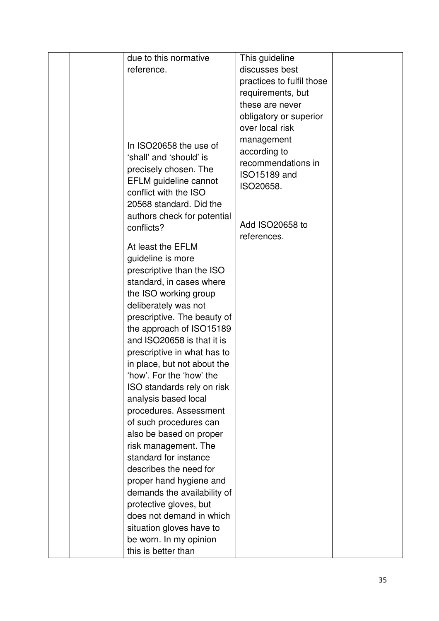|  | due to this normative                                                   | This guideline                                   |  |
|--|-------------------------------------------------------------------------|--------------------------------------------------|--|
|  | reference.                                                              | discusses best                                   |  |
|  |                                                                         | practices to fulfil those                        |  |
|  |                                                                         | requirements, but                                |  |
|  |                                                                         | these are never                                  |  |
|  |                                                                         | obligatory or superior                           |  |
|  |                                                                         | over local risk                                  |  |
|  | In ISO20658 the use of<br>'shall' and 'should' is                       | management<br>according to<br>recommendations in |  |
|  | precisely chosen. The<br>EFLM guideline cannot<br>conflict with the ISO | ISO15189 and<br>ISO20658.                        |  |
|  | 20568 standard. Did the                                                 |                                                  |  |
|  | authors check for potential<br>conflicts?                               | Add ISO20658 to<br>references.                   |  |
|  | At least the EFLM                                                       |                                                  |  |
|  | guideline is more                                                       |                                                  |  |
|  | prescriptive than the ISO                                               |                                                  |  |
|  | standard, in cases where                                                |                                                  |  |
|  | the ISO working group                                                   |                                                  |  |
|  | deliberately was not                                                    |                                                  |  |
|  | prescriptive. The beauty of                                             |                                                  |  |
|  | the approach of ISO15189                                                |                                                  |  |
|  | and ISO20658 is that it is                                              |                                                  |  |
|  | prescriptive in what has to                                             |                                                  |  |
|  | in place, but not about the                                             |                                                  |  |
|  | 'how'. For the 'how' the                                                |                                                  |  |
|  | ISO standards rely on risk                                              |                                                  |  |
|  | analysis based local                                                    |                                                  |  |
|  | procedures. Assessment                                                  |                                                  |  |
|  | of such procedures can                                                  |                                                  |  |
|  | also be based on proper                                                 |                                                  |  |
|  | risk management. The                                                    |                                                  |  |
|  | standard for instance                                                   |                                                  |  |
|  | describes the need for                                                  |                                                  |  |
|  | proper hand hygiene and                                                 |                                                  |  |
|  | demands the availability of                                             |                                                  |  |
|  | protective gloves, but<br>does not demand in which                      |                                                  |  |
|  |                                                                         |                                                  |  |
|  | situation gloves have to                                                |                                                  |  |
|  | be worn. In my opinion                                                  |                                                  |  |
|  | this is better than                                                     |                                                  |  |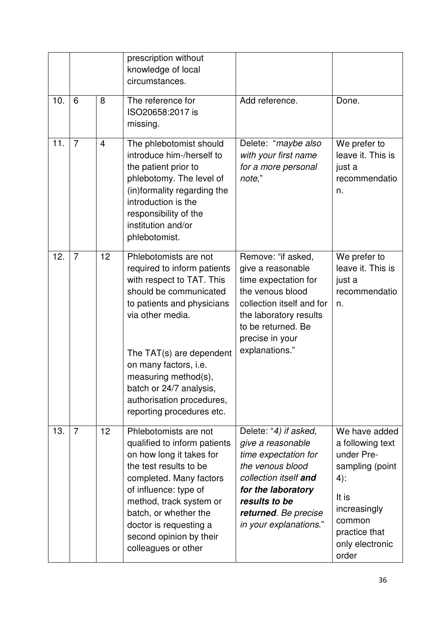|     |                |                | prescription without<br>knowledge of local<br>circumstances.                                                                                                                                                                                                                                                                    |                                                                                                                                                                                                          |                                                                                                                                                              |
|-----|----------------|----------------|---------------------------------------------------------------------------------------------------------------------------------------------------------------------------------------------------------------------------------------------------------------------------------------------------------------------------------|----------------------------------------------------------------------------------------------------------------------------------------------------------------------------------------------------------|--------------------------------------------------------------------------------------------------------------------------------------------------------------|
| 10. | 6              | 8              | The reference for<br>ISO20658:2017 is<br>missing.                                                                                                                                                                                                                                                                               | Add reference.                                                                                                                                                                                           | Done.                                                                                                                                                        |
| 11. | $\overline{7}$ | $\overline{4}$ | The phlebotomist should<br>introduce him-/herself to<br>the patient prior to<br>phlebotomy. The level of<br>(in)formality regarding the<br>introduction is the<br>responsibility of the<br>institution and/or<br>phlebotomist.                                                                                                  | Delete: "maybe also<br>with your first name<br>for a more personal<br>note,"                                                                                                                             | We prefer to<br>leave it. This is<br>just a<br>recommendatio<br>n.                                                                                           |
| 12. | $\overline{7}$ | 12             | Phlebotomists are not<br>required to inform patients<br>with respect to TAT. This<br>should be communicated<br>to patients and physicians<br>via other media.<br>The TAT(s) are dependent<br>on many factors, i.e.<br>measuring method(s),<br>batch or 24/7 analysis,<br>authorisation procedures,<br>reporting procedures etc. | Remove: "if asked,<br>give a reasonable<br>time expectation for<br>the venous blood<br>collection itself and for<br>the laboratory results<br>to be returned. Be<br>precise in your<br>explanations."    | We prefer to<br>leave it. This is<br>just a<br>recommendatio<br>n.                                                                                           |
| 13. | $\overline{7}$ | 12             | Phlebotomists are not<br>qualified to inform patients<br>on how long it takes for<br>the test results to be<br>completed. Many factors<br>of influence: type of<br>method, track system or<br>batch, or whether the<br>doctor is requesting a<br>second opinion by their<br>colleagues or other                                 | Delete: "4) if asked,<br>give a reasonable<br>time expectation for<br>the venous blood<br>collection itself and<br>for the laboratory<br>results to be<br>returned. Be precise<br>in your explanations." | We have added<br>a following text<br>under Pre-<br>sampling (point<br>$4)$ :<br>It is<br>increasingly<br>common<br>practice that<br>only electronic<br>order |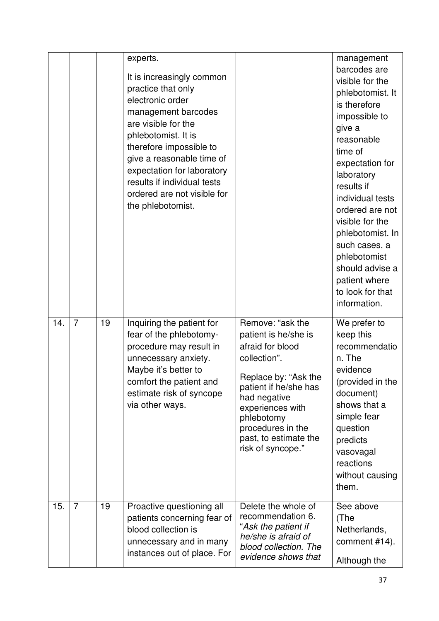|     |                |    | experts.<br>It is increasingly common<br>practice that only<br>electronic order<br>management barcodes<br>are visible for the<br>phlebotomist. It is<br>therefore impossible to<br>give a reasonable time of<br>expectation for laboratory<br>results if individual tests<br>ordered are not visible for<br>the phlebotomist. |                                                                                                                                                                                                                                                    | management<br>barcodes are<br>visible for the<br>phlebotomist. It<br>is therefore<br>impossible to<br>give a<br>reasonable<br>time of<br>expectation for<br>laboratory<br>results if<br>individual tests<br>ordered are not<br>visible for the<br>phlebotomist. In<br>such cases, a<br>phlebotomist<br>should advise a<br>patient where<br>to look for that<br>information. |
|-----|----------------|----|-------------------------------------------------------------------------------------------------------------------------------------------------------------------------------------------------------------------------------------------------------------------------------------------------------------------------------|----------------------------------------------------------------------------------------------------------------------------------------------------------------------------------------------------------------------------------------------------|-----------------------------------------------------------------------------------------------------------------------------------------------------------------------------------------------------------------------------------------------------------------------------------------------------------------------------------------------------------------------------|
| 14. | $\overline{7}$ | 19 | Inquiring the patient for<br>fear of the phlebotomy-<br>procedure may result in<br>unnecessary anxiety.<br>Maybe it's better to<br>comfort the patient and<br>estimate risk of syncope<br>via other ways.                                                                                                                     | Remove: "ask the<br>patient is he/she is<br>afraid for blood<br>collection".<br>Replace by: "Ask the<br>patient if he/she has<br>had negative<br>experiences with<br>phlebotomy<br>procedures in the<br>past, to estimate the<br>risk of syncope." | We prefer to<br>keep this<br>recommendatio<br>n. The<br>evidence<br>(provided in the<br>document)<br>shows that a<br>simple fear<br>question<br>predicts<br>vasovagal<br>reactions<br>without causing<br>them.                                                                                                                                                              |
| 15. | $\overline{7}$ | 19 | Proactive questioning all<br>patients concerning fear of<br>blood collection is<br>unnecessary and in many<br>instances out of place. For                                                                                                                                                                                     | Delete the whole of<br>recommendation 6.<br>"Ask the patient if<br>he/she is afraid of<br>blood collection. The<br>evidence shows that                                                                                                             | See above<br>(The<br>Netherlands,<br>comment #14).<br>Although the                                                                                                                                                                                                                                                                                                          |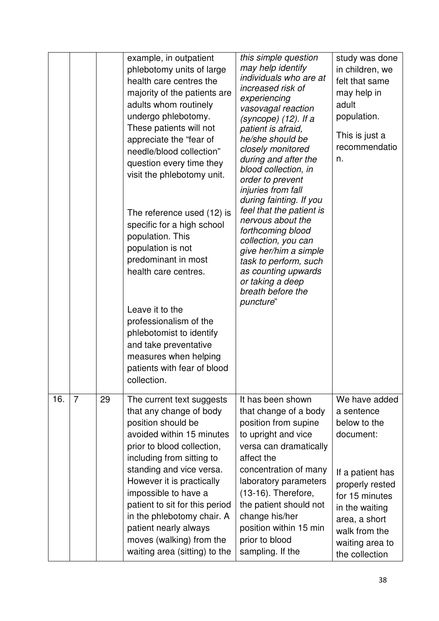|     |                |    | example, in outpatient<br>phlebotomy units of large<br>health care centres the<br>majority of the patients are<br>adults whom routinely<br>undergo phlebotomy.<br>These patients will not<br>appreciate the "fear of<br>needle/blood collection"<br>question every time they<br>visit the phlebotomy unit.<br>The reference used (12) is<br>specific for a high school<br>population. This<br>population is not<br>predominant in most<br>health care centres.<br>Leave it to the<br>professionalism of the<br>phlebotomist to identify<br>and take preventative<br>measures when helping<br>patients with fear of blood<br>collection. | this simple question<br>may help identify<br>individuals who are at<br>increased risk of<br>experiencing<br>vasovagal reaction<br>(syncope) (12). If a<br>patient is afraid,<br>he/she should be<br>closely monitored<br>during and after the<br>blood collection, in<br>order to prevent<br>injuries from fall<br>during fainting. If you<br>feel that the patient is<br>nervous about the<br>forthcoming blood<br>collection, you can<br>give her/him a simple<br>task to perform, such<br>as counting upwards<br>or taking a deep<br>breath before the<br>puncture" | study was done<br>in children, we<br>felt that same<br>may help in<br>adult<br>population.<br>This is just a<br>recommendatio<br>n.                                                                        |
|-----|----------------|----|-----------------------------------------------------------------------------------------------------------------------------------------------------------------------------------------------------------------------------------------------------------------------------------------------------------------------------------------------------------------------------------------------------------------------------------------------------------------------------------------------------------------------------------------------------------------------------------------------------------------------------------------|------------------------------------------------------------------------------------------------------------------------------------------------------------------------------------------------------------------------------------------------------------------------------------------------------------------------------------------------------------------------------------------------------------------------------------------------------------------------------------------------------------------------------------------------------------------------|------------------------------------------------------------------------------------------------------------------------------------------------------------------------------------------------------------|
| 16. | $\overline{7}$ | 29 | The current text suggests<br>that any change of body<br>position should be<br>avoided within 15 minutes<br>prior to blood collection,<br>including from sitting to<br>standing and vice versa.<br>However it is practically<br>impossible to have a<br>patient to sit for this period<br>in the phlebotomy chair. A<br>patient nearly always<br>moves (walking) from the<br>waiting area (sitting) to the                                                                                                                                                                                                                               | It has been shown<br>that change of a body<br>position from supine<br>to upright and vice<br>versa can dramatically<br>affect the<br>concentration of many<br>laboratory parameters<br>$(13-16)$ . Therefore,<br>the patient should not<br>change his/her<br>position within 15 min<br>prior to blood<br>sampling. If the                                                                                                                                                                                                                                              | We have added<br>a sentence<br>below to the<br>document:<br>If a patient has<br>properly rested<br>for 15 minutes<br>in the waiting<br>area, a short<br>walk from the<br>waiting area to<br>the collection |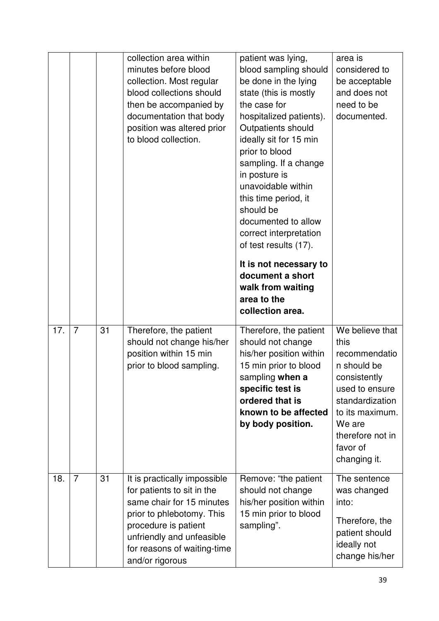|     |                |    | collection area within<br>minutes before blood<br>collection. Most regular<br>blood collections should<br>then be accompanied by<br>documentation that body<br>position was altered prior<br>to blood collection.           | patient was lying,<br>blood sampling should<br>be done in the lying<br>state (this is mostly<br>the case for<br>hospitalized patients).<br>Outpatients should<br>ideally sit for 15 min<br>prior to blood<br>sampling. If a change<br>in posture is<br>unavoidable within<br>this time period, it<br>should be<br>documented to allow<br>correct interpretation<br>of test results (17).<br>It is not necessary to<br>document a short<br>walk from waiting<br>area to the<br>collection area. | area is<br>considered to<br>be acceptable<br>and does not<br>need to be<br>documented.                                                                                                    |
|-----|----------------|----|-----------------------------------------------------------------------------------------------------------------------------------------------------------------------------------------------------------------------------|------------------------------------------------------------------------------------------------------------------------------------------------------------------------------------------------------------------------------------------------------------------------------------------------------------------------------------------------------------------------------------------------------------------------------------------------------------------------------------------------|-------------------------------------------------------------------------------------------------------------------------------------------------------------------------------------------|
| 17. | $\overline{7}$ | 31 | Therefore, the patient<br>should not change his/her<br>position within 15 min<br>prior to blood sampling.                                                                                                                   | Therefore, the patient<br>should not change<br>his/her position within<br>15 min prior to blood<br>sampling when a<br>specific test is<br>ordered that is<br>known to be affected<br>by body position.                                                                                                                                                                                                                                                                                         | We believe that<br>this<br>recommendatio<br>n should be<br>consistently<br>used to ensure<br>standardization<br>to its maximum.<br>We are<br>therefore not in<br>favor of<br>changing it. |
| 18. | $\overline{7}$ | 31 | It is practically impossible<br>for patients to sit in the<br>same chair for 15 minutes<br>prior to phlebotomy. This<br>procedure is patient<br>unfriendly and unfeasible<br>for reasons of waiting-time<br>and/or rigorous | Remove: "the patient<br>should not change<br>his/her position within<br>15 min prior to blood<br>sampling".                                                                                                                                                                                                                                                                                                                                                                                    | The sentence<br>was changed<br>into:<br>Therefore, the<br>patient should<br>ideally not<br>change his/her                                                                                 |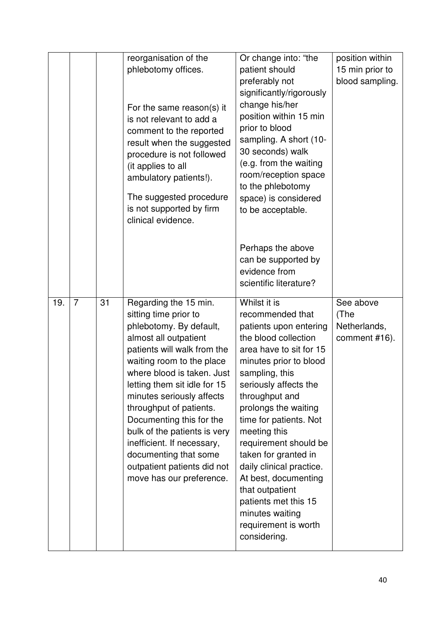|     |                |    | reorganisation of the<br>phlebotomy offices.<br>For the same reason(s) it<br>is not relevant to add a<br>comment to the reported<br>result when the suggested<br>procedure is not followed<br>(it applies to all<br>ambulatory patients!).<br>The suggested procedure<br>is not supported by firm<br>clinical evidence.                                                                                                                                            | Or change into: "the<br>patient should<br>preferably not<br>significantly/rigorously<br>change his/her<br>position within 15 min<br>prior to blood<br>sampling. A short (10-<br>30 seconds) walk<br>(e.g. from the waiting<br>room/reception space<br>to the phlebotomy<br>space) is considered<br>to be acceptable.                                                                                                                                                              | position within<br>15 min prior to<br>blood sampling. |
|-----|----------------|----|--------------------------------------------------------------------------------------------------------------------------------------------------------------------------------------------------------------------------------------------------------------------------------------------------------------------------------------------------------------------------------------------------------------------------------------------------------------------|-----------------------------------------------------------------------------------------------------------------------------------------------------------------------------------------------------------------------------------------------------------------------------------------------------------------------------------------------------------------------------------------------------------------------------------------------------------------------------------|-------------------------------------------------------|
|     |                |    |                                                                                                                                                                                                                                                                                                                                                                                                                                                                    | Perhaps the above<br>can be supported by<br>evidence from<br>scientific literature?                                                                                                                                                                                                                                                                                                                                                                                               |                                                       |
| 19. | $\overline{7}$ | 31 | Regarding the 15 min.<br>sitting time prior to<br>phlebotomy. By default,<br>almost all outpatient<br>patients will walk from the<br>waiting room to the place<br>where blood is taken. Just<br>letting them sit idle for 15<br>minutes seriously affects<br>throughput of patients.<br>Documenting this for the<br>bulk of the patients is very<br>inefficient. If necessary,<br>documenting that some<br>outpatient patients did not<br>move has our preference. | Whilst it is<br>recommended that<br>patients upon entering<br>the blood collection<br>area have to sit for 15<br>minutes prior to blood<br>sampling, this<br>seriously affects the<br>throughput and<br>prolongs the waiting<br>time for patients. Not<br>meeting this<br>requirement should be<br>taken for granted in<br>daily clinical practice.<br>At best, documenting<br>that outpatient<br>patients met this 15<br>minutes waiting<br>requirement is worth<br>considering. | See above<br>(The<br>Netherlands,<br>comment #16).    |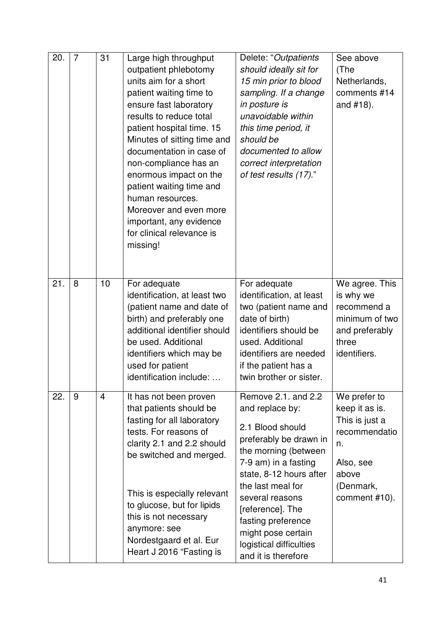| 20. | $\overline{7}$ | 31             | Large high throughput<br>outpatient phlebotomy<br>units aim for a short<br>patient waiting time to<br>ensure fast laboratory<br>results to reduce total<br>patient hospital time. 15<br>Minutes of sitting time and<br>documentation in case of<br>non-compliance has an<br>enormous impact on the<br>patient waiting time and<br>human resources.<br>Moreover and even more<br>important, any evidence<br>for clinical relevance is<br>missing! | Delete: "Outpatients<br>should ideally sit for<br>15 min prior to blood<br>sampling. If a change<br>in posture is<br>unavoidable within<br>this time period, it<br>should be<br>documented to allow<br>correct interpretation<br>of test results (17)."                                                                   | See above<br>(The<br>Netherlands,<br>comments #14<br>and #18).                                                              |
|-----|----------------|----------------|--------------------------------------------------------------------------------------------------------------------------------------------------------------------------------------------------------------------------------------------------------------------------------------------------------------------------------------------------------------------------------------------------------------------------------------------------|---------------------------------------------------------------------------------------------------------------------------------------------------------------------------------------------------------------------------------------------------------------------------------------------------------------------------|-----------------------------------------------------------------------------------------------------------------------------|
| 21. | 8              | 10             | For adequate<br>identification, at least two<br>(patient name and date of<br>birth) and preferably one<br>additional identifier should<br>be used. Additional<br>identifiers which may be<br>used for patient<br>identification include:                                                                                                                                                                                                         | For adequate<br>identification, at least<br>two (patient name and<br>date of birth)<br>identifiers should be<br>used. Additional<br>identifiers are needed<br>if the patient has a<br>twin brother or sister.                                                                                                             | We agree. This<br>is why we<br>recommend a<br>minimum of two<br>and preferably<br>three<br>identifiers.                     |
| 22. | 9              | $\overline{4}$ | It has not been proven<br>that patients should be<br>fasting for all laboratory<br>tests. For reasons of<br>clarity 2.1 and 2.2 should<br>be switched and merged.<br>This is especially relevant<br>to glucose, but for lipids<br>this is not necessary<br>anymore: see<br>Nordestgaard et al. Eur<br>Heart J 2016 "Fasting is                                                                                                                   | Remove 2.1. and 2.2<br>and replace by:<br>2.1 Blood should<br>preferably be drawn in<br>the morning (between<br>7-9 am) in a fasting<br>state, 8-12 hours after<br>the last meal for<br>several reasons<br>[reference]. The<br>fasting preference<br>might pose certain<br>logistical difficulties<br>and it is therefore | We prefer to<br>keep it as is.<br>This is just a<br>recommendatio<br>n.<br>Also, see<br>above<br>(Denmark,<br>comment #10). |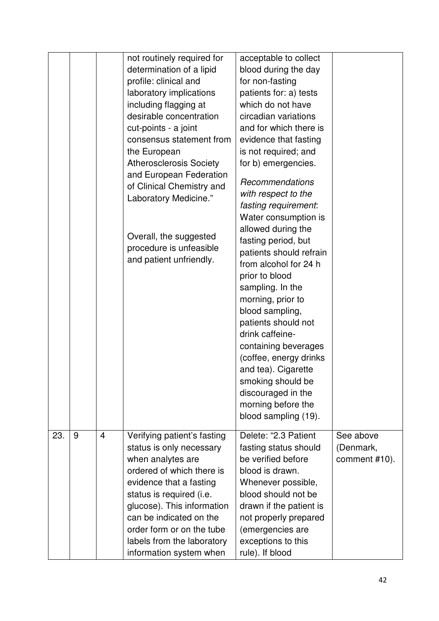|     |   |                | not routinely required for<br>determination of a lipid<br>profile: clinical and<br>laboratory implications<br>including flagging at<br>desirable concentration<br>cut-points - a joint<br>consensus statement from<br>the European<br><b>Atherosclerosis Society</b><br>and European Federation<br>of Clinical Chemistry and<br>Laboratory Medicine."<br>Overall, the suggested<br>procedure is unfeasible<br>and patient unfriendly. | acceptable to collect<br>blood during the day<br>for non-fasting<br>patients for: a) tests<br>which do not have<br>circadian variations<br>and for which there is<br>evidence that fasting<br>is not required; and<br>for b) emergencies.<br>Recommendations<br>with respect to the<br>fasting requirement:<br>Water consumption is<br>allowed during the<br>fasting period, but<br>patients should refrain<br>from alcohol for 24 h<br>prior to blood<br>sampling. In the<br>morning, prior to<br>blood sampling,<br>patients should not<br>drink caffeine-<br>containing beverages<br>(coffee, energy drinks<br>and tea). Cigarette<br>smoking should be<br>discouraged in the<br>morning before the<br>blood sampling (19). |                                         |
|-----|---|----------------|---------------------------------------------------------------------------------------------------------------------------------------------------------------------------------------------------------------------------------------------------------------------------------------------------------------------------------------------------------------------------------------------------------------------------------------|--------------------------------------------------------------------------------------------------------------------------------------------------------------------------------------------------------------------------------------------------------------------------------------------------------------------------------------------------------------------------------------------------------------------------------------------------------------------------------------------------------------------------------------------------------------------------------------------------------------------------------------------------------------------------------------------------------------------------------|-----------------------------------------|
| 23. | 9 | $\overline{4}$ | Verifying patient's fasting<br>status is only necessary<br>when analytes are<br>ordered of which there is<br>evidence that a fasting<br>status is required (i.e.<br>glucose). This information<br>can be indicated on the<br>order form or on the tube<br>labels from the laboratory<br>information system when                                                                                                                       | Delete: "2.3 Patient<br>fasting status should<br>be verified before<br>blood is drawn.<br>Whenever possible,<br>blood should not be<br>drawn if the patient is<br>not properly prepared<br>(emergencies are<br>exceptions to this<br>rule). If blood                                                                                                                                                                                                                                                                                                                                                                                                                                                                           | See above<br>(Denmark,<br>comment #10). |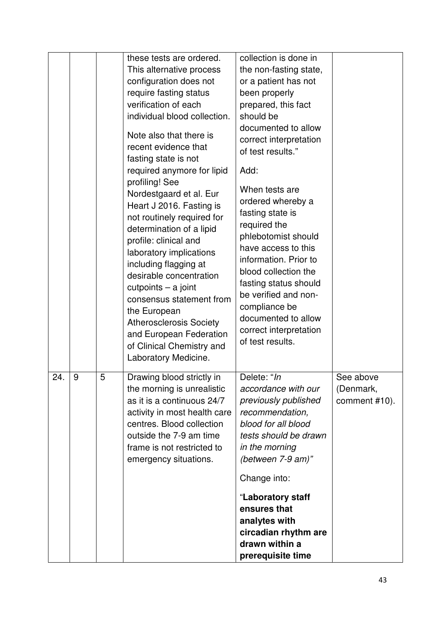|     |   |   | these tests are ordered.<br>This alternative process<br>configuration does not<br>require fasting status<br>verification of each<br>individual blood collection.<br>Note also that there is<br>recent evidence that<br>fasting state is not<br>required anymore for lipid<br>profiling! See<br>Nordestgaard et al. Eur<br>Heart J 2016. Fasting is<br>not routinely required for<br>determination of a lipid<br>profile: clinical and<br>laboratory implications<br>including flagging at<br>desirable concentration<br>$cutpoints - a joint$<br>consensus statement from<br>the European<br><b>Atherosclerosis Society</b><br>and European Federation<br>of Clinical Chemistry and<br>Laboratory Medicine. | collection is done in<br>the non-fasting state,<br>or a patient has not<br>been properly<br>prepared, this fact<br>should be<br>documented to allow<br>correct interpretation<br>of test results."<br>Add:<br>When tests are<br>ordered whereby a<br>fasting state is<br>required the<br>phlebotomist should<br>have access to this<br>information. Prior to<br>blood collection the<br>fasting status should<br>be verified and non-<br>compliance be<br>documented to allow<br>correct interpretation<br>of test results. |                                         |
|-----|---|---|-------------------------------------------------------------------------------------------------------------------------------------------------------------------------------------------------------------------------------------------------------------------------------------------------------------------------------------------------------------------------------------------------------------------------------------------------------------------------------------------------------------------------------------------------------------------------------------------------------------------------------------------------------------------------------------------------------------|-----------------------------------------------------------------------------------------------------------------------------------------------------------------------------------------------------------------------------------------------------------------------------------------------------------------------------------------------------------------------------------------------------------------------------------------------------------------------------------------------------------------------------|-----------------------------------------|
| 24. | 9 | 5 | Drawing blood strictly in<br>the morning is unrealistic<br>as it is a continuous 24/7<br>activity in most health care<br>centres. Blood collection<br>outside the 7-9 am time<br>frame is not restricted to<br>emergency situations.                                                                                                                                                                                                                                                                                                                                                                                                                                                                        | Delete: "In<br>accordance with our<br>previously published<br>recommendation,<br>blood for all blood<br>tests should be drawn<br>in the morning<br>(between 7-9 am)"                                                                                                                                                                                                                                                                                                                                                        | See above<br>(Denmark,<br>comment #10). |
|     |   |   |                                                                                                                                                                                                                                                                                                                                                                                                                                                                                                                                                                                                                                                                                                             | Change into:                                                                                                                                                                                                                                                                                                                                                                                                                                                                                                                |                                         |
|     |   |   |                                                                                                                                                                                                                                                                                                                                                                                                                                                                                                                                                                                                                                                                                                             | "Laboratory staff<br>ensures that<br>analytes with<br>circadian rhythm are<br>drawn within a<br>prerequisite time                                                                                                                                                                                                                                                                                                                                                                                                           |                                         |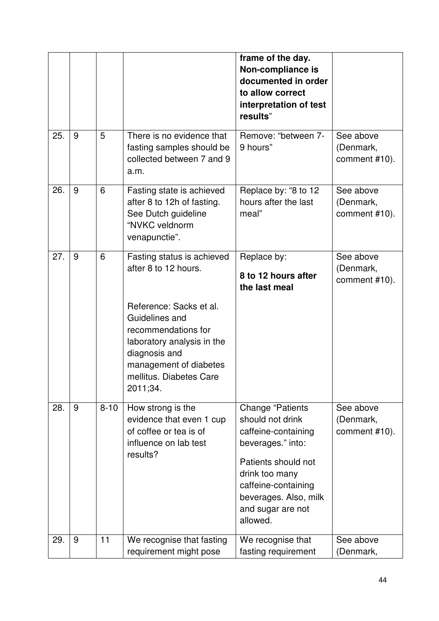|     |   |          |                                                                                                                                                                                                                                        | frame of the day.<br>Non-compliance is<br>documented in order<br>to allow correct<br>interpretation of test<br>results"                                                                                           |                                         |
|-----|---|----------|----------------------------------------------------------------------------------------------------------------------------------------------------------------------------------------------------------------------------------------|-------------------------------------------------------------------------------------------------------------------------------------------------------------------------------------------------------------------|-----------------------------------------|
| 25. | 9 | 5        | There is no evidence that<br>fasting samples should be<br>collected between 7 and 9<br>a.m.                                                                                                                                            | Remove: "between 7-<br>9 hours"                                                                                                                                                                                   | See above<br>(Denmark,<br>comment #10). |
| 26. | 9 | 6        | Fasting state is achieved<br>after 8 to 12h of fasting.<br>See Dutch guideline<br>"NVKC veldnorm<br>venapunctie".                                                                                                                      | Replace by: "8 to 12<br>hours after the last<br>meal"                                                                                                                                                             | See above<br>(Denmark,<br>comment #10). |
| 27. | 9 | 6        | Fasting status is achieved<br>after 8 to 12 hours.<br>Reference: Sacks et al.<br>Guidelines and<br>recommendations for<br>laboratory analysis in the<br>diagnosis and<br>management of diabetes<br>mellitus. Diabetes Care<br>2011;34. | Replace by:<br>8 to 12 hours after<br>the last meal                                                                                                                                                               | See above<br>(Denmark,<br>comment #10). |
| 28. | 9 | $8 - 10$ | How strong is the<br>evidence that even 1 cup<br>of coffee or tea is of<br>influence on lab test<br>results?                                                                                                                           | <b>Change "Patients</b><br>should not drink<br>caffeine-containing<br>beverages." into:<br>Patients should not<br>drink too many<br>caffeine-containing<br>beverages. Also, milk<br>and sugar are not<br>allowed. | See above<br>(Denmark,<br>comment #10). |
| 29. | 9 | 11       | We recognise that fasting<br>requirement might pose                                                                                                                                                                                    | We recognise that<br>fasting requirement                                                                                                                                                                          | See above<br>(Denmark,                  |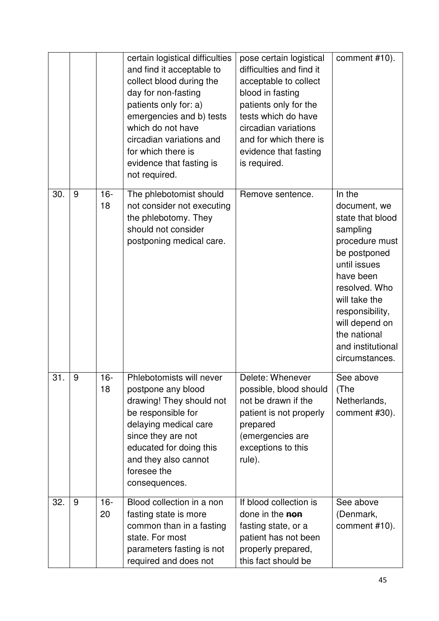|     |   |              | certain logistical difficulties<br>and find it acceptable to<br>collect blood during the<br>day for non-fasting<br>patients only for: a)<br>emergencies and b) tests<br>which do not have<br>circadian variations and<br>for which there is<br>evidence that fasting is<br>not required. | pose certain logistical<br>difficulties and find it<br>acceptable to collect<br>blood in fasting<br>patients only for the<br>tests which do have<br>circadian variations<br>and for which there is<br>evidence that fasting<br>is required. | comment #10).                                                                                                                                                                                                                                       |
|-----|---|--------------|------------------------------------------------------------------------------------------------------------------------------------------------------------------------------------------------------------------------------------------------------------------------------------------|---------------------------------------------------------------------------------------------------------------------------------------------------------------------------------------------------------------------------------------------|-----------------------------------------------------------------------------------------------------------------------------------------------------------------------------------------------------------------------------------------------------|
| 30. | 9 | $16 -$<br>18 | The phlebotomist should<br>not consider not executing<br>the phlebotomy. They<br>should not consider<br>postponing medical care.                                                                                                                                                         | Remove sentence.                                                                                                                                                                                                                            | In the<br>document, we<br>state that blood<br>sampling<br>procedure must<br>be postponed<br>until issues<br>have been<br>resolved. Who<br>will take the<br>responsibility,<br>will depend on<br>the national<br>and institutional<br>circumstances. |
| 31. | 9 | $16 -$<br>18 | Phlebotomists will never<br>postpone any blood<br>drawing! They should not<br>be responsible for<br>delaying medical care<br>since they are not<br>educated for doing this<br>and they also cannot<br>foresee the<br>consequences.                                                       | Delete: Whenever<br>possible, blood should<br>not be drawn if the<br>patient is not properly<br>prepared<br>(emergencies are<br>exceptions to this<br>rule).                                                                                | See above<br>(The<br>Netherlands,<br>comment #30).                                                                                                                                                                                                  |
| 32. | 9 | $16 -$<br>20 | Blood collection in a non<br>fasting state is more<br>common than in a fasting<br>state. For most<br>parameters fasting is not<br>required and does not                                                                                                                                  | If blood collection is<br>done in the non<br>fasting state, or a<br>patient has not been<br>properly prepared,<br>this fact should be                                                                                                       | See above<br>(Denmark,<br>comment #10).                                                                                                                                                                                                             |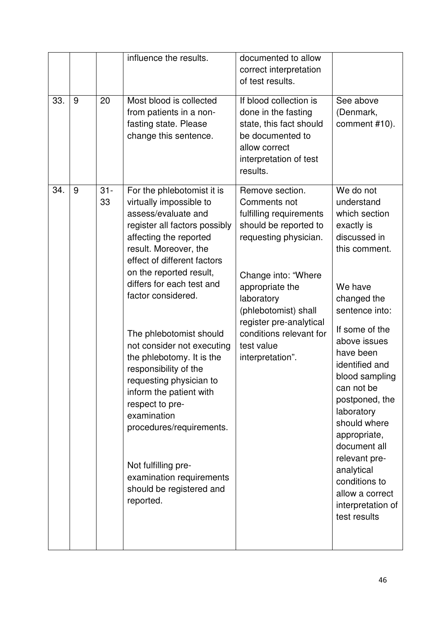|     |   |              | influence the results.                                                                                                                                                                                                                                                                                                                                                                                                                                                                                                                                                                                       | documented to allow<br>correct interpretation<br>of test results.                                                                                                                                                                                                                    |                                                                                                                                                                                                                                                                                                                                                                                                                              |
|-----|---|--------------|--------------------------------------------------------------------------------------------------------------------------------------------------------------------------------------------------------------------------------------------------------------------------------------------------------------------------------------------------------------------------------------------------------------------------------------------------------------------------------------------------------------------------------------------------------------------------------------------------------------|--------------------------------------------------------------------------------------------------------------------------------------------------------------------------------------------------------------------------------------------------------------------------------------|------------------------------------------------------------------------------------------------------------------------------------------------------------------------------------------------------------------------------------------------------------------------------------------------------------------------------------------------------------------------------------------------------------------------------|
| 33. | 9 | 20           | Most blood is collected<br>from patients in a non-<br>fasting state. Please<br>change this sentence.                                                                                                                                                                                                                                                                                                                                                                                                                                                                                                         | If blood collection is<br>done in the fasting<br>state, this fact should<br>be documented to<br>allow correct<br>interpretation of test<br>results.                                                                                                                                  | See above<br>(Denmark,<br>comment #10).                                                                                                                                                                                                                                                                                                                                                                                      |
| 34. | 9 | $31 -$<br>33 | For the phlebotomist it is<br>virtually impossible to<br>assess/evaluate and<br>register all factors possibly<br>affecting the reported<br>result. Moreover, the<br>effect of different factors<br>on the reported result,<br>differs for each test and<br>factor considered.<br>The phlebotomist should<br>not consider not executing<br>the phlebotomy. It is the<br>responsibility of the<br>requesting physician to<br>inform the patient with<br>respect to pre-<br>examination<br>procedures/requirements.<br>Not fulfilling pre-<br>examination requirements<br>should be registered and<br>reported. | Remove section.<br>Comments not<br>fulfilling requirements<br>should be reported to<br>requesting physician.<br>Change into: "Where<br>appropriate the<br>laboratory<br>(phlebotomist) shall<br>register pre-analytical<br>conditions relevant for<br>test value<br>interpretation". | We do not<br>understand<br>which section<br>exactly is<br>discussed in<br>this comment.<br>We have<br>changed the<br>sentence into:<br>If some of the<br>above issues<br>have been<br>identified and<br>blood sampling<br>can not be<br>postponed, the<br>laboratory<br>should where<br>appropriate,<br>document all<br>relevant pre-<br>analytical<br>conditions to<br>allow a correct<br>interpretation of<br>test results |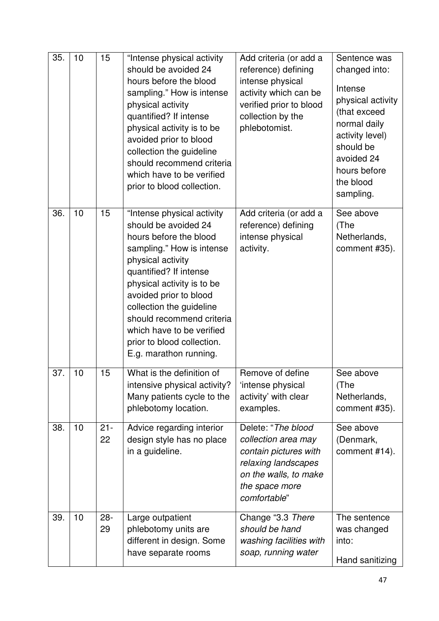| 35. | 10 | 15           | "Intense physical activity<br>should be avoided 24<br>hours before the blood<br>sampling." How is intense<br>physical activity<br>quantified? If intense<br>physical activity is to be<br>avoided prior to blood<br>collection the guideline<br>should recommend criteria<br>which have to be verified<br>prior to blood collection.                           | Add criteria (or add a<br>reference) defining<br>intense physical<br>activity which can be<br>verified prior to blood<br>collection by the<br>phlebotomist. | Sentence was<br>changed into:<br>Intense<br>physical activity<br>(that exceed<br>normal daily<br>activity level)<br>should be<br>avoided 24<br>hours before<br>the blood<br>sampling. |
|-----|----|--------------|----------------------------------------------------------------------------------------------------------------------------------------------------------------------------------------------------------------------------------------------------------------------------------------------------------------------------------------------------------------|-------------------------------------------------------------------------------------------------------------------------------------------------------------|---------------------------------------------------------------------------------------------------------------------------------------------------------------------------------------|
| 36. | 10 | 15           | "Intense physical activity<br>should be avoided 24<br>hours before the blood<br>sampling." How is intense<br>physical activity<br>quantified? If intense<br>physical activity is to be<br>avoided prior to blood<br>collection the guideline<br>should recommend criteria<br>which have to be verified<br>prior to blood collection.<br>E.g. marathon running. | Add criteria (or add a<br>reference) defining<br>intense physical<br>activity.                                                                              | See above<br>(The<br>Netherlands,<br>comment #35).                                                                                                                                    |
| 37. | 10 | 15           | What is the definition of<br>intensive physical activity?<br>Many patients cycle to the<br>phlebotomy location.                                                                                                                                                                                                                                                | Remove of define<br>intense physical<br>activity' with clear<br>examples.                                                                                   | See above<br>(The<br>Netherlands,<br>comment #35).                                                                                                                                    |
| 38. | 10 | $21 -$<br>22 | Advice regarding interior<br>design style has no place<br>in a guideline.                                                                                                                                                                                                                                                                                      | Delete: "The blood<br>collection area may<br>contain pictures with<br>relaxing landscapes<br>on the walls, to make<br>the space more<br>comfortable"        | See above<br>(Denmark,<br>comment #14).                                                                                                                                               |
| 39. | 10 | $28 -$<br>29 | Large outpatient<br>phlebotomy units are<br>different in design. Some<br>have separate rooms                                                                                                                                                                                                                                                                   | Change "3.3 There<br>should be hand<br>washing facilities with<br>soap, running water                                                                       | The sentence<br>was changed<br>into:<br>Hand sanitizing                                                                                                                               |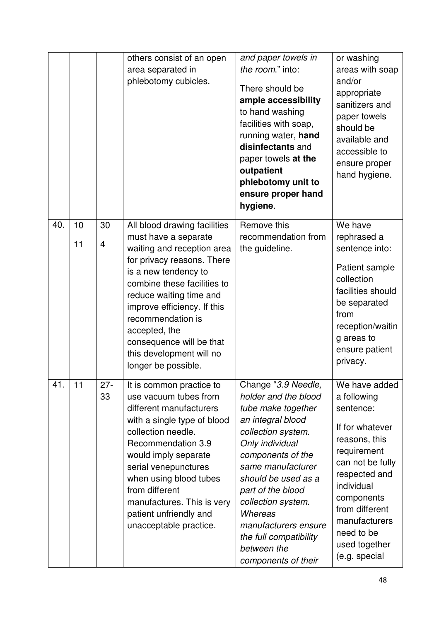|     |          |                      | others consist of an open<br>area separated in<br>phlebotomy cubicles.                                                                                                                                                                                                                                                                                 | and paper towels in<br>the room." into:<br>There should be<br>ample accessibility<br>to hand washing<br>facilities with soap,<br>running water, hand<br>disinfectants and<br>paper towels at the<br>outpatient<br>phlebotomy unit to<br>ensure proper hand<br>hygiene.                                                                         | or washing<br>areas with soap<br>and/or<br>appropriate<br>sanitizers and<br>paper towels<br>should be<br>available and<br>accessible to<br>ensure proper<br>hand hygiene.                                                                        |
|-----|----------|----------------------|--------------------------------------------------------------------------------------------------------------------------------------------------------------------------------------------------------------------------------------------------------------------------------------------------------------------------------------------------------|------------------------------------------------------------------------------------------------------------------------------------------------------------------------------------------------------------------------------------------------------------------------------------------------------------------------------------------------|--------------------------------------------------------------------------------------------------------------------------------------------------------------------------------------------------------------------------------------------------|
| 40. | 10<br>11 | 30<br>$\overline{4}$ | All blood drawing facilities<br>must have a separate<br>waiting and reception area<br>for privacy reasons. There<br>is a new tendency to<br>combine these facilities to<br>reduce waiting time and<br>improve efficiency. If this<br>recommendation is<br>accepted, the<br>consequence will be that<br>this development will no<br>longer be possible. | Remove this<br>recommendation from<br>the guideline.                                                                                                                                                                                                                                                                                           | We have<br>rephrased a<br>sentence into:<br>Patient sample<br>collection<br>facilities should<br>be separated<br>from<br>reception/waitin<br>g areas to<br>ensure patient<br>privacy.                                                            |
| 41. | 11       | $27 -$<br>33         | It is common practice to<br>use vacuum tubes from<br>different manufacturers<br>with a single type of blood<br>collection needle.<br>Recommendation 3.9<br>would imply separate<br>serial venepunctures<br>when using blood tubes<br>from different<br>manufactures. This is very<br>patient unfriendly and<br>unacceptable practice.                  | Change "3.9 Needle,<br>holder and the blood<br>tube make together<br>an integral blood<br>collection system.<br>Only individual<br>components of the<br>same manufacturer<br>should be used as a<br>part of the blood<br>collection system.<br>Whereas<br>manufacturers ensure<br>the full compatibility<br>between the<br>components of their | We have added<br>a following<br>sentence:<br>If for whatever<br>reasons, this<br>requirement<br>can not be fully<br>respected and<br>individual<br>components<br>from different<br>manufacturers<br>need to be<br>used together<br>(e.g. special |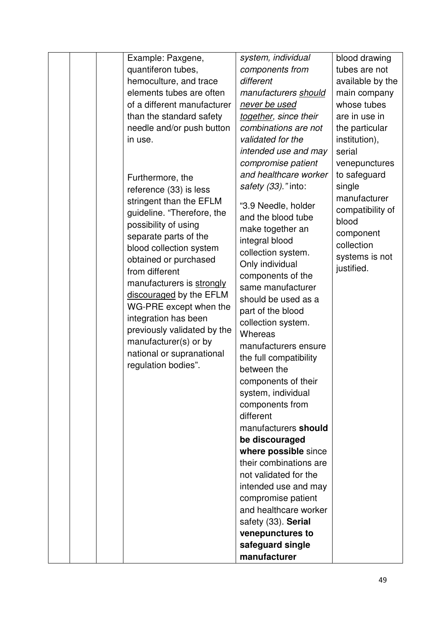| Example: Paxgene,           | system, individual           | blood drawing    |
|-----------------------------|------------------------------|------------------|
| quantiferon tubes,          | components from              | tubes are not    |
| hemoculture, and trace      | different                    | available by the |
| elements tubes are often    | manufacturers should         | main company     |
| of a different manufacturer | never be used                | whose tubes      |
| than the standard safety    | together, since their        | are in use in    |
| needle and/or push button   | combinations are not         | the particular   |
| in use.                     | validated for the            | institution),    |
|                             | intended use and may         | serial           |
|                             | compromise patient           | venepunctures    |
| Furthermore, the            | and healthcare worker        | to safeguard     |
| reference (33) is less      | safety (33)." into:          | single           |
| stringent than the EFLM     |                              | manufacturer     |
| guideline. "Therefore, the  | "3.9 Needle, holder          | compatibility of |
| possibility of using        | and the blood tube           | blood            |
| separate parts of the       | make together an             | component        |
| blood collection system     | integral blood               | collection       |
| obtained or purchased       | collection system.           | systems is not   |
| from different              | Only individual              | justified.       |
| manufacturers is strongly   | components of the            |                  |
| discouraged by the EFLM     | same manufacturer            |                  |
| WG-PRE except when the      | should be used as a          |                  |
| integration has been        | part of the blood            |                  |
| previously validated by the | collection system.           |                  |
| manufacturer(s) or by       | Whereas                      |                  |
| national or supranational   | manufacturers ensure         |                  |
| regulation bodies".         | the full compatibility       |                  |
|                             | between the                  |                  |
|                             | components of their          |                  |
|                             | system, individual           |                  |
|                             | components from<br>different |                  |
|                             | manufacturers should         |                  |
|                             | be discouraged               |                  |
|                             | where possible since         |                  |
|                             | their combinations are       |                  |
|                             | not validated for the        |                  |
|                             | intended use and may         |                  |
|                             | compromise patient           |                  |
|                             | and healthcare worker        |                  |
|                             | safety (33). Serial          |                  |
|                             | venepunctures to             |                  |
|                             | safeguard single             |                  |
|                             | manufacturer                 |                  |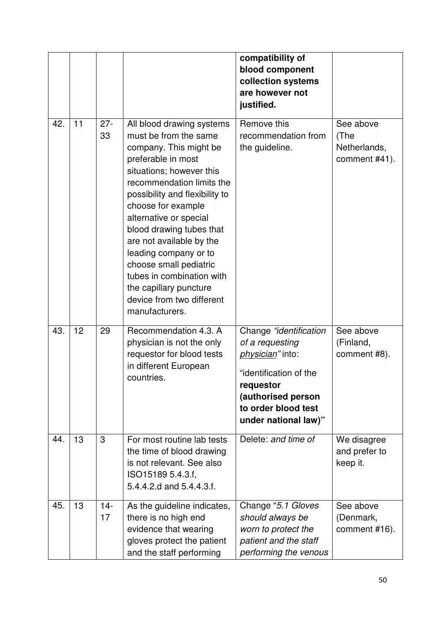|     |    |              |                                                                                                                                                                                                                                                                                                                                                                                                                                                                | compatibility of<br>blood component<br>collection systems<br>are however not<br>justified.                                                                                |                                                    |
|-----|----|--------------|----------------------------------------------------------------------------------------------------------------------------------------------------------------------------------------------------------------------------------------------------------------------------------------------------------------------------------------------------------------------------------------------------------------------------------------------------------------|---------------------------------------------------------------------------------------------------------------------------------------------------------------------------|----------------------------------------------------|
| 42. | 11 | $27 -$<br>33 | All blood drawing systems<br>must be from the same<br>company. This might be<br>preferable in most<br>situations; however this<br>recommendation limits the<br>possibility and flexibility to<br>choose for example<br>alternative or special<br>blood drawing tubes that<br>are not available by the<br>leading company or to<br>choose small pediatric<br>tubes in combination with<br>the capillary puncture<br>device from two different<br>manufacturers. | Remove this<br>recommendation from<br>the guideline.                                                                                                                      | See above<br>(The<br>Netherlands,<br>comment #41). |
| 43. | 12 | 29           | Recommendation 4.3. A<br>physician is not the only<br>requestor for blood tests<br>in different European<br>countries.                                                                                                                                                                                                                                                                                                                                         | Change "identification<br>of a requesting<br>physician" into:<br>"identification of the<br>requestor<br>(authorised person<br>to order blood test<br>under national law)" | See above<br>(Finland,<br>comment #8).             |
| 44. | 13 | 3            | For most routine lab tests<br>the time of blood drawing<br>is not relevant. See also<br>ISO15189 5.4.3.f,<br>5.4.4.2.d and 5.4.4.3.f.                                                                                                                                                                                                                                                                                                                          | Delete: and time of                                                                                                                                                       | We disagree<br>and prefer to<br>keep it.           |
| 45. | 13 | $14 -$<br>17 | As the guideline indicates,<br>there is no high end<br>evidence that wearing<br>gloves protect the patient<br>and the staff performing                                                                                                                                                                                                                                                                                                                         | Change "5.1 Gloves<br>should always be<br>worn to protect the<br>patient and the staff<br>performing the venous                                                           | See above<br>(Denmark,<br>comment #16).            |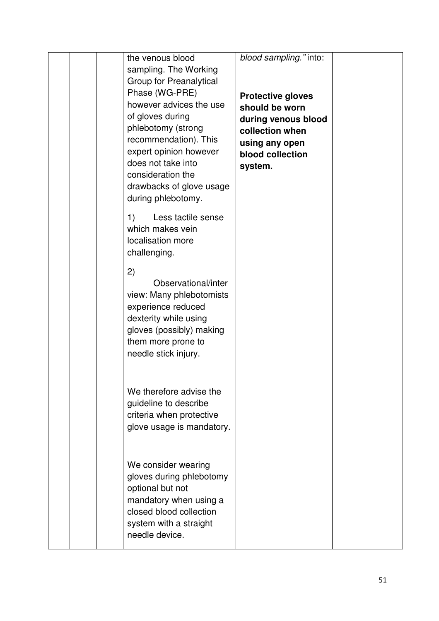|  | the venous blood<br>sampling. The Working<br>Group for Preanalytical<br>Phase (WG-PRE)<br>however advices the use<br>of gloves during<br>phlebotomy (strong<br>recommendation). This<br>expert opinion however<br>does not take into<br>consideration the<br>drawbacks of glove usage<br>during phlebotomy. | blood sampling." into:<br><b>Protective gloves</b><br>should be worn<br>during venous blood<br>collection when<br>using any open<br>blood collection<br>system. |  |
|--|-------------------------------------------------------------------------------------------------------------------------------------------------------------------------------------------------------------------------------------------------------------------------------------------------------------|-----------------------------------------------------------------------------------------------------------------------------------------------------------------|--|
|  | Less tactile sense<br>1)<br>which makes vein<br>localisation more<br>challenging.<br>2)<br>Observational/inter<br>view: Many phlebotomists                                                                                                                                                                  |                                                                                                                                                                 |  |
|  | experience reduced<br>dexterity while using<br>gloves (possibly) making<br>them more prone to<br>needle stick injury.<br>We therefore advise the                                                                                                                                                            |                                                                                                                                                                 |  |
|  | guideline to describe<br>criteria when protective<br>glove usage is mandatory.<br>We consider wearing<br>gloves during phlebotomy<br>optional but not<br>mandatory when using a                                                                                                                             |                                                                                                                                                                 |  |
|  | closed blood collection<br>system with a straight<br>needle device.                                                                                                                                                                                                                                         |                                                                                                                                                                 |  |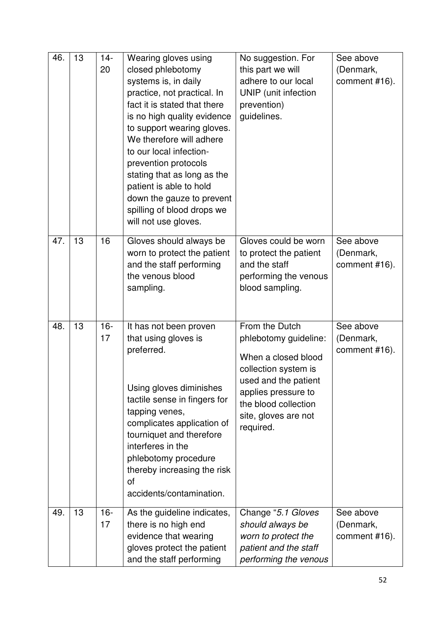| 46. | 13 | $14-$<br>20  | Wearing gloves using<br>closed phlebotomy<br>systems is, in daily<br>practice, not practical. In<br>fact it is stated that there<br>is no high quality evidence<br>to support wearing gloves.<br>We therefore will adhere<br>to our local infection-<br>prevention protocols<br>stating that as long as the<br>patient is able to hold<br>down the gauze to prevent<br>spilling of blood drops we<br>will not use gloves. | No suggestion. For<br>this part we will<br>adhere to our local<br>UNIP (unit infection<br>prevention)<br>guidelines.                                                                               | See above<br>(Denmark,<br>comment #16). |
|-----|----|--------------|---------------------------------------------------------------------------------------------------------------------------------------------------------------------------------------------------------------------------------------------------------------------------------------------------------------------------------------------------------------------------------------------------------------------------|----------------------------------------------------------------------------------------------------------------------------------------------------------------------------------------------------|-----------------------------------------|
| 47. | 13 | 16           | Gloves should always be<br>worn to protect the patient<br>and the staff performing<br>the venous blood<br>sampling.                                                                                                                                                                                                                                                                                                       | Gloves could be worn<br>to protect the patient<br>and the staff<br>performing the venous<br>blood sampling.                                                                                        | See above<br>(Denmark,<br>comment #16). |
| 48. | 13 | $16 -$<br>17 | It has not been proven<br>that using gloves is<br>preferred.<br>Using gloves diminishes<br>tactile sense in fingers for<br>tapping venes,<br>complicates application of<br>tourniquet and therefore<br>interferes in the<br>phlebotomy procedure<br>thereby increasing the risk<br><b>of</b><br>accidents/contamination.                                                                                                  | From the Dutch<br>phlebotomy guideline:<br>When a closed blood<br>collection system is<br>used and the patient<br>applies pressure to<br>the blood collection<br>site, gloves are not<br>required. | See above<br>(Denmark,<br>comment #16). |
| 49. | 13 | $16 -$<br>17 | As the guideline indicates,<br>there is no high end<br>evidence that wearing<br>gloves protect the patient<br>and the staff performing                                                                                                                                                                                                                                                                                    | Change "5.1 Gloves<br>should always be<br>worn to protect the<br>patient and the staff<br>performing the venous                                                                                    | See above<br>(Denmark,<br>comment #16). |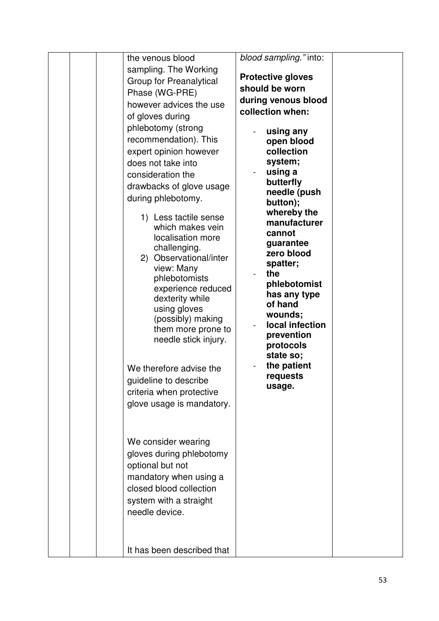|  | the venous blood<br>sampling. The Working<br><b>Group for Preanalytical</b><br>Phase (WG-PRE)<br>however advices the use<br>of gloves during<br>phlebotomy (strong<br>recommendation). This<br>expert opinion however<br>does not take into<br>consideration the<br>drawbacks of glove usage<br>during phlebotomy.<br>1) Less tactile sense<br>which makes vein<br>localisation more<br>challenging.<br>2) Observational/inter<br>view: Many<br>phlebotomists<br>experience reduced<br>dexterity while<br>using gloves<br>(possibly) making<br>them more prone to<br>needle stick injury.<br>We therefore advise the<br>guideline to describe<br>criteria when protective<br>glove usage is mandatory. | blood sampling." into:<br><b>Protective gloves</b><br>should be worn<br>during venous blood<br>collection when:<br>using any<br>open blood<br>collection<br>system;<br>using a<br>butterfly<br>needle (push<br>button);<br>whereby the<br>manufacturer<br>cannot<br>guarantee<br>zero blood<br>spatter;<br>the<br>phlebotomist<br>has any type<br>of hand<br>wounds;<br>local infection<br>prevention<br>protocols<br>state so;<br>the patient<br>requests<br>usage. |  |
|--|--------------------------------------------------------------------------------------------------------------------------------------------------------------------------------------------------------------------------------------------------------------------------------------------------------------------------------------------------------------------------------------------------------------------------------------------------------------------------------------------------------------------------------------------------------------------------------------------------------------------------------------------------------------------------------------------------------|----------------------------------------------------------------------------------------------------------------------------------------------------------------------------------------------------------------------------------------------------------------------------------------------------------------------------------------------------------------------------------------------------------------------------------------------------------------------|--|
|  | We consider wearing<br>gloves during phlebotomy<br>optional but not<br>mandatory when using a<br>closed blood collection<br>system with a straight<br>needle device.<br>It has been described that                                                                                                                                                                                                                                                                                                                                                                                                                                                                                                     |                                                                                                                                                                                                                                                                                                                                                                                                                                                                      |  |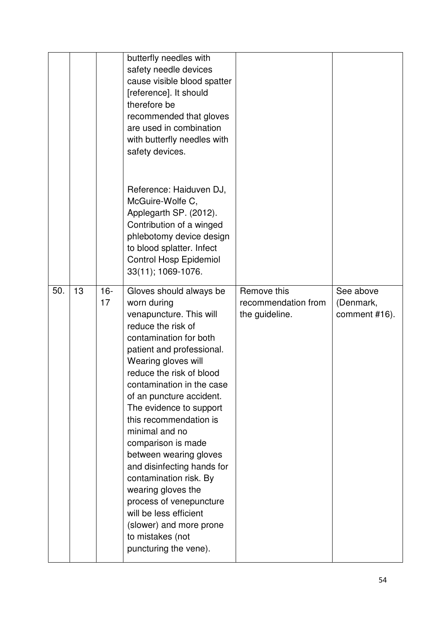|     |    |              | butterfly needles with<br>safety needle devices<br>cause visible blood spatter<br>[reference]. It should<br>therefore be<br>recommended that gloves<br>are used in combination<br>with butterfly needles with<br>safety devices.                                                                                                                                                                                                                                                                                                                                                             |                                                      |                                         |
|-----|----|--------------|----------------------------------------------------------------------------------------------------------------------------------------------------------------------------------------------------------------------------------------------------------------------------------------------------------------------------------------------------------------------------------------------------------------------------------------------------------------------------------------------------------------------------------------------------------------------------------------------|------------------------------------------------------|-----------------------------------------|
|     |    |              | Reference: Haiduven DJ,<br>McGuire-Wolfe C,<br>Applegarth SP. (2012).<br>Contribution of a winged<br>phlebotomy device design<br>to blood splatter. Infect<br><b>Control Hosp Epidemiol</b><br>33(11); 1069-1076.                                                                                                                                                                                                                                                                                                                                                                            |                                                      |                                         |
| 50. | 13 | $16 -$<br>17 | Gloves should always be<br>worn during<br>venapuncture. This will<br>reduce the risk of<br>contamination for both<br>patient and professional.<br>Wearing gloves will<br>reduce the risk of blood<br>contamination in the case<br>of an puncture accident.<br>The evidence to support<br>this recommendation is<br>minimal and no<br>comparison is made<br>between wearing gloves<br>and disinfecting hands for<br>contamination risk. By<br>wearing gloves the<br>process of venepuncture<br>will be less efficient<br>(slower) and more prone<br>to mistakes (not<br>puncturing the vene). | Remove this<br>recommendation from<br>the guideline. | See above<br>(Denmark,<br>comment #16). |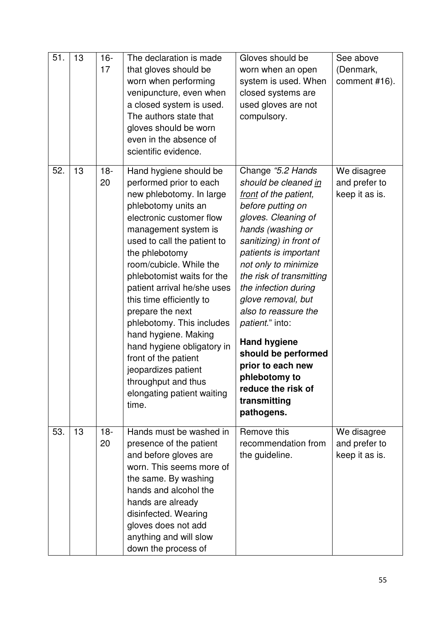| 51. | 13 | $16 -$<br>17 | The declaration is made<br>that gloves should be<br>worn when performing<br>venipuncture, even when<br>a closed system is used.<br>The authors state that<br>gloves should be worn<br>even in the absence of<br>scientific evidence.                                                                                                                                                                                                                                                                                                              | Gloves should be<br>worn when an open<br>system is used. When<br>closed systems are<br>used gloves are not<br>compulsory.                                                                                                                                                                                                                                                                                                                                                     | See above<br>(Denmark,<br>comment #16).        |
|-----|----|--------------|---------------------------------------------------------------------------------------------------------------------------------------------------------------------------------------------------------------------------------------------------------------------------------------------------------------------------------------------------------------------------------------------------------------------------------------------------------------------------------------------------------------------------------------------------|-------------------------------------------------------------------------------------------------------------------------------------------------------------------------------------------------------------------------------------------------------------------------------------------------------------------------------------------------------------------------------------------------------------------------------------------------------------------------------|------------------------------------------------|
| 52. | 13 | $18 -$<br>20 | Hand hygiene should be<br>performed prior to each<br>new phlebotomy. In large<br>phlebotomy units an<br>electronic customer flow<br>management system is<br>used to call the patient to<br>the phlebotomy<br>room/cubicle. While the<br>phlebotomist waits for the<br>patient arrival he/she uses<br>this time efficiently to<br>prepare the next<br>phlebotomy. This includes<br>hand hygiene. Making<br>hand hygiene obligatory in<br>front of the patient<br>jeopardizes patient<br>throughput and thus<br>elongating patient waiting<br>time. | Change "5.2 Hands"<br>should be cleaned in<br>front of the patient,<br>before putting on<br>gloves. Cleaning of<br>hands (washing or<br>sanitizing) in front of<br>patients is important<br>not only to minimize<br>the risk of transmitting<br>the infection during<br>glove removal, but<br>also to reassure the<br>patient." into:<br><b>Hand hygiene</b><br>should be performed<br>prior to each new<br>phlebotomy to<br>reduce the risk of<br>transmitting<br>pathogens. | We disagree<br>and prefer to<br>keep it as is. |
| 53. | 13 | $18 -$<br>20 | Hands must be washed in<br>presence of the patient<br>and before gloves are<br>worn. This seems more of<br>the same. By washing<br>hands and alcohol the<br>hands are already<br>disinfected. Wearing<br>gloves does not add<br>anything and will slow<br>down the process of                                                                                                                                                                                                                                                                     | Remove this<br>recommendation from<br>the guideline.                                                                                                                                                                                                                                                                                                                                                                                                                          | We disagree<br>and prefer to<br>keep it as is. |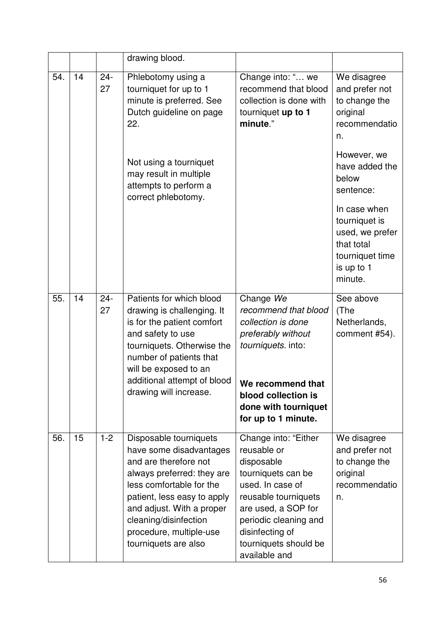|     |    |              | drawing blood.                                                                                                                                                                                                                                                               |                                                                                                                                                                                                                                  |                                                                                                            |
|-----|----|--------------|------------------------------------------------------------------------------------------------------------------------------------------------------------------------------------------------------------------------------------------------------------------------------|----------------------------------------------------------------------------------------------------------------------------------------------------------------------------------------------------------------------------------|------------------------------------------------------------------------------------------------------------|
| 54. | 14 | $24 -$<br>27 | Phlebotomy using a<br>tourniquet for up to 1<br>minute is preferred. See<br>Dutch guideline on page<br>22.                                                                                                                                                                   | Change into: " we<br>recommend that blood<br>collection is done with<br>tourniquet up to 1<br>minute."                                                                                                                           | We disagree<br>and prefer not<br>to change the<br>original<br>recommendatio<br>n.                          |
|     |    |              | Not using a tourniquet<br>may result in multiple<br>attempts to perform a<br>correct phlebotomy.                                                                                                                                                                             |                                                                                                                                                                                                                                  | However, we<br>have added the<br>below<br>sentence:                                                        |
|     |    |              |                                                                                                                                                                                                                                                                              |                                                                                                                                                                                                                                  | In case when<br>tourniquet is<br>used, we prefer<br>that total<br>tourniquet time<br>is up to 1<br>minute. |
| 55. | 14 | $24 -$<br>27 | Patients for which blood<br>drawing is challenging. It<br>is for the patient comfort<br>and safety to use<br>tourniquets. Otherwise the<br>number of patients that<br>will be exposed to an<br>additional attempt of blood<br>drawing will increase.                         | Change We<br>recommend that blood<br>collection is done<br>preferably without<br>tourniquets. into:<br>We recommend that<br>blood collection is<br>done with tourniquet                                                          | See above<br>(The<br>Netherlands,<br>comment #54).                                                         |
|     |    |              |                                                                                                                                                                                                                                                                              | for up to 1 minute.                                                                                                                                                                                                              |                                                                                                            |
| 56. | 15 | $1 - 2$      | Disposable tourniquets<br>have some disadvantages<br>and are therefore not<br>always preferred: they are<br>less comfortable for the<br>patient, less easy to apply<br>and adjust. With a proper<br>cleaning/disinfection<br>procedure, multiple-use<br>tourniquets are also | Change into: "Either<br>reusable or<br>disposable<br>tourniquets can be<br>used. In case of<br>reusable tourniquets<br>are used, a SOP for<br>periodic cleaning and<br>disinfecting of<br>tourniquets should be<br>available and | We disagree<br>and prefer not<br>to change the<br>original<br>recommendatio<br>n.                          |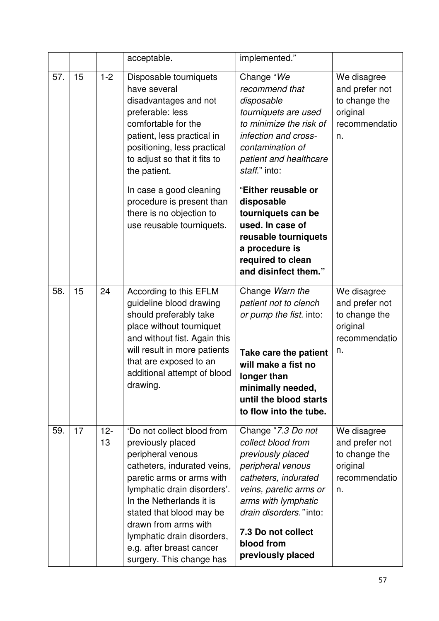|     |    |              | acceptable.                                                                                                                                                                                                                                                                                                                           | implemented."                                                                                                                                                                                                                                   |                                                                                   |
|-----|----|--------------|---------------------------------------------------------------------------------------------------------------------------------------------------------------------------------------------------------------------------------------------------------------------------------------------------------------------------------------|-------------------------------------------------------------------------------------------------------------------------------------------------------------------------------------------------------------------------------------------------|-----------------------------------------------------------------------------------|
| 57. | 15 | $1 - 2$      | Disposable tourniquets<br>have several<br>disadvantages and not<br>preferable: less<br>comfortable for the<br>patient, less practical in<br>positioning, less practical<br>to adjust so that it fits to<br>the patient.                                                                                                               | Change "We<br>recommend that<br>disposable<br>tourniquets are used<br>to minimize the risk of<br>infection and cross-<br>contamination of<br>patient and healthcare<br>staff." into:                                                            | We disagree<br>and prefer not<br>to change the<br>original<br>recommendatio<br>n. |
|     |    |              | In case a good cleaning<br>procedure is present than<br>there is no objection to<br>use reusable tourniquets.                                                                                                                                                                                                                         | "Either reusable or<br>disposable<br>tourniquets can be<br>used. In case of<br>reusable tourniquets<br>a procedure is<br>required to clean<br>and disinfect them."                                                                              |                                                                                   |
| 58. | 15 | 24           | According to this EFLM<br>guideline blood drawing<br>should preferably take<br>place without tourniquet<br>and without fist. Again this<br>will result in more patients<br>that are exposed to an<br>additional attempt of blood<br>drawing.                                                                                          | Change Warn the<br>patient not to clench<br>or pump the fist. into:<br>Take care the patient<br>will make a fist no<br>longer than<br>minimally needed,<br>until the blood starts<br>to flow into the tube.                                     | We disagree<br>and prefer not<br>to change the<br>original<br>recommendatio<br>n. |
| 59. | 17 | $12 -$<br>13 | 'Do not collect blood from<br>previously placed<br>peripheral venous<br>catheters, indurated veins,<br>paretic arms or arms with<br>lymphatic drain disorders'.<br>In the Netherlands it is<br>stated that blood may be<br>drawn from arms with<br>lymphatic drain disorders,<br>e.g. after breast cancer<br>surgery. This change has | Change "7.3 Do not<br>collect blood from<br>previously placed<br>peripheral venous<br>catheters, indurated<br>veins, paretic arms or<br>arms with lymphatic<br>drain disorders." into:<br>7.3 Do not collect<br>blood from<br>previously placed | We disagree<br>and prefer not<br>to change the<br>original<br>recommendatio<br>n. |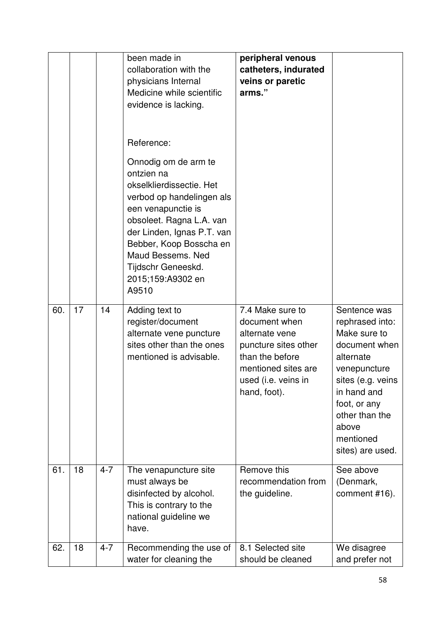|     |    |         | been made in<br>collaboration with the<br>physicians Internal<br>Medicine while scientific<br>evidence is lacking.<br>Reference:<br>Onnodig om de arm te<br>ontzien na<br>okselklierdissectie. Het<br>verbod op handelingen als<br>een venapunctie is<br>obsoleet. Ragna L.A. van<br>der Linden, Ignas P.T. van<br>Bebber, Koop Bosscha en<br>Maud Bessems, Ned<br>Tijdschr Geneeskd.<br>2015;159:A9302 en<br>A9510 | peripheral venous<br>catheters, indurated<br>veins or paretic<br>arms."                                                                                      |                                                                                                                                                                                                               |
|-----|----|---------|---------------------------------------------------------------------------------------------------------------------------------------------------------------------------------------------------------------------------------------------------------------------------------------------------------------------------------------------------------------------------------------------------------------------|--------------------------------------------------------------------------------------------------------------------------------------------------------------|---------------------------------------------------------------------------------------------------------------------------------------------------------------------------------------------------------------|
| 60. | 17 | 14      | Adding text to<br>register/document<br>alternate vene puncture<br>sites other than the ones<br>mentioned is advisable.                                                                                                                                                                                                                                                                                              | 7.4 Make sure to<br>document when<br>alternate vene<br>puncture sites other<br>than the before<br>mentioned sites are<br>used (i.e. veins in<br>hand, foot). | Sentence was<br>rephrased into:<br>Make sure to<br>document when<br>alternate<br>venepuncture<br>sites (e.g. veins<br>in hand and<br>foot, or any<br>other than the<br>above<br>mentioned<br>sites) are used. |
| 61. | 18 | $4 - 7$ | The venapuncture site<br>must always be<br>disinfected by alcohol.<br>This is contrary to the<br>national guideline we<br>have.                                                                                                                                                                                                                                                                                     | Remove this<br>recommendation from<br>the guideline.                                                                                                         | See above<br>(Denmark,<br>comment #16).                                                                                                                                                                       |
| 62. | 18 | $4 - 7$ | Recommending the use of<br>water for cleaning the                                                                                                                                                                                                                                                                                                                                                                   | 8.1 Selected site<br>should be cleaned                                                                                                                       | We disagree<br>and prefer not                                                                                                                                                                                 |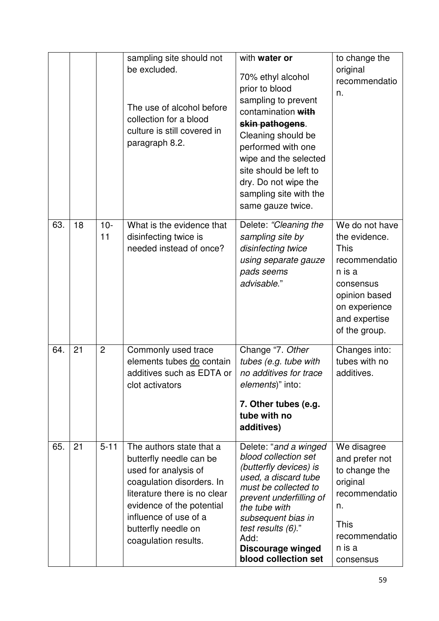|     |    |                | sampling site should not<br>be excluded.<br>The use of alcohol before<br>collection for a blood<br>culture is still covered in<br>paragraph 8.2.                                                                                              | with water or<br>70% ethyl alcohol<br>prior to blood<br>sampling to prevent<br>contamination with<br>skin pathogens.<br>Cleaning should be<br>performed with one<br>wipe and the selected<br>site should be left to<br>dry. Do not wipe the<br>sampling site with the<br>same gauze twice. | to change the<br>original<br>recommendatio<br>n.                                                                                                           |
|-----|----|----------------|-----------------------------------------------------------------------------------------------------------------------------------------------------------------------------------------------------------------------------------------------|--------------------------------------------------------------------------------------------------------------------------------------------------------------------------------------------------------------------------------------------------------------------------------------------|------------------------------------------------------------------------------------------------------------------------------------------------------------|
| 63. | 18 | $10 -$<br>11   | What is the evidence that<br>disinfecting twice is<br>needed instead of once?                                                                                                                                                                 | Delete: "Cleaning the<br>sampling site by<br>disinfecting twice<br>using separate gauze<br>pads seems<br>advisable."                                                                                                                                                                       | We do not have<br>the evidence.<br><b>This</b><br>recommendatio<br>n is a<br>consensus<br>opinion based<br>on experience<br>and expertise<br>of the group. |
| 64. | 21 | $\overline{2}$ | Commonly used trace<br>elements tubes do contain<br>additives such as EDTA or<br>clot activators                                                                                                                                              | Change "7. Other<br>tubes (e.g. tube with<br>no additives for trace<br>elements)" into:<br>7. Other tubes (e.g.<br>tube with no<br>additives)                                                                                                                                              | Changes into:<br>tubes with no<br>additives.                                                                                                               |
| 65. | 21 | $5 - 11$       | The authors state that a<br>butterfly needle can be<br>used for analysis of<br>coagulation disorders. In<br>literature there is no clear<br>evidence of the potential<br>influence of use of a<br>butterfly needle on<br>coagulation results. | Delete: "and a winged<br>blood collection set<br>(butterfly devices) is<br>used, a discard tube<br>must be collected to<br>prevent underfilling of<br>the tube with<br>subsequent bias in<br>test results (6)."<br>Add:<br>Discourage winged<br>blood collection set                       | We disagree<br>and prefer not<br>to change the<br>original<br>recommendatio<br>n.<br><b>This</b><br>recommendatio<br>n is a<br>consensus                   |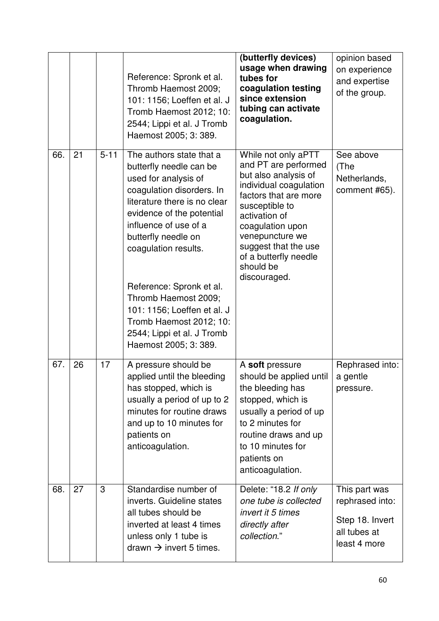|     |    |          | Reference: Spronk et al.<br>Thromb Haemost 2009;<br>101: 1156; Loeffen et al. J<br>Tromb Haemost 2012; 10:<br>2544; Lippi et al. J Tromb<br>Haemost 2005; 3: 389.                                                                                                                                                                                                                                                  | (butterfly devices)<br>usage when drawing<br>tubes for<br>coagulation testing<br>since extension<br>tubing can activate<br>coagulation.                                                                                                                                        | opinion based<br>on experience<br>and expertise<br>of the group.                    |
|-----|----|----------|--------------------------------------------------------------------------------------------------------------------------------------------------------------------------------------------------------------------------------------------------------------------------------------------------------------------------------------------------------------------------------------------------------------------|--------------------------------------------------------------------------------------------------------------------------------------------------------------------------------------------------------------------------------------------------------------------------------|-------------------------------------------------------------------------------------|
| 66. | 21 | $5 - 11$ | The authors state that a<br>butterfly needle can be<br>used for analysis of<br>coagulation disorders. In<br>literature there is no clear<br>evidence of the potential<br>influence of use of a<br>butterfly needle on<br>coagulation results.<br>Reference: Spronk et al.<br>Thromb Haemost 2009;<br>101: 1156; Loeffen et al. J<br>Tromb Haemost 2012; 10:<br>2544; Lippi et al. J Tromb<br>Haemost 2005; 3: 389. | While not only aPTT<br>and PT are performed<br>but also analysis of<br>individual coagulation<br>factors that are more<br>susceptible to<br>activation of<br>coagulation upon<br>venepuncture we<br>suggest that the use<br>of a butterfly needle<br>should be<br>discouraged. | See above<br>(The<br>Netherlands,<br>comment #65).                                  |
| 67. | 26 | 17       | A pressure should be<br>applied until the bleeding<br>has stopped, which is<br>usually a period of up to 2<br>minutes for routine draws<br>and up to 10 minutes for<br>patients on<br>anticoagulation.                                                                                                                                                                                                             | A soft pressure<br>should be applied until<br>the bleeding has<br>stopped, which is<br>usually a period of up<br>to 2 minutes for<br>routine draws and up<br>to 10 minutes for<br>patients on<br>anticoagulation.                                                              | Rephrased into:<br>a gentle<br>pressure.                                            |
| 68. | 27 | 3        | Standardise number of<br>inverts. Guideline states<br>all tubes should be<br>inverted at least 4 times<br>unless only 1 tube is<br>drawn $\rightarrow$ invert 5 times.                                                                                                                                                                                                                                             | Delete: "18.2 If only<br>one tube is collected<br>invert it 5 times<br>directly after<br>collection."                                                                                                                                                                          | This part was<br>rephrased into:<br>Step 18. Invert<br>all tubes at<br>least 4 more |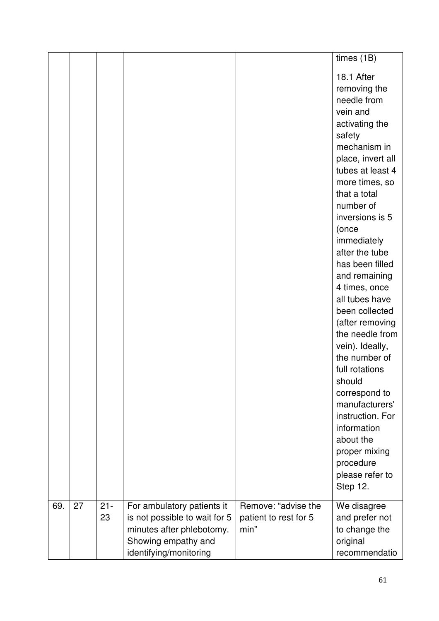|     |    |        |                                                  |                               | times (1B)                        |
|-----|----|--------|--------------------------------------------------|-------------------------------|-----------------------------------|
|     |    |        |                                                  |                               | 18.1 After                        |
|     |    |        |                                                  |                               | removing the                      |
|     |    |        |                                                  |                               | needle from                       |
|     |    |        |                                                  |                               | vein and                          |
|     |    |        |                                                  |                               | activating the                    |
|     |    |        |                                                  |                               | safety                            |
|     |    |        |                                                  |                               | mechanism in                      |
|     |    |        |                                                  |                               | place, invert all                 |
|     |    |        |                                                  |                               | tubes at least 4                  |
|     |    |        |                                                  |                               | more times, so<br>that a total    |
|     |    |        |                                                  |                               | number of                         |
|     |    |        |                                                  |                               | inversions is 5                   |
|     |    |        |                                                  |                               | (once                             |
|     |    |        |                                                  |                               | immediately                       |
|     |    |        |                                                  |                               | after the tube                    |
|     |    |        |                                                  |                               | has been filled                   |
|     |    |        |                                                  |                               | and remaining                     |
|     |    |        |                                                  |                               | 4 times, once                     |
|     |    |        |                                                  |                               | all tubes have                    |
|     |    |        |                                                  |                               | been collected<br>(after removing |
|     |    |        |                                                  |                               | the needle from                   |
|     |    |        |                                                  |                               | vein). Ideally,                   |
|     |    |        |                                                  |                               | the number of                     |
|     |    |        |                                                  |                               | full rotations                    |
|     |    |        |                                                  |                               | should                            |
|     |    |        |                                                  |                               | correspond to                     |
|     |    |        |                                                  |                               | manufacturers'                    |
|     |    |        |                                                  |                               | instruction. For                  |
|     |    |        |                                                  |                               | information                       |
|     |    |        |                                                  |                               | about the                         |
|     |    |        |                                                  |                               | proper mixing<br>procedure        |
|     |    |        |                                                  |                               | please refer to                   |
|     |    |        |                                                  |                               | Step 12.                          |
|     |    |        |                                                  |                               |                                   |
| 69. | 27 | $21 -$ | For ambulatory patients it                       | Remove: "advise the           | We disagree                       |
|     |    | 23     | is not possible to wait for 5                    | patient to rest for 5<br>min" | and prefer not                    |
|     |    |        | minutes after phlebotomy.<br>Showing empathy and |                               | to change the<br>original         |
|     |    |        | identifying/monitoring                           |                               | recommendatio                     |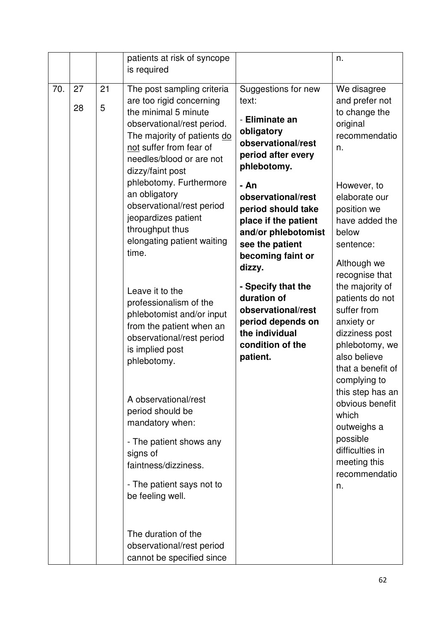|     |          |         | patients at risk of syncope<br>is required                                                                                                                                                                             |                                                                                                                                                   | n.                                                                                                                                                       |
|-----|----------|---------|------------------------------------------------------------------------------------------------------------------------------------------------------------------------------------------------------------------------|---------------------------------------------------------------------------------------------------------------------------------------------------|----------------------------------------------------------------------------------------------------------------------------------------------------------|
| 70. | 27<br>28 | 21<br>5 | The post sampling criteria<br>are too rigid concerning<br>the minimal 5 minute<br>observational/rest period.<br>The majority of patients do<br>not suffer from fear of<br>needles/blood or are not<br>dizzy/faint post | Suggestions for new<br>text:<br>- Eliminate an<br>obligatory<br>observational/rest<br>period after every<br>phlebotomy.                           | We disagree<br>and prefer not<br>to change the<br>original<br>recommendatio<br>n.                                                                        |
|     |          |         | phlebotomy. Furthermore<br>an obligatory<br>observational/rest period<br>jeopardizes patient<br>throughput thus<br>elongating patient waiting<br>time.                                                                 | - An<br>observational/rest<br>period should take<br>place if the patient<br>and/or phlebotomist<br>see the patient<br>becoming faint or<br>dizzy. | However, to<br>elaborate our<br>position we<br>have added the<br>below<br>sentence:<br>Although we<br>recognise that                                     |
|     |          |         | Leave it to the<br>professionalism of the<br>phlebotomist and/or input<br>from the patient when an<br>observational/rest period<br>is implied post<br>phlebotomy.                                                      | - Specify that the<br>duration of<br>observational/rest<br>period depends on<br>the individual<br>condition of the<br>patient.                    | the majority of<br>patients do not<br>suffer from<br>anxiety or<br>dizziness post<br>phlebotomy, we<br>also believe<br>that a benefit of<br>complying to |
|     |          |         | A observational/rest<br>period should be<br>mandatory when:<br>- The patient shows any<br>signs of<br>faintness/dizziness.<br>- The patient says not to<br>be feeling well.<br>The duration of the                     |                                                                                                                                                   | this step has an<br>obvious benefit<br>which<br>outweighs a<br>possible<br>difficulties in<br>meeting this<br>recommendatio<br>n.                        |
|     |          |         | observational/rest period<br>cannot be specified since                                                                                                                                                                 |                                                                                                                                                   |                                                                                                                                                          |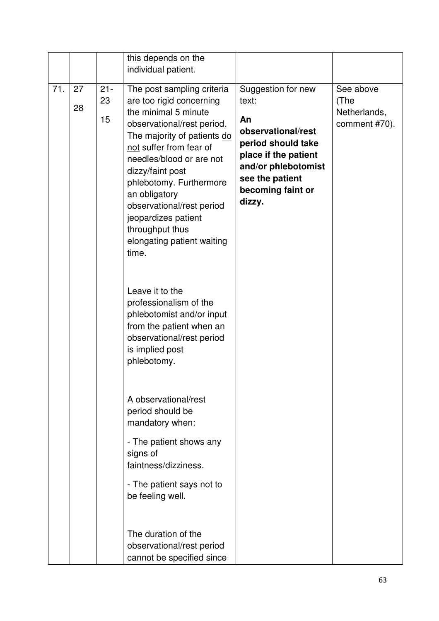|     |          |                    | this depends on the<br>individual patient.                                                                                                                                                                                                                                                                                                                                       |                                                                                                                                                                                |                                                    |
|-----|----------|--------------------|----------------------------------------------------------------------------------------------------------------------------------------------------------------------------------------------------------------------------------------------------------------------------------------------------------------------------------------------------------------------------------|--------------------------------------------------------------------------------------------------------------------------------------------------------------------------------|----------------------------------------------------|
| 71. | 27<br>28 | $21 -$<br>23<br>15 | The post sampling criteria<br>are too rigid concerning<br>the minimal 5 minute<br>observational/rest period.<br>The majority of patients do<br>not suffer from fear of<br>needles/blood or are not<br>dizzy/faint post<br>phlebotomy. Furthermore<br>an obligatory<br>observational/rest period<br>jeopardizes patient<br>throughput thus<br>elongating patient waiting<br>time. | Suggestion for new<br>text:<br>An<br>observational/rest<br>period should take<br>place if the patient<br>and/or phlebotomist<br>see the patient<br>becoming faint or<br>dizzy. | See above<br>(The<br>Netherlands,<br>comment #70). |
|     |          |                    | Leave it to the<br>professionalism of the<br>phlebotomist and/or input<br>from the patient when an<br>observational/rest period<br>is implied post<br>phlebotomy.                                                                                                                                                                                                                |                                                                                                                                                                                |                                                    |
|     |          |                    | A observational/rest<br>period should be<br>mandatory when:                                                                                                                                                                                                                                                                                                                      |                                                                                                                                                                                |                                                    |
|     |          |                    | - The patient shows any<br>signs of<br>faintness/dizziness.                                                                                                                                                                                                                                                                                                                      |                                                                                                                                                                                |                                                    |
|     |          |                    | - The patient says not to<br>be feeling well.                                                                                                                                                                                                                                                                                                                                    |                                                                                                                                                                                |                                                    |
|     |          |                    | The duration of the<br>observational/rest period<br>cannot be specified since                                                                                                                                                                                                                                                                                                    |                                                                                                                                                                                |                                                    |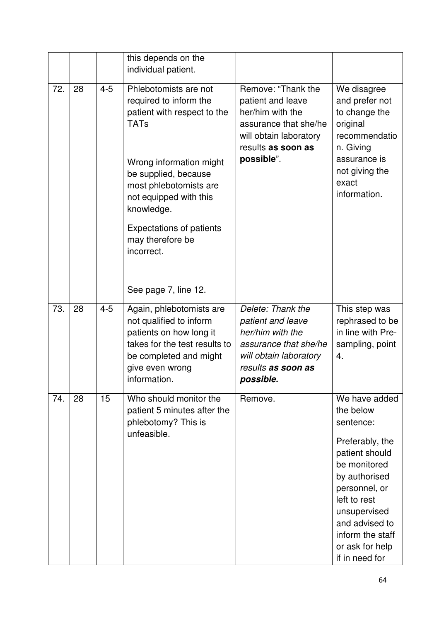|     |    |         | this depends on the<br>individual patient.                                                                                                                                                                                                                                              |                                                                                                                                                    |                                                                                                                                                                                                                                           |
|-----|----|---------|-----------------------------------------------------------------------------------------------------------------------------------------------------------------------------------------------------------------------------------------------------------------------------------------|----------------------------------------------------------------------------------------------------------------------------------------------------|-------------------------------------------------------------------------------------------------------------------------------------------------------------------------------------------------------------------------------------------|
| 72. | 28 | $4 - 5$ | Phlebotomists are not<br>required to inform the<br>patient with respect to the<br><b>TATs</b><br>Wrong information might<br>be supplied, because<br>most phlebotomists are<br>not equipped with this<br>knowledge.<br><b>Expectations of patients</b><br>may therefore be<br>incorrect. | Remove: "Thank the<br>patient and leave<br>her/him with the<br>assurance that she/he<br>will obtain laboratory<br>results as soon as<br>possible". | We disagree<br>and prefer not<br>to change the<br>original<br>recommendatio<br>n. Giving<br>assurance is<br>not giving the<br>exact<br>information.                                                                                       |
|     |    |         | See page 7, line 12.                                                                                                                                                                                                                                                                    |                                                                                                                                                    |                                                                                                                                                                                                                                           |
| 73. | 28 | $4 - 5$ | Again, phlebotomists are<br>not qualified to inform<br>patients on how long it<br>takes for the test results to<br>be completed and might<br>give even wrong<br>information.                                                                                                            | Delete: Thank the<br>patient and leave<br>her/him with the<br>assurance that she/he<br>will obtain laboratory<br>results as soon as<br>possible.   | This step was<br>rephrased to be<br>in line with Pre-<br>sampling, point<br>4.                                                                                                                                                            |
| 74. | 28 | 15      | Who should monitor the<br>patient 5 minutes after the<br>phlebotomy? This is<br>unfeasible.                                                                                                                                                                                             | Remove.                                                                                                                                            | We have added<br>the below<br>sentence:<br>Preferably, the<br>patient should<br>be monitored<br>by authorised<br>personnel, or<br>left to rest<br>unsupervised<br>and advised to<br>inform the staff<br>or ask for help<br>if in need for |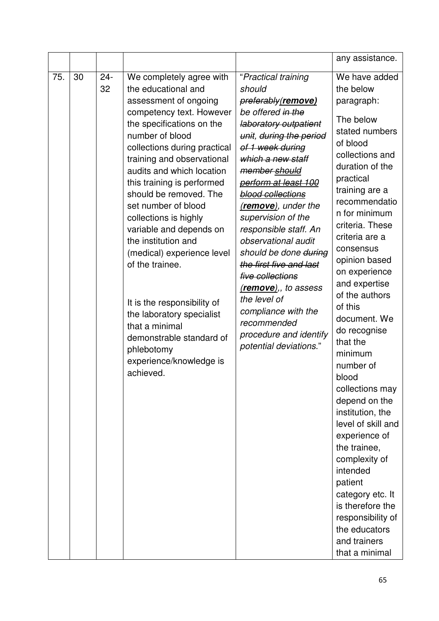|     |    |              |                                                                                                                                                                                                                                                                                                                                                                                                                                                                                                                                                                                                                            |                                                                                                                                                                                                                                                                                                                                                                                                                                                                                                                                            | any assistance.                                                                                                                                                                                                                                                                                                                                                                                                                                                                                                                                                                                                                                                                  |
|-----|----|--------------|----------------------------------------------------------------------------------------------------------------------------------------------------------------------------------------------------------------------------------------------------------------------------------------------------------------------------------------------------------------------------------------------------------------------------------------------------------------------------------------------------------------------------------------------------------------------------------------------------------------------------|--------------------------------------------------------------------------------------------------------------------------------------------------------------------------------------------------------------------------------------------------------------------------------------------------------------------------------------------------------------------------------------------------------------------------------------------------------------------------------------------------------------------------------------------|----------------------------------------------------------------------------------------------------------------------------------------------------------------------------------------------------------------------------------------------------------------------------------------------------------------------------------------------------------------------------------------------------------------------------------------------------------------------------------------------------------------------------------------------------------------------------------------------------------------------------------------------------------------------------------|
| 75. | 30 | $24 -$<br>32 | We completely agree with<br>the educational and<br>assessment of ongoing<br>competency text. However<br>the specifications on the<br>number of blood<br>collections during practical<br>training and observational<br>audits and which location<br>this training is performed<br>should be removed. The<br>set number of blood<br>collections is highly<br>variable and depends on<br>the institution and<br>(medical) experience level<br>of the trainee.<br>It is the responsibility of<br>the laboratory specialist<br>that a minimal<br>demonstrable standard of<br>phlebotomy<br>experience/knowledge is<br>achieved. | "Practical training<br>should<br>preferably(remove)<br>be offered in the<br>laboratory outpatient<br>unit, during the period<br>of 1 week during<br>which a new staff<br>member should<br>perform at least 100<br>blood collections<br>(remove), under the<br>supervision of the<br>responsible staff. An<br>observational audit<br>should be done during<br>the first five and last<br>five collections<br>(remove),, to assess<br>the level of<br>compliance with the<br>recommended<br>procedure and identify<br>potential deviations." | We have added<br>the below<br>paragraph:<br>The below<br>stated numbers<br>of blood<br>collections and<br>duration of the<br>practical<br>training are a<br>recommendatio<br>n for minimum<br>criteria. These<br>criteria are a<br>consensus<br>opinion based<br>on experience<br>and expertise<br>of the authors<br>of this<br>document. We<br>do recognise<br>that the<br>minimum<br>number of<br>blood<br>collections may<br>depend on the<br>institution, the<br>level of skill and<br>experience of<br>the trainee,<br>complexity of<br>intended<br>patient<br>category etc. It<br>is therefore the<br>responsibility of<br>the educators<br>and trainers<br>that a minimal |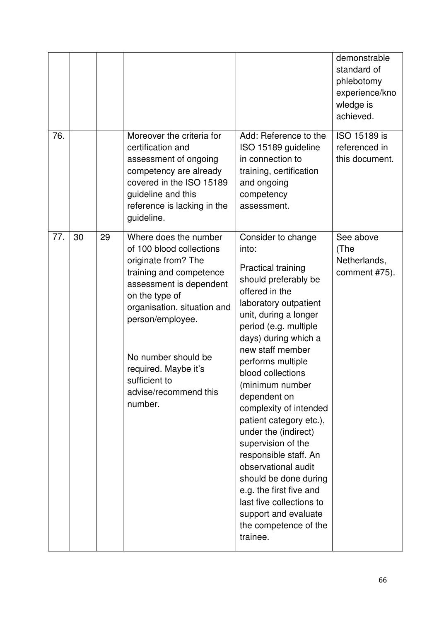| 76. |    |    | Moreover the criteria for                                                                                                                                                                                                                                                                               | Add: Reference to the                                                                                                                                                                                                                                                                                                                                                                                                                                                                                                                                                                                  | demonstrable<br>standard of<br>phlebotomy<br>experience/kno<br>wledge is<br>achieved.<br>ISO 15189 is |
|-----|----|----|---------------------------------------------------------------------------------------------------------------------------------------------------------------------------------------------------------------------------------------------------------------------------------------------------------|--------------------------------------------------------------------------------------------------------------------------------------------------------------------------------------------------------------------------------------------------------------------------------------------------------------------------------------------------------------------------------------------------------------------------------------------------------------------------------------------------------------------------------------------------------------------------------------------------------|-------------------------------------------------------------------------------------------------------|
|     |    |    | certification and<br>assessment of ongoing<br>competency are already<br>covered in the ISO 15189<br>guideline and this<br>reference is lacking in the<br>guideline.                                                                                                                                     | ISO 15189 guideline<br>in connection to<br>training, certification<br>and ongoing<br>competency<br>assessment.                                                                                                                                                                                                                                                                                                                                                                                                                                                                                         | referenced in<br>this document.                                                                       |
| 77. | 30 | 29 | Where does the number<br>of 100 blood collections<br>originate from? The<br>training and competence<br>assessment is dependent<br>on the type of<br>organisation, situation and<br>person/employee.<br>No number should be<br>required. Maybe it's<br>sufficient to<br>advise/recommend this<br>number. | Consider to change<br>into:<br><b>Practical training</b><br>should preferably be<br>offered in the<br>laboratory outpatient<br>unit, during a longer<br>period (e.g. multiple<br>days) during which a<br>new staff member<br>performs multiple<br>blood collections<br>(minimum number<br>dependent on<br>complexity of intended<br>patient category etc.),<br>under the (indirect)<br>supervision of the<br>responsible staff. An<br>observational audit<br>should be done during<br>e.g. the first five and<br>last five collections to<br>support and evaluate<br>the competence of the<br>trainee. | See above<br>(The<br>Netherlands,<br>comment #75).                                                    |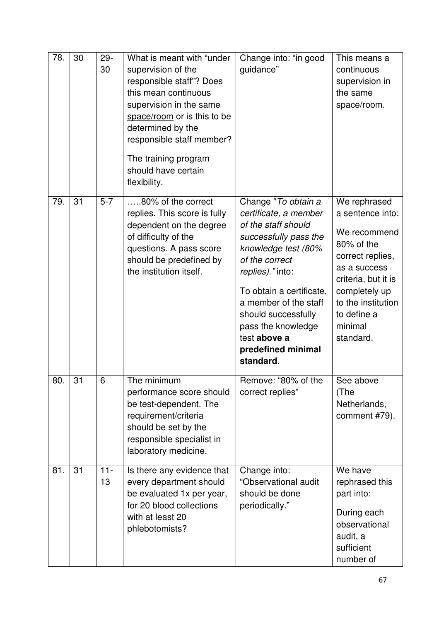| 78. | 30 | $29 -$<br>30 | What is meant with "under<br>supervision of the<br>responsible staff"? Does<br>this mean continuous<br>supervision in the same<br>space/room or is this to be<br>determined by the<br>responsible staff member?<br>The training program<br>should have certain<br>flexibility. | Change into: "in good<br>guidance"                                                                                                                                                                                                                                                                             | This means a<br>continuous<br>supervision in<br>the same<br>space/room.                                                                                                                                 |
|-----|----|--------------|--------------------------------------------------------------------------------------------------------------------------------------------------------------------------------------------------------------------------------------------------------------------------------|----------------------------------------------------------------------------------------------------------------------------------------------------------------------------------------------------------------------------------------------------------------------------------------------------------------|---------------------------------------------------------------------------------------------------------------------------------------------------------------------------------------------------------|
| 79. | 31 | $5 - 7$      | 80% of the correct<br>replies. This score is fully<br>dependent on the degree<br>of difficulty of the<br>questions. A pass score<br>should be predefined by<br>the institution itself.                                                                                         | Change "To obtain a<br>certificate, a member<br>of the staff should<br>successfully pass the<br>knowledge test (80%<br>of the correct<br>replies)." into:<br>To obtain a certificate,<br>a member of the staff<br>should successfully<br>pass the knowledge<br>test above a<br>predefined minimal<br>standard. | We rephrased<br>a sentence into:<br>We recommend<br>80% of the<br>correct replies,<br>as a success<br>criteria, but it is<br>completely up<br>to the institution<br>to define a<br>minimal<br>standard. |
| 80. | 31 | 6            | The minimum<br>performance score should<br>be test-dependent. The<br>requirement/criteria<br>should be set by the<br>responsible specialist in<br>laboratory medicine.                                                                                                         | Remove: "80% of the<br>correct replies"                                                                                                                                                                                                                                                                        | See above<br>(The<br>Netherlands,<br>comment #79).                                                                                                                                                      |
| 81. | 31 | $11 -$<br>13 | Is there any evidence that<br>every department should<br>be evaluated 1x per year,<br>for 20 blood collections<br>with at least 20<br>phlebotomists?                                                                                                                           | Change into:<br>"Observational audit<br>should be done<br>periodically."                                                                                                                                                                                                                                       | We have<br>rephrased this<br>part into:<br>During each<br>observational<br>audit, a<br>sufficient<br>number of                                                                                          |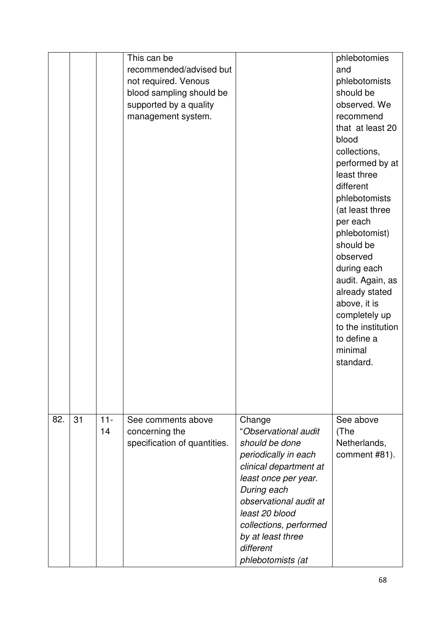|     |    |              | This can be<br>recommended/advised but<br>not required. Venous<br>blood sampling should be<br>supported by a quality<br>management system. |                                                                                                                                                                                                                                                                        | phlebotomies<br>and<br>phlebotomists<br>should be<br>observed. We<br>recommend                                                                                                                                                                                                                                                        |
|-----|----|--------------|--------------------------------------------------------------------------------------------------------------------------------------------|------------------------------------------------------------------------------------------------------------------------------------------------------------------------------------------------------------------------------------------------------------------------|---------------------------------------------------------------------------------------------------------------------------------------------------------------------------------------------------------------------------------------------------------------------------------------------------------------------------------------|
|     |    |              |                                                                                                                                            |                                                                                                                                                                                                                                                                        | that at least 20<br>blood<br>collections,<br>performed by at<br>least three<br>different<br>phlebotomists<br>(at least three<br>per each<br>phlebotomist)<br>should be<br>observed<br>during each<br>audit. Again, as<br>already stated<br>above, it is<br>completely up<br>to the institution<br>to define a<br>minimal<br>standard. |
| 82. | 31 | $11 -$<br>14 | See comments above<br>concerning the<br>specification of quantities.                                                                       | Change<br>"Observational audit<br>should be done<br>periodically in each<br>clinical department at<br>least once per year.<br>During each<br>observational audit at<br>least 20 blood<br>collections, performed<br>by at least three<br>different<br>phlebotomists (at | See above<br>(The<br>Netherlands,<br>comment #81).                                                                                                                                                                                                                                                                                    |